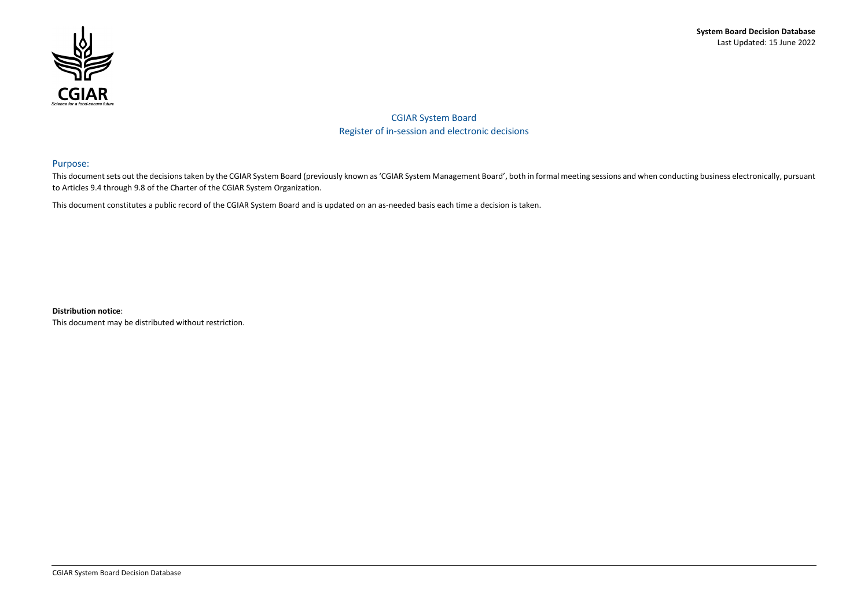## **System Board Decision Database** Last Updated: 15 June 2022



CGIAR System Board Register of in-session and electronic decisions

## Purpose:

This document sets out the decisions taken by the CGIAR System Board (previously known as 'CGIAR System Management Board', both in formal meeting sessions and when conducting business electronically, pursuant to Articles 9.4 through 9.8 of the Charter of the CGIAR System Organization.

This document constitutes a public record of the CGIAR System Board and is updated on an as-needed basis each time a decision is taken.

**Distribution notice**:

This document may be distributed without restriction.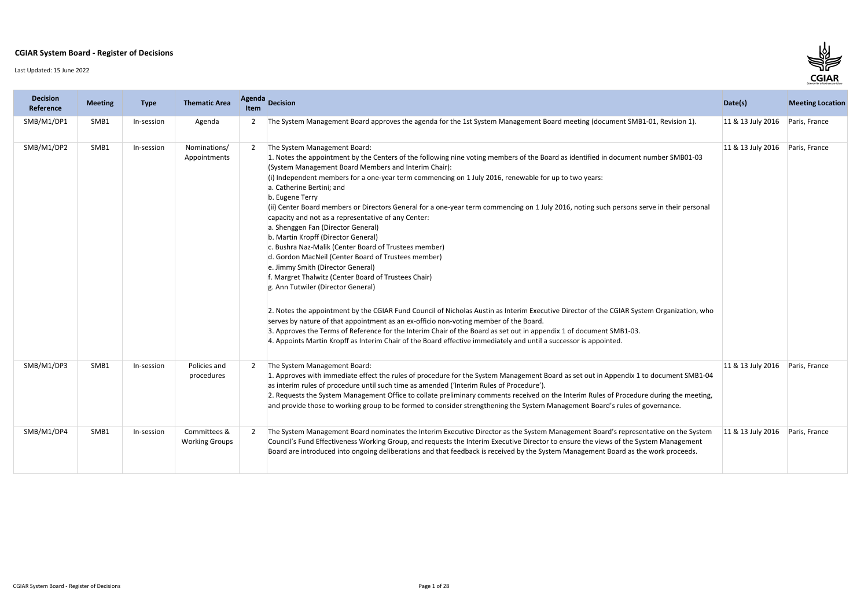## **CGIAR System Board - Register of Decisions**

Last Updated: 15 June 2022

| <b>Decision</b><br>Reference | <b>Meeting</b>   | <b>Type</b> | <b>Thematic Area</b>                  | <b>Agenda</b><br>Item | Decision                                                                                                                                                                                                                                                                                                                                                                                                                                                                                                                                                                                                                                                                                                                                                                                                                                                                                                                                                                                                                                                                                                                                                                                                                                                                                                                                                                                                   | Date(s)           | <b>Meeting Location</b> |
|------------------------------|------------------|-------------|---------------------------------------|-----------------------|------------------------------------------------------------------------------------------------------------------------------------------------------------------------------------------------------------------------------------------------------------------------------------------------------------------------------------------------------------------------------------------------------------------------------------------------------------------------------------------------------------------------------------------------------------------------------------------------------------------------------------------------------------------------------------------------------------------------------------------------------------------------------------------------------------------------------------------------------------------------------------------------------------------------------------------------------------------------------------------------------------------------------------------------------------------------------------------------------------------------------------------------------------------------------------------------------------------------------------------------------------------------------------------------------------------------------------------------------------------------------------------------------------|-------------------|-------------------------|
| SMB/M1/DP1                   | SMB1             | In-session  | Agenda                                | 2                     | The System Management Board approves the agenda for the 1st System Management Board meeting (document SMB1-01, Revision 1).                                                                                                                                                                                                                                                                                                                                                                                                                                                                                                                                                                                                                                                                                                                                                                                                                                                                                                                                                                                                                                                                                                                                                                                                                                                                                | 11 & 13 July 2016 | Paris, France           |
| SMB/M1/DP2                   | SMB1             | In-session  | Nominations/<br>Appointments          | 2                     | The System Management Board:<br>1. Notes the appointment by the Centers of the following nine voting members of the Board as identified in document number SMB01-03<br>(System Management Board Members and Interim Chair):<br>(i) Independent members for a one-year term commencing on 1 July 2016, renewable for up to two years:<br>a. Catherine Bertini; and<br>b. Eugene Terry<br>(ii) Center Board members or Directors General for a one-year term commencing on 1 July 2016, noting such persons serve in their personal<br>capacity and not as a representative of any Center:<br>a. Shenggen Fan (Director General)<br>b. Martin Kropff (Director General)<br>c. Bushra Naz-Malik (Center Board of Trustees member)<br>d. Gordon MacNeil (Center Board of Trustees member)<br>e. Jimmy Smith (Director General)<br>f. Margret Thalwitz (Center Board of Trustees Chair)<br>g. Ann Tutwiler (Director General)<br>2. Notes the appointment by the CGIAR Fund Council of Nicholas Austin as Interim Executive Director of the CGIAR System Organization, who<br>serves by nature of that appointment as an ex-officio non-voting member of the Board.<br>3. Approves the Terms of Reference for the Interim Chair of the Board as set out in appendix 1 of document SMB1-03.<br>4. Appoints Martin Kropff as Interim Chair of the Board effective immediately and until a successor is appointed. | 11 & 13 July 2016 | Paris, France           |
| SMB/M1/DP3                   | SMB1             | In-session  | Policies and<br>procedures            | 2                     | The System Management Board:<br>1. Approves with immediate effect the rules of procedure for the System Management Board as set out in Appendix 1 to document SMB1-04<br>as interim rules of procedure until such time as amended ('Interim Rules of Procedure').<br>2. Requests the System Management Office to collate preliminary comments received on the Interim Rules of Procedure during the meeting,<br>and provide those to working group to be formed to consider strengthening the System Management Board's rules of governance.                                                                                                                                                                                                                                                                                                                                                                                                                                                                                                                                                                                                                                                                                                                                                                                                                                                               | 11 & 13 July 2016 | Paris, France           |
| SMB/M1/DP4                   | SMB <sub>1</sub> | In-session  | Committees &<br><b>Working Groups</b> |                       | The System Management Board nominates the Interim Executive Director as the System Management Board's representative on the System<br>Council's Fund Effectiveness Working Group, and requests the Interim Executive Director to ensure the views of the System Management<br>Board are introduced into ongoing deliberations and that feedback is received by the System Management Board as the work proceeds.                                                                                                                                                                                                                                                                                                                                                                                                                                                                                                                                                                                                                                                                                                                                                                                                                                                                                                                                                                                           | 11 & 13 July 2016 | Paris, France           |

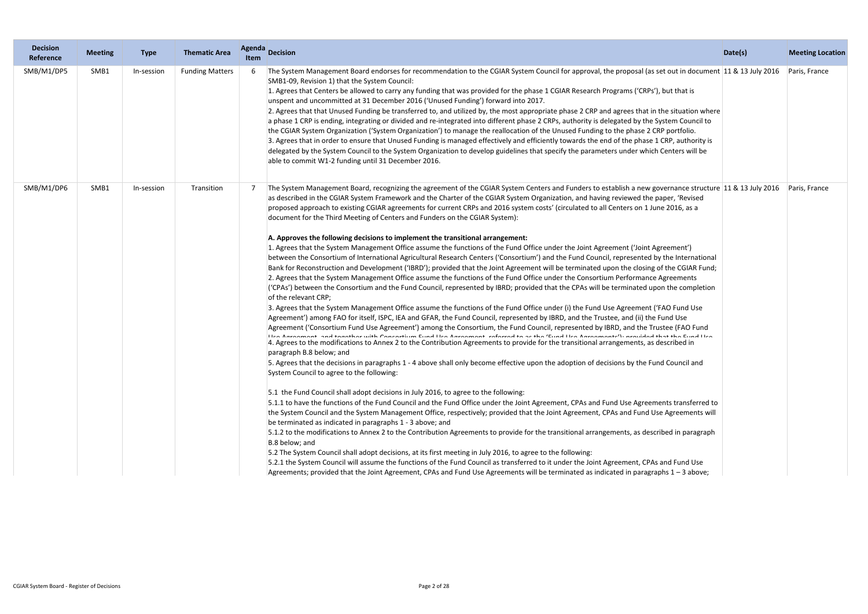| <b>Decision</b><br>Reference | <b>Meeting</b> | <b>Type</b> | <b>Thematic Area</b>   | Agenda<br><b>Item</b> | <b>Decision</b>                                                                                                                                                                                                                                                                                                                                                                                                                                                                                                                                                                                                                                                                                                                                                                                                                                                                                                                                                                                                                                                                                                                                                                                                                                                                                                                                                                                                                                                                                                                                                                                                                                                                                                                                                                                                                                                                                                                                                                                                                                                                                                                                                                                                                                                                                                                                                                                                                                                                                                                                                                                                                                                                                                                                                                                                                                                                                                                                                                                                                                                                                                                                                                                                                                                                                   | Date(s) | <b>Meeting Location</b> |
|------------------------------|----------------|-------------|------------------------|-----------------------|---------------------------------------------------------------------------------------------------------------------------------------------------------------------------------------------------------------------------------------------------------------------------------------------------------------------------------------------------------------------------------------------------------------------------------------------------------------------------------------------------------------------------------------------------------------------------------------------------------------------------------------------------------------------------------------------------------------------------------------------------------------------------------------------------------------------------------------------------------------------------------------------------------------------------------------------------------------------------------------------------------------------------------------------------------------------------------------------------------------------------------------------------------------------------------------------------------------------------------------------------------------------------------------------------------------------------------------------------------------------------------------------------------------------------------------------------------------------------------------------------------------------------------------------------------------------------------------------------------------------------------------------------------------------------------------------------------------------------------------------------------------------------------------------------------------------------------------------------------------------------------------------------------------------------------------------------------------------------------------------------------------------------------------------------------------------------------------------------------------------------------------------------------------------------------------------------------------------------------------------------------------------------------------------------------------------------------------------------------------------------------------------------------------------------------------------------------------------------------------------------------------------------------------------------------------------------------------------------------------------------------------------------------------------------------------------------------------------------------------------------------------------------------------------------------------------------------------------------------------------------------------------------------------------------------------------------------------------------------------------------------------------------------------------------------------------------------------------------------------------------------------------------------------------------------------------------------------------------------------------------------------------------------------------------|---------|-------------------------|
| SMB/M1/DP5                   | SMB1           | In-session  | <b>Funding Matters</b> |                       | The System Management Board endorses for recommendation to the CGIAR System Council for approval, the proposal (as set out in document 11 & 13 July 2016<br>SMB1-09, Revision 1) that the System Council:<br>1. Agrees that Centers be allowed to carry any funding that was provided for the phase 1 CGIAR Research Programs ('CRPs'), but that is<br>unspent and uncommitted at 31 December 2016 ('Unused Funding') forward into 2017.<br>2. Agrees that that Unused Funding be transferred to, and utilized by, the most appropriate phase 2 CRP and agrees that in the situation where<br>a phase 1 CRP is ending, integrating or divided and re-integrated into different phase 2 CRPs, authority is delegated by the System Council to<br>the CGIAR System Organization ('System Organization') to manage the reallocation of the Unused Funding to the phase 2 CRP portfolio.<br>3. Agrees that in order to ensure that Unused Funding is managed effectively and efficiently towards the end of the phase 1 CRP, authority is<br>delegated by the System Council to the System Organization to develop guidelines that specify the parameters under which Centers will be<br>able to commit W1-2 funding until 31 December 2016.                                                                                                                                                                                                                                                                                                                                                                                                                                                                                                                                                                                                                                                                                                                                                                                                                                                                                                                                                                                                                                                                                                                                                                                                                                                                                                                                                                                                                                                                                                                                                                                                                                                                                                                                                                                                                                                                                                                                                                                                                                                          |         | Paris, France           |
| SMB/M1/DP6                   | SMB1           | In-session  | Transition             |                       | The System Management Board, recognizing the agreement of the CGIAR System Centers and Funders to establish a new governance structure 11 & 13 July 2016<br>as described in the CGIAR System Framework and the Charter of the CGIAR System Organization, and having reviewed the paper, 'Revised<br>proposed approach to existing CGIAR agreements for current CRPs and 2016 system costs' (circulated to all Centers on 1 June 2016, as a<br>document for the Third Meeting of Centers and Funders on the CGIAR System):<br>A. Approves the following decisions to implement the transitional arrangement:<br>1. Agrees that the System Management Office assume the functions of the Fund Office under the Joint Agreement ('Joint Agreement')<br>between the Consortium of International Agricultural Research Centers ('Consortium') and the Fund Council, represented by the International<br>Bank for Reconstruction and Development ('IBRD'); provided that the Joint Agreement will be terminated upon the closing of the CGIAR Fund;<br>2. Agrees that the System Management Office assume the functions of the Fund Office under the Consortium Performance Agreements<br>('CPAs') between the Consortium and the Fund Council, represented by IBRD; provided that the CPAs will be terminated upon the completion<br>of the relevant CRP;<br>3. Agrees that the System Management Office assume the functions of the Fund Office under (i) the Fund Use Agreement ('FAO Fund Use<br>Agreement') among FAO for itself, ISPC, IEA and GFAR, the Fund Council, represented by IBRD, and the Trustee, and (ii) the Fund Use<br>Agreement ('Consortium Fund Use Agreement') among the Consortium, the Fund Council, represented by IBRD, and the Trustee (FAO Fund<br>Llee Ameropone and bonskhop with Consodium Fund Llee Ameropone pofopped bo of the Cund Llee Ameroponed, wavided bot the Fund Llee<br>4. Agrees to the modifications to Annex 2 to the Contribution Agreements to provide for the transitional arrangements, as described in<br>paragraph B.8 below; and<br>5. Agrees that the decisions in paragraphs 1 - 4 above shall only become effective upon the adoption of decisions by the Fund Council and<br>System Council to agree to the following:<br>5.1 the Fund Council shall adopt decisions in July 2016, to agree to the following:<br>5.1.1 to have the functions of the Fund Council and the Fund Office under the Joint Agreement, CPAs and Fund Use Agreements transferred to<br>the System Council and the System Management Office, respectively; provided that the Joint Agreement, CPAs and Fund Use Agreements will<br>be terminated as indicated in paragraphs 1 - 3 above; and<br>5.1.2 to the modifications to Annex 2 to the Contribution Agreements to provide for the transitional arrangements, as described in paragraph<br>B.8 below; and<br>5.2 The System Council shall adopt decisions, at its first meeting in July 2016, to agree to the following:<br>5.2.1 the System Council will assume the functions of the Fund Council as transferred to it under the Joint Agreement, CPAs and Fund Use<br>Agreements; provided that the Joint Agreement, CPAs and Fund Use Agreements will be terminated as indicated in paragraphs 1 - 3 above; |         | Paris, France           |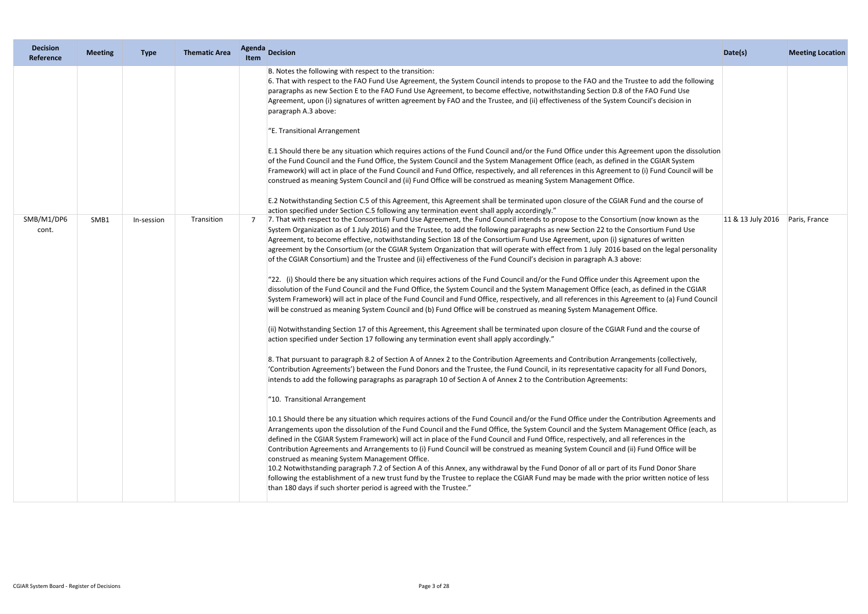| <b>Decision</b><br>Reference | <b>Meeting</b> | <b>Type</b> | <b>Thematic Area</b> | Item | Agenda Decision                                                                                                                                                                                                                                                                                                                                                                                                                                                                                                                                                                                                                                                                                                                                                                                                                                                                                                                                                                                                                                                                                                                                                                                                                                                                                                                                                                                                                                                                                                                                                                                                                                                                                                                                                                                                                                                                                                                                                                                                                                                                                                                                                                                                                                                                                                                                                                                                                                                                                                                                                                                                                                                                                                                                       | Date(s)           | <b>Meeting Location</b> |
|------------------------------|----------------|-------------|----------------------|------|-------------------------------------------------------------------------------------------------------------------------------------------------------------------------------------------------------------------------------------------------------------------------------------------------------------------------------------------------------------------------------------------------------------------------------------------------------------------------------------------------------------------------------------------------------------------------------------------------------------------------------------------------------------------------------------------------------------------------------------------------------------------------------------------------------------------------------------------------------------------------------------------------------------------------------------------------------------------------------------------------------------------------------------------------------------------------------------------------------------------------------------------------------------------------------------------------------------------------------------------------------------------------------------------------------------------------------------------------------------------------------------------------------------------------------------------------------------------------------------------------------------------------------------------------------------------------------------------------------------------------------------------------------------------------------------------------------------------------------------------------------------------------------------------------------------------------------------------------------------------------------------------------------------------------------------------------------------------------------------------------------------------------------------------------------------------------------------------------------------------------------------------------------------------------------------------------------------------------------------------------------------------------------------------------------------------------------------------------------------------------------------------------------------------------------------------------------------------------------------------------------------------------------------------------------------------------------------------------------------------------------------------------------------------------------------------------------------------------------------------------------|-------------------|-------------------------|
| SMB/M1/DP6<br>cont.          | SMB1           | In-session  | Transition           |      | B. Notes the following with respect to the transition:<br>6. That with respect to the FAO Fund Use Agreement, the System Council intends to propose to the FAO and the Trustee to add the following<br>paragraphs as new Section E to the FAO Fund Use Agreement, to become effective, notwithstanding Section D.8 of the FAO Fund Use<br>Agreement, upon (i) signatures of written agreement by FAO and the Trustee, and (ii) effectiveness of the System Council's decision in<br>paragraph A.3 above:<br>"E. Transitional Arrangement<br>E.1 Should there be any situation which requires actions of the Fund Council and/or the Fund Office under this Agreement upon the dissolution<br>of the Fund Council and the Fund Office, the System Council and the System Management Office (each, as defined in the CGIAR System<br>Framework) will act in place of the Fund Council and Fund Office, respectively, and all references in this Agreement to (i) Fund Council will be<br>construed as meaning System Council and (ii) Fund Office will be construed as meaning System Management Office.<br>E.2 Notwithstanding Section C.5 of this Agreement, this Agreement shall be terminated upon closure of the CGIAR Fund and the course of<br>action specified under Section C.5 following any termination event shall apply accordingly."<br>7. That with respect to the Consortium Fund Use Agreement, the Fund Council intends to propose to the Consortium (now known as the<br>System Organization as of 1 July 2016) and the Trustee, to add the following paragraphs as new Section 22 to the Consortium Fund Use<br>Agreement, to become effective, notwithstanding Section 18 of the Consortium Fund Use Agreement, upon (i) signatures of written<br>agreement by the Consortium (or the CGIAR System Organization that will operate with effect from 1 July 2016 based on the legal personality<br>of the CGIAR Consortium) and the Trustee and (ii) effectiveness of the Fund Council's decision in paragraph A.3 above:<br>"22. (i) Should there be any situation which requires actions of the Fund Council and/or the Fund Office under this Agreement upon the<br>dissolution of the Fund Council and the Fund Office, the System Council and the System Management Office (each, as defined in the CGIAR<br>System Framework) will act in place of the Fund Council and Fund Office, respectively, and all references in this Agreement to (a) Fund Council<br>will be construed as meaning System Council and (b) Fund Office will be construed as meaning System Management Office.<br>ii) Notwithstanding Section 17 of this Agreement, this Agreement shall be terminated upon closure of the CGIAR Fund and the course of | 11 & 13 July 2016 | Paris, France           |
|                              |                |             |                      |      | action specified under Section 17 following any termination event shall apply accordingly."<br>8. That pursuant to paragraph 8.2 of Section A of Annex 2 to the Contribution Agreements and Contribution Arrangements (collectively,<br>'Contribution Agreements') between the Fund Donors and the Trustee, the Fund Council, in its representative capacity for all Fund Donors,<br>intends to add the following paragraphs as paragraph 10 of Section A of Annex 2 to the Contribution Agreements:<br>"10. Transitional Arrangement<br>10.1 Should there be any situation which requires actions of the Fund Council and/or the Fund Office under the Contribution Agreements and<br>Arrangements upon the dissolution of the Fund Council and the Fund Office, the System Council and the System Management Office (each, as<br>defined in the CGIAR System Framework) will act in place of the Fund Council and Fund Office, respectively, and all references in the<br>Contribution Agreements and Arrangements to (i) Fund Council will be construed as meaning System Council and (ii) Fund Office will be<br>construed as meaning System Management Office.<br>10.2 Notwithstanding paragraph 7.2 of Section A of this Annex, any withdrawal by the Fund Donor of all or part of its Fund Donor Share<br>following the establishment of a new trust fund by the Trustee to replace the CGIAR Fund may be made with the prior written notice of less<br>than 180 days if such shorter period is agreed with the Trustee."                                                                                                                                                                                                                                                                                                                                                                                                                                                                                                                                                                                                                                                                                                                                                                                                                                                                                                                                                                                                                                                                                                                                                                                                                      |                   |                         |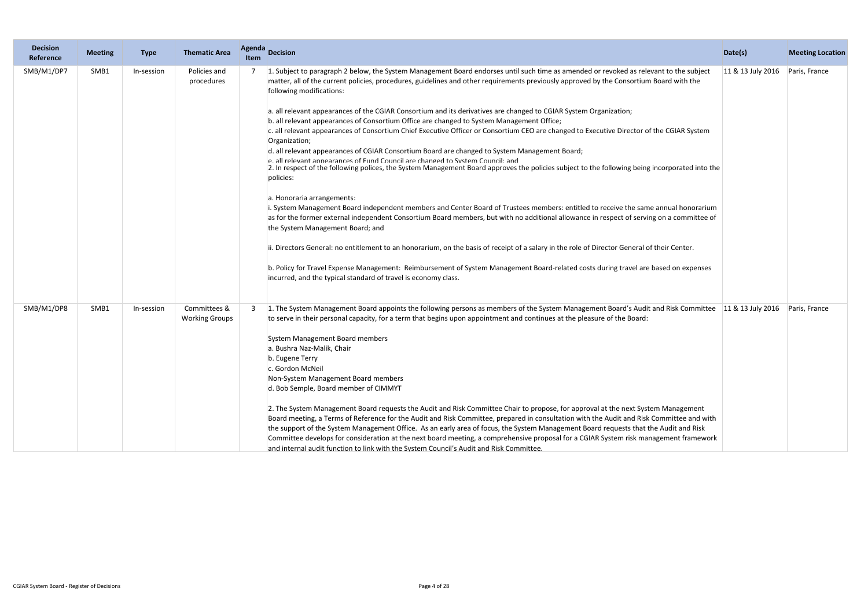| <b>Decision</b><br>Reference | <b>Meeting</b> | <b>Type</b> | <b>Thematic Area</b>                  | <b>Agenda</b><br><b>Item</b> | Decision                                                                                                                                                                                                                                                                                                                                                                                                                                                                                                                                                                                                                                                                                                                                                                                                                                                                                                                                                                                                                                                                                                                                                                                                                                                                                                                                                                                                                                                                                                                                                                                                                                                                                                                                                      | Date(s)           | <b>Meeting Location</b> |
|------------------------------|----------------|-------------|---------------------------------------|------------------------------|---------------------------------------------------------------------------------------------------------------------------------------------------------------------------------------------------------------------------------------------------------------------------------------------------------------------------------------------------------------------------------------------------------------------------------------------------------------------------------------------------------------------------------------------------------------------------------------------------------------------------------------------------------------------------------------------------------------------------------------------------------------------------------------------------------------------------------------------------------------------------------------------------------------------------------------------------------------------------------------------------------------------------------------------------------------------------------------------------------------------------------------------------------------------------------------------------------------------------------------------------------------------------------------------------------------------------------------------------------------------------------------------------------------------------------------------------------------------------------------------------------------------------------------------------------------------------------------------------------------------------------------------------------------------------------------------------------------------------------------------------------------|-------------------|-------------------------|
| SMB/M1/DP7                   | SMB1           | In-session  | Policies and<br>procedures            |                              | 1. Subject to paragraph 2 below, the System Management Board endorses until such time as amended or revoked as relevant to the subject<br>matter, all of the current policies, procedures, guidelines and other requirements previously approved by the Consortium Board with the<br>following modifications:<br>a. all relevant appearances of the CGIAR Consortium and its derivatives are changed to CGIAR System Organization;<br>b. all relevant appearances of Consortium Office are changed to System Management Office;<br>c. all relevant appearances of Consortium Chief Executive Officer or Consortium CEO are changed to Executive Director of the CGIAR System<br>Organization;<br>d. all relevant appearances of CGIAR Consortium Board are changed to System Management Board;<br>e all relevant annearances of Fund Council are changed to System Council: and<br>2. In respect of the following polices, the System Management Board approves the policies subject to the following being incorporated into the<br>policies:<br>a. Honoraria arrangements:<br>i. System Management Board independent members and Center Board of Trustees members: entitled to receive the same annual honorarium<br>as for the former external independent Consortium Board members, but with no additional allowance in respect of serving on a committee of<br>the System Management Board; and<br>ii. Directors General: no entitlement to an honorarium, on the basis of receipt of a salary in the role of Director General of their Center.<br>b. Policy for Travel Expense Management: Reimbursement of System Management Board-related costs during travel are based on expenses<br>incurred, and the typical standard of travel is economy class. | 11 & 13 July 2016 | Paris, France           |
| SMB/M1/DP8                   | SMB1           | In-session  | Committees &<br><b>Working Groups</b> |                              | 1. The System Management Board appoints the following persons as members of the System Management Board's Audit and Risk Committee 11 & 13 July 2016<br>to serve in their personal capacity, for a term that begins upon appointment and continues at the pleasure of the Board:<br>System Management Board members<br>a. Bushra Naz-Malik, Chair<br>b. Eugene Terry<br>c. Gordon McNeil<br>Non-System Management Board members<br>d. Bob Semple, Board member of CIMMYT<br>2. The System Management Board requests the Audit and Risk Committee Chair to propose, for approval at the next System Management<br>Board meeting, a Terms of Reference for the Audit and Risk Committee, prepared in consultation with the Audit and Risk Committee and with<br>the support of the System Management Office. As an early area of focus, the System Management Board requests that the Audit and Risk<br>Committee develops for consideration at the next board meeting, a comprehensive proposal for a CGIAR System risk management framework<br>and internal audit function to link with the System Council's Audit and Risk Committee.                                                                                                                                                                                                                                                                                                                                                                                                                                                                                                                                                                                                                        |                   | Paris, France           |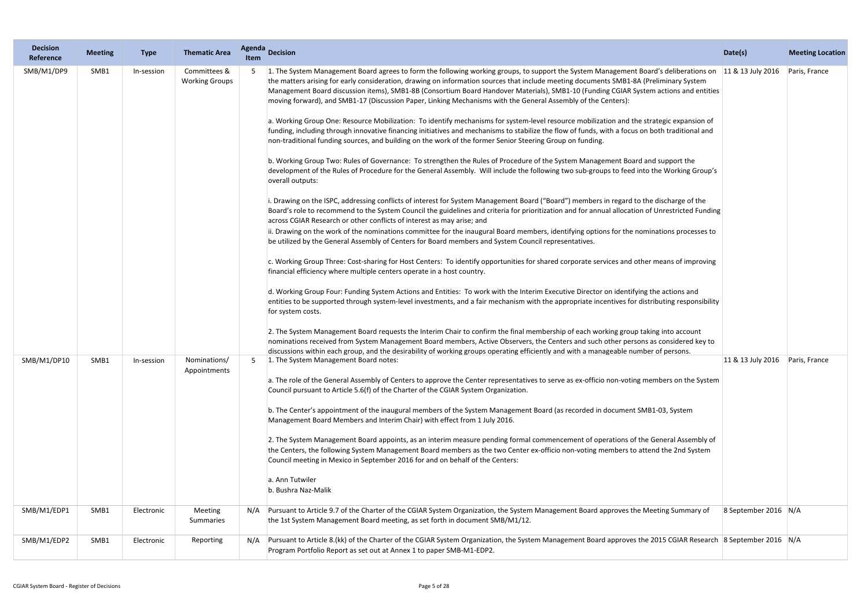| <b>Decision</b><br>Reference | <b>Meeting</b> | <b>Type</b> | <b>Thematic Area</b>                  | <b>Agenda</b><br><b>Item</b> | Decision                                                                                                                                                                                                                                                                                                                                                                                                                                                                                                                                                                                                                                                                                                                                                                                                                                                                                                                                                                                                                                                                                                                                                                                                                                                                                                                                                                                                                                                                                                                                                                                                                                                                                                                                                                                                                                                                                                                                                                                                                                                                                                                                                                                                                                                                                                                                                                                                                                                                                                                                                                                                                                                                                                                                                                                                                                                     | Date(s)                            | <b>Meeting Location</b> |
|------------------------------|----------------|-------------|---------------------------------------|------------------------------|--------------------------------------------------------------------------------------------------------------------------------------------------------------------------------------------------------------------------------------------------------------------------------------------------------------------------------------------------------------------------------------------------------------------------------------------------------------------------------------------------------------------------------------------------------------------------------------------------------------------------------------------------------------------------------------------------------------------------------------------------------------------------------------------------------------------------------------------------------------------------------------------------------------------------------------------------------------------------------------------------------------------------------------------------------------------------------------------------------------------------------------------------------------------------------------------------------------------------------------------------------------------------------------------------------------------------------------------------------------------------------------------------------------------------------------------------------------------------------------------------------------------------------------------------------------------------------------------------------------------------------------------------------------------------------------------------------------------------------------------------------------------------------------------------------------------------------------------------------------------------------------------------------------------------------------------------------------------------------------------------------------------------------------------------------------------------------------------------------------------------------------------------------------------------------------------------------------------------------------------------------------------------------------------------------------------------------------------------------------------------------------------------------------------------------------------------------------------------------------------------------------------------------------------------------------------------------------------------------------------------------------------------------------------------------------------------------------------------------------------------------------------------------------------------------------------------------------------------------------|------------------------------------|-------------------------|
| SMB/M1/DP9                   | SMB1           | In-session  | Committees &<br><b>Working Groups</b> |                              | 1. The System Management Board agrees to form the following working groups, to support the System Management Board's deliberations on<br>the matters arising for early consideration, drawing on information sources that include meeting documents SMB1-8A (Preliminary System<br>Management Board discussion items), SMB1-8B (Consortium Board Handover Materials), SMB1-10 (Funding CGIAR System actions and entities<br>moving forward), and SMB1-17 (Discussion Paper, Linking Mechanisms with the General Assembly of the Centers):<br>a. Working Group One: Resource Mobilization: To identify mechanisms for system-level resource mobilization and the strategic expansion of<br>funding, including through innovative financing initiatives and mechanisms to stabilize the flow of funds, with a focus on both traditional and<br>non-traditional funding sources, and building on the work of the former Senior Steering Group on funding.<br>b. Working Group Two: Rules of Governance: To strengthen the Rules of Procedure of the System Management Board and support the<br>development of the Rules of Procedure for the General Assembly. Will include the following two sub-groups to feed into the Working Group's<br>overall outputs:<br>i. Drawing on the ISPC, addressing conflicts of interest for System Management Board ("Board") members in regard to the discharge of the<br>Board's role to recommend to the System Council the guidelines and criteria for prioritization and for annual allocation of Unrestricted Funding<br>across CGIAR Research or other conflicts of interest as may arise; and<br>ii. Drawing on the work of the nominations committee for the inaugural Board members, identifying options for the nominations processes to<br>be utilized by the General Assembly of Centers for Board members and System Council representatives.<br>c. Working Group Three: Cost-sharing for Host Centers: To identify opportunities for shared corporate services and other means of improving<br>financial efficiency where multiple centers operate in a host country.<br>d. Working Group Four: Funding System Actions and Entities: To work with the Interim Executive Director on identifying the actions and<br>entities to be supported through system-level investments, and a fair mechanism with the appropriate incentives for distributing responsibility<br>for system costs.<br>2. The System Management Board requests the Interim Chair to confirm the final membership of each working group taking into account<br>nominations received from System Management Board members, Active Observers, the Centers and such other persons as considered key to<br>discussions within each group, and the desirability of working groups operating efficiently and with a manageable number of persons. | 11 & 13 July 2016                  | Paris, France           |
| SMB/M1/DP10                  | SMB1           | In-session  | Nominations/<br>Appointments          | 5                            | 1. The System Management Board notes:<br>a. The role of the General Assembly of Centers to approve the Center representatives to serve as ex-officio non-voting members on the System<br>Council pursuant to Article 5.6(f) of the Charter of the CGIAR System Organization.<br>b. The Center's appointment of the inaugural members of the System Management Board (as recorded in document SMB1-03, System<br>Management Board Members and Interim Chair) with effect from 1 July 2016.<br>2. The System Management Board appoints, as an interim measure pending formal commencement of operations of the General Assembly of<br>the Centers, the following System Management Board members as the two Center ex-officio non-voting members to attend the 2nd System<br>Council meeting in Mexico in September 2016 for and on behalf of the Centers:<br>a. Ann Tutwiler<br>b. Bushra Naz-Malik                                                                                                                                                                                                                                                                                                                                                                                                                                                                                                                                                                                                                                                                                                                                                                                                                                                                                                                                                                                                                                                                                                                                                                                                                                                                                                                                                                                                                                                                                                                                                                                                                                                                                                                                                                                                                                                                                                                                                           | 11 & 13 July 2016    Paris, France |                         |
| SMB/M1/EDP1                  | SMB1           | Electronic  | Meeting<br>Summaries                  | N/A                          | Pursuant to Article 9.7 of the Charter of the CGIAR System Organization, the System Management Board approves the Meeting Summary of<br>the 1st System Management Board meeting, as set forth in document SMB/M1/12.                                                                                                                                                                                                                                                                                                                                                                                                                                                                                                                                                                                                                                                                                                                                                                                                                                                                                                                                                                                                                                                                                                                                                                                                                                                                                                                                                                                                                                                                                                                                                                                                                                                                                                                                                                                                                                                                                                                                                                                                                                                                                                                                                                                                                                                                                                                                                                                                                                                                                                                                                                                                                                         | 8 September 2016 $N/A$             |                         |
| SMB/M1/EDP2                  | SMB1           | Electronic  | Reporting                             |                              | Pursuant to Article 8.(kk) of the Charter of the CGIAR System Organization, the System Management Board approves the 2015 CGIAR Research 8 September 2016 N/A<br>Program Portfolio Report as set out at Annex 1 to paper SMB-M1-EDP2.                                                                                                                                                                                                                                                                                                                                                                                                                                                                                                                                                                                                                                                                                                                                                                                                                                                                                                                                                                                                                                                                                                                                                                                                                                                                                                                                                                                                                                                                                                                                                                                                                                                                                                                                                                                                                                                                                                                                                                                                                                                                                                                                                                                                                                                                                                                                                                                                                                                                                                                                                                                                                        |                                    |                         |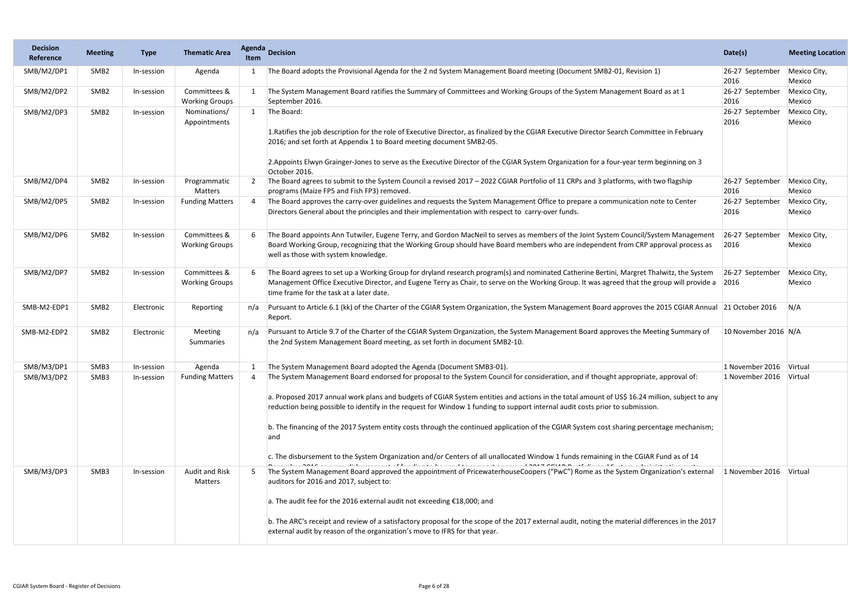| <b>Decision</b><br>Reference | <b>Meeting</b>   | <b>Type</b> | <b>Thematic Area</b>                  | <b>Agenda</b><br>Item | <b>Decision</b>                                                                                                                                                                                                                                                                                                                                                                                                                                                                                                                                                                                                                                                                                                                                                                                                                                         | Date(s)                 | <b>Meeting Location</b> |
|------------------------------|------------------|-------------|---------------------------------------|-----------------------|---------------------------------------------------------------------------------------------------------------------------------------------------------------------------------------------------------------------------------------------------------------------------------------------------------------------------------------------------------------------------------------------------------------------------------------------------------------------------------------------------------------------------------------------------------------------------------------------------------------------------------------------------------------------------------------------------------------------------------------------------------------------------------------------------------------------------------------------------------|-------------------------|-------------------------|
| SMB/M2/DP1                   | SMB <sub>2</sub> | In-session  | Agenda                                |                       | The Board adopts the Provisional Agenda for the 2 nd System Management Board meeting (Document SMB2-01, Revision 1)                                                                                                                                                                                                                                                                                                                                                                                                                                                                                                                                                                                                                                                                                                                                     | 26-27 September<br>2016 | Mexico City,<br>Mexico  |
| SMB/M2/DP2                   | SMB <sub>2</sub> | In-session  | Committees &<br><b>Working Groups</b> |                       | The System Management Board ratifies the Summary of Committees and Working Groups of the System Management Board as at 1<br>September 2016.                                                                                                                                                                                                                                                                                                                                                                                                                                                                                                                                                                                                                                                                                                             | 26-27 September<br>2016 | Mexico City,<br>Mexico  |
| SMB/M2/DP3                   | SMB <sub>2</sub> | In-session  | Nominations/<br>Appointments          | 1                     | The Board:<br>1. Ratifies the job description for the role of Executive Director, as finalized by the CGIAR Executive Director Search Committee in February<br>2016; and set forth at Appendix 1 to Board meeting document SMB2-05.<br>2. Appoints Elwyn Grainger-Jones to serve as the Executive Director of the CGIAR System Organization for a four-year term beginning on 3<br>October 2016.                                                                                                                                                                                                                                                                                                                                                                                                                                                        | 26-27 September<br>2016 | Mexico City,<br>Mexico  |
| SMB/M2/DP4                   | SMB <sub>2</sub> | In-session  | Programmatic<br>Matters               |                       | The Board agrees to submit to the System Council a revised 2017 - 2022 CGIAR Portfolio of 11 CRPs and 3 platforms, with two flagship<br>programs (Maize FP5 and Fish FP3) removed.                                                                                                                                                                                                                                                                                                                                                                                                                                                                                                                                                                                                                                                                      | 26-27 September<br>2016 | Mexico City,<br>Mexico  |
| SMB/M2/DP5                   | SMB <sub>2</sub> | In-session  | <b>Funding Matters</b>                |                       | The Board approves the carry-over guidelines and requests the System Management Office to prepare a communication note to Center<br>Directors General about the principles and their implementation with respect to carry-over funds.                                                                                                                                                                                                                                                                                                                                                                                                                                                                                                                                                                                                                   | 26-27 September<br>2016 | Mexico City,<br>Mexico  |
| SMB/M2/DP6                   | SMB <sub>2</sub> | In-session  | Committees &<br><b>Working Groups</b> |                       | The Board appoints Ann Tutwiler, Eugene Terry, and Gordon MacNeil to serves as members of the Joint System Council/System Management<br>Board Working Group, recognizing that the Working Group should have Board members who are independent from CRP approval process as<br>well as those with system knowledge.                                                                                                                                                                                                                                                                                                                                                                                                                                                                                                                                      | 26-27 September<br>2016 | Mexico City,<br>Mexico  |
| SMB/M2/DP7                   | SMB <sub>2</sub> | In-session  | Committees &<br><b>Working Groups</b> |                       | The Board agrees to set up a Working Group for dryland research program(s) and nominated Catherine Bertini, Margret Thalwitz, the System<br>Management Office Executive Director, and Eugene Terry as Chair, to serve on the Working Group. It was agreed that the group will provide a<br>time frame for the task at a later date.                                                                                                                                                                                                                                                                                                                                                                                                                                                                                                                     | 26-27 September<br>2016 | Mexico City,<br>Mexico  |
| SMB-M2-EDP1                  | SMB <sub>2</sub> | Electronic  | Reporting                             | n/a                   | Pursuant to Article 6.1 (kk) of the Charter of the CGIAR System Organization, the System Management Board approves the 2015 CGIAR Annual 21 October 2016<br>Report.                                                                                                                                                                                                                                                                                                                                                                                                                                                                                                                                                                                                                                                                                     |                         | N/A                     |
| SMB-M2-EDP2                  | SMB <sub>2</sub> | Electronic  | Meeting<br>Summaries                  | n/a                   | Pursuant to Article 9.7 of the Charter of the CGIAR System Organization, the System Management Board approves the Meeting Summary of<br>the 2nd System Management Board meeting, as set forth in document SMB2-10.                                                                                                                                                                                                                                                                                                                                                                                                                                                                                                                                                                                                                                      | 10 November 2016 N/A    |                         |
| SMB/M3/DP1                   | SMB3             | In-session  | Agenda                                |                       | The System Management Board adopted the Agenda (Document SMB3-01).                                                                                                                                                                                                                                                                                                                                                                                                                                                                                                                                                                                                                                                                                                                                                                                      | 1 November 2016 Virtual |                         |
| SMB/M3/DP2                   | SMB3             | In-session  | <b>Funding Matters</b>                |                       | The System Management Board endorsed for proposal to the System Council for consideration, and if thought appropriate, approval of:<br>a. Proposed 2017 annual work plans and budgets of CGIAR System entities and actions in the total amount of US\$ 16.24 million, subject to any<br>reduction being possible to identify in the request for Window 1 funding to support internal audit costs prior to submission.<br>b. The financing of the 2017 System entity costs through the continued application of the CGIAR System cost sharing percentage mechanism;<br>and<br>c. The disbursement to the System Organization and/or Centers of all unallocated Window 1 funds remaining in the CGIAR Fund as of 14<br>about 2010 on a numble international of funding to be used to account announced 2017 COIAD Doubled and Custom administrative anato | 1 November 2016 Virtual |                         |
| SMB/M3/DP3                   | SMB3             | In-session  | <b>Audit and Risk</b><br>Matters      |                       | The System Management Board approved the appointment of PricewaterhouseCoopers ("PwC") Rome as the System Organization's external<br>auditors for 2016 and 2017, subject to:<br>a. The audit fee for the 2016 external audit not exceeding $£18,000;$ and<br>b. The ARC's receipt and review of a satisfactory proposal for the scope of the 2017 external audit, noting the material differences in the 2017<br>external audit by reason of the organization's move to IFRS for that year.                                                                                                                                                                                                                                                                                                                                                             | 1 November 2016         | Virtual                 |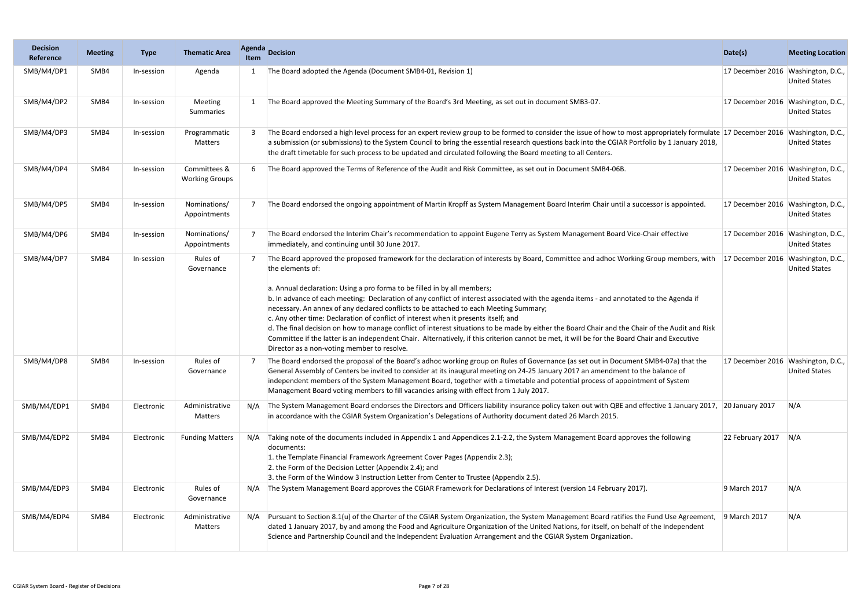| <b>Decision</b><br>Reference | <b>Meeting</b> | <b>Type</b> | <b>Thematic Area</b>                  | <b>Agenda</b><br><b>Item</b> | <b>Decision</b>                                                                                                                                                                                                                                                                                                                                                                                                                                                                                                                                                                                                                                                                                                                                                                                                                                                                                                     | Date(s)                            | <b>Meeting Location</b>                   |
|------------------------------|----------------|-------------|---------------------------------------|------------------------------|---------------------------------------------------------------------------------------------------------------------------------------------------------------------------------------------------------------------------------------------------------------------------------------------------------------------------------------------------------------------------------------------------------------------------------------------------------------------------------------------------------------------------------------------------------------------------------------------------------------------------------------------------------------------------------------------------------------------------------------------------------------------------------------------------------------------------------------------------------------------------------------------------------------------|------------------------------------|-------------------------------------------|
| SMB/M4/DP1                   | SMB4           | In-session  | Agenda                                |                              | The Board adopted the Agenda (Document SMB4-01, Revision 1)                                                                                                                                                                                                                                                                                                                                                                                                                                                                                                                                                                                                                                                                                                                                                                                                                                                         | 17 December 2016 Washington, D.C., | <b>United States</b>                      |
| SMB/M4/DP2                   | SMB4           | In-session  | Meeting<br>Summaries                  |                              | The Board approved the Meeting Summary of the Board's 3rd Meeting, as set out in document SMB3-07.                                                                                                                                                                                                                                                                                                                                                                                                                                                                                                                                                                                                                                                                                                                                                                                                                  | 17 December 2016 Washington, D.C., | <b>United States</b>                      |
| SMB/M4/DP3                   | SMB4           | In-session  | Programmatic<br>Matters               |                              | The Board endorsed a high level process for an expert review group to be formed to consider the issue of how to most appropriately formulate 17 December 2016<br>a submission (or submissions) to the System Council to bring the essential research questions back into the CGIAR Portfolio by 1 January 2018,<br>the draft timetable for such process to be updated and circulated following the Board meeting to all Centers.                                                                                                                                                                                                                                                                                                                                                                                                                                                                                    |                                    | Washington, D.C.,<br><b>United States</b> |
| SMB/M4/DP4                   | SMB4           | In-session  | Committees &<br><b>Working Groups</b> |                              | The Board approved the Terms of Reference of the Audit and Risk Committee, as set out in Document SMB4-06B.                                                                                                                                                                                                                                                                                                                                                                                                                                                                                                                                                                                                                                                                                                                                                                                                         | 17 December 2016 Washington, D.C., | <b>United States</b>                      |
| SMB/M4/DP5                   | SMB4           | In-session  | Nominations/<br>Appointments          |                              | The Board endorsed the ongoing appointment of Martin Kropff as System Management Board Interim Chair until a successor is appointed.                                                                                                                                                                                                                                                                                                                                                                                                                                                                                                                                                                                                                                                                                                                                                                                | 17 December 2016 Washington, D.C., | <b>United States</b>                      |
| SMB/M4/DP6                   | SMB4           | In-session  | Nominations/<br>Appointments          |                              | The Board endorsed the Interim Chair's recommendation to appoint Eugene Terry as System Management Board Vice-Chair effective<br>immediately, and continuing until 30 June 2017.                                                                                                                                                                                                                                                                                                                                                                                                                                                                                                                                                                                                                                                                                                                                    | 17 December 2016                   | Washington, D.C.,<br><b>United States</b> |
| SMB/M4/DP7                   | SMB4           | In-session  | Rules of<br>Governance                |                              | The Board approved the proposed framework for the declaration of interests by Board, Committee and adhoc Working Group members, with<br>the elements of:<br>a. Annual declaration: Using a pro forma to be filled in by all members;<br>b. In advance of each meeting: Declaration of any conflict of interest associated with the agenda items - and annotated to the Agenda if<br>necessary. An annex of any declared conflicts to be attached to each Meeting Summary;<br>c. Any other time: Declaration of conflict of interest when it presents itself; and<br>d. The final decision on how to manage conflict of interest situations to be made by either the Board Chair and the Chair of the Audit and Risk<br>Committee if the latter is an independent Chair. Alternatively, if this criterion cannot be met, it will be for the Board Chair and Executive<br>Director as a non-voting member to resolve. | 17 December 2016                   | Washington, D.C.,<br><b>United States</b> |
| SMB/M4/DP8                   | SMB4           | In-session  | Rules of<br>Governance                |                              | The Board endorsed the proposal of the Board's adhoc working group on Rules of Governance (as set out in Document SMB4-07a) that the<br>General Assembly of Centers be invited to consider at its inaugural meeting on 24-25 January 2017 an amendment to the balance of<br>independent members of the System Management Board, together with a timetable and potential process of appointment of System<br>Management Board voting members to fill vacancies arising with effect from 1 July 2017.                                                                                                                                                                                                                                                                                                                                                                                                                 | 17 December 2016 Washington, D.C., | <b>United States</b>                      |
| SMB/M4/EDP1                  | SMB4           | Electronic  | Administrative<br>Matters             | N/A                          | The System Management Board endorses the Directors and Officers liability insurance policy taken out with QBE and effective 1 January 2017, 20 January 2017<br>in accordance with the CGIAR System Organization's Delegations of Authority document dated 26 March 2015.                                                                                                                                                                                                                                                                                                                                                                                                                                                                                                                                                                                                                                            |                                    | N/A                                       |
| SMB/M4/EDP2                  | SMB4           | Electronic  | <b>Funding Matters</b>                | N/A                          | Taking note of the documents included in Appendix 1 and Appendices 2.1-2.2, the System Management Board approves the following<br>documents:<br>1. the Template Financial Framework Agreement Cover Pages (Appendix 2.3);<br>2. the Form of the Decision Letter (Appendix 2.4); and<br>3. the Form of the Window 3 Instruction Letter from Center to Trustee (Appendix 2.5).                                                                                                                                                                                                                                                                                                                                                                                                                                                                                                                                        | 22 February 2017 $N/A$             |                                           |
| SMB/M4/EDP3                  | SMB4           | Electronic  | Rules of<br>Governance                | N/A                          | The System Management Board approves the CGIAR Framework for Declarations of Interest (version 14 February 2017).                                                                                                                                                                                                                                                                                                                                                                                                                                                                                                                                                                                                                                                                                                                                                                                                   | 9 March 2017                       | N/A                                       |
| SMB/M4/EDP4                  | SMB4           | Electronic  | Administrative<br>Matters             | N/A                          | Pursuant to Section 8.1(u) of the Charter of the CGIAR System Organization, the System Management Board ratifies the Fund Use Agreement,<br>dated 1 January 2017, by and among the Food and Agriculture Organization of the United Nations, for itself, on behalf of the Independent<br>Science and Partnership Council and the Independent Evaluation Arrangement and the CGIAR System Organization.                                                                                                                                                                                                                                                                                                                                                                                                                                                                                                               | 9 March 2017                       | N/A                                       |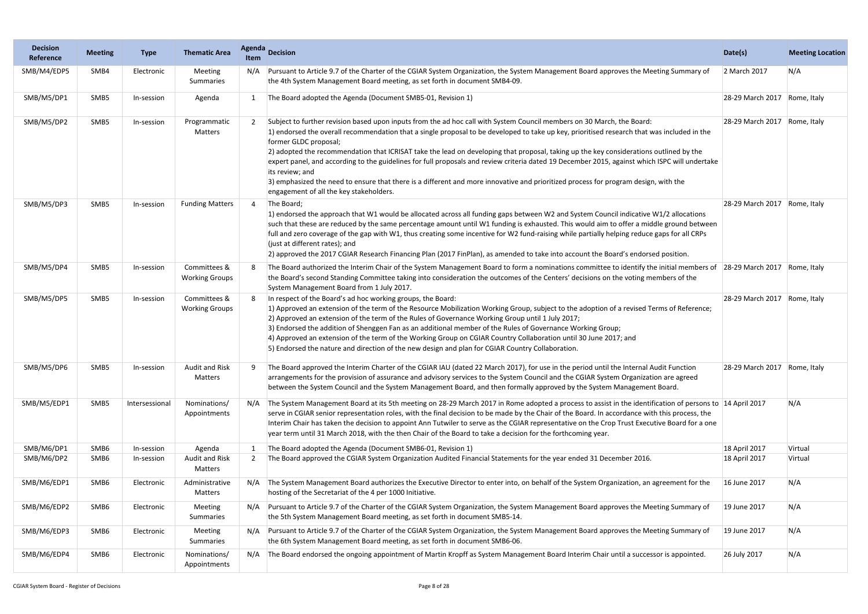| <b>Decision</b><br>Reference | <b>Meeting</b> | <b>Type</b>    | <b>Thematic Area</b>                  | Agenda<br>Item | <b>Decision</b>                                                                                                                                                                                                                                                                                                                                                                                                                                                                                                                                                                                                                                                                                                                                                                                 | Date(s)                      | <b>Meeting Location</b> |
|------------------------------|----------------|----------------|---------------------------------------|----------------|-------------------------------------------------------------------------------------------------------------------------------------------------------------------------------------------------------------------------------------------------------------------------------------------------------------------------------------------------------------------------------------------------------------------------------------------------------------------------------------------------------------------------------------------------------------------------------------------------------------------------------------------------------------------------------------------------------------------------------------------------------------------------------------------------|------------------------------|-------------------------|
| SMB/M4/EDP5                  | SMB4           | Electronic     | Meeting<br>Summaries                  | N/A            | Pursuant to Article 9.7 of the Charter of the CGIAR System Organization, the System Management Board approves the Meeting Summary of<br>the 4th System Management Board meeting, as set forth in document SMB4-09.                                                                                                                                                                                                                                                                                                                                                                                                                                                                                                                                                                              | 2 March 2017                 | N/A                     |
| SMB/M5/DP1                   | SMB5           | In-session     | Agenda                                |                | The Board adopted the Agenda (Document SMB5-01, Revision 1)                                                                                                                                                                                                                                                                                                                                                                                                                                                                                                                                                                                                                                                                                                                                     | 28-29 March 2017 Rome, Italy |                         |
| SMB/M5/DP2                   | SMB5           | In-session     | Programmatic<br>Matters               |                | Subject to further revision based upon inputs from the ad hoc call with System Council members on 30 March, the Board:<br>1) endorsed the overall recommendation that a single proposal to be developed to take up key, prioritised research that was included in the<br>former GLDC proposal;<br>2) adopted the recommendation that ICRISAT take the lead on developing that proposal, taking up the key considerations outlined by the<br>expert panel, and according to the guidelines for full proposals and review criteria dated 19 December 2015, against which ISPC will undertake<br>its review; and<br>3) emphasized the need to ensure that there is a different and more innovative and prioritized process for program design, with the<br>engagement of all the key stakeholders. | 28-29 March 2017 Rome, Italy |                         |
| SMB/M5/DP3                   | SMB5           | In-session     | <b>Funding Matters</b>                | $\overline{4}$ | The Board;<br>1) endorsed the approach that W1 would be allocated across all funding gaps between W2 and System Council indicative W1/2 allocations<br>such that these are reduced by the same percentage amount until W1 funding is exhausted. This would aim to offer a middle ground between<br>full and zero coverage of the gap with W1, thus creating some incentive for W2 fund-raising while partially helping reduce gaps for all CRPs<br>(just at different rates); and<br>2) approved the 2017 CGIAR Research Financing Plan (2017 FinPlan), as amended to take into account the Board's endorsed position.                                                                                                                                                                          | 28-29 March 2017 Rome, Italy |                         |
| SMB/M5/DP4                   | SMB5           | In-session     | Committees &<br><b>Working Groups</b> |                | The Board authorized the Interim Chair of the System Management Board to form a nominations committee to identify the initial members of 28-29 March 2017<br>the Board's second Standing Committee taking into consideration the outcomes of the Centers' decisions on the voting members of the<br>System Management Board from 1 July 2017.                                                                                                                                                                                                                                                                                                                                                                                                                                                   |                              | Rome, Italy             |
| SMB/M5/DP5                   | SMB5           | In-session     | Committees &<br><b>Working Groups</b> |                | In respect of the Board's ad hoc working groups, the Board:<br>1) Approved an extension of the term of the Resource Mobilization Working Group, subject to the adoption of a revised Terms of Reference;<br>2) Approved an extension of the term of the Rules of Governance Working Group until 1 July 2017;<br>3) Endorsed the addition of Shenggen Fan as an additional member of the Rules of Governance Working Group;<br>4) Approved an extension of the term of the Working Group on CGIAR Country Collaboration until 30 June 2017; and<br>5) Endorsed the nature and direction of the new design and plan for CGIAR Country Collaboration.                                                                                                                                              | 28-29 March 2017             | Rome, Italy             |
| SMB/M5/DP6                   | SMB5           | In-session     | <b>Audit and Risk</b><br>Matters      |                | The Board approved the Interim Charter of the CGIAR IAU (dated 22 March 2017), for use in the period until the Internal Audit Function<br>arrangements for the provision of assurance and advisory services to the System Council and the CGIAR System Organization are agreed<br>between the System Council and the System Management Board, and then formally approved by the System Management Board.                                                                                                                                                                                                                                                                                                                                                                                        | 28-29 March 2017 Rome, Italy |                         |
| SMB/M5/EDP1                  | SMB5           | Intersessional | Nominations/<br>Appointments          | N/A            | The System Management Board at its 5th meeting on 28-29 March 2017 in Rome adopted a process to assist in the identification of persons to 14 April 2017<br>serve in CGIAR senior representation roles, with the final decision to be made by the Chair of the Board. In accordance with this process, the<br>Interim Chair has taken the decision to appoint Ann Tutwiler to serve as the CGIAR representative on the Crop Trust Executive Board for a one<br>year term until 31 March 2018, with the then Chair of the Board to take a decision for the forthcoming year.                                                                                                                                                                                                                     |                              | N/A                     |
| SMB/M6/DP1                   | SMB6           | In-session     | Agenda                                |                | The Board adopted the Agenda (Document SMB6-01, Revision 1)                                                                                                                                                                                                                                                                                                                                                                                                                                                                                                                                                                                                                                                                                                                                     | 18 April 2017                | Virtual                 |
| SMB/M6/DP2                   | SMB6           | In-session     | Audit and Risk<br>Matters             |                | The Board approved the CGIAR System Organization Audited Financial Statements for the year ended 31 December 2016.                                                                                                                                                                                                                                                                                                                                                                                                                                                                                                                                                                                                                                                                              | 18 April 2017                | Virtual                 |
| SMB/M6/EDP1                  | SMB6           | Electronic     | Administrative<br>Matters             | N/A            | The System Management Board authorizes the Executive Director to enter into, on behalf of the System Organization, an agreement for the<br>hosting of the Secretariat of the 4 per 1000 Initiative.                                                                                                                                                                                                                                                                                                                                                                                                                                                                                                                                                                                             | 16 June 2017                 | N/A                     |
| SMB/M6/EDP2                  | SMB6           | Electronic     | Meeting<br>Summaries                  | N/A            | Pursuant to Article 9.7 of the Charter of the CGIAR System Organization, the System Management Board approves the Meeting Summary of<br>the 5th System Management Board meeting, as set forth in document SMB5-14.                                                                                                                                                                                                                                                                                                                                                                                                                                                                                                                                                                              | 19 June 2017                 | N/A                     |
| SMB/M6/EDP3                  | SMB6           | Electronic     | Meeting<br>Summaries                  | N/A            | Pursuant to Article 9.7 of the Charter of the CGIAR System Organization, the System Management Board approves the Meeting Summary of<br>the 6th System Management Board meeting, as set forth in document SMB6-06.                                                                                                                                                                                                                                                                                                                                                                                                                                                                                                                                                                              | 19 June 2017                 | N/A                     |
| SMB/M6/EDP4                  | SMB6           | Electronic     | Nominations/<br>Appointments          | N/A            | The Board endorsed the ongoing appointment of Martin Kropff as System Management Board Interim Chair until a successor is appointed.                                                                                                                                                                                                                                                                                                                                                                                                                                                                                                                                                                                                                                                            | 26 July 2017                 | N/A                     |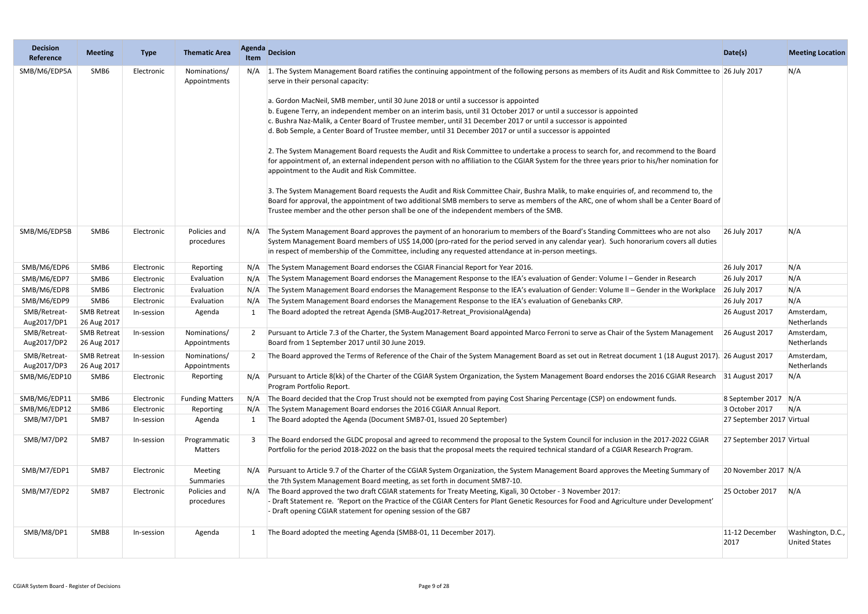| <b>Decision</b><br>Reference | <b>Meeting</b>                    | <b>Type</b> | <b>Thematic Area</b>         | <b>Agenda</b><br>Item | <b>Decision</b>                                                                                                                                                                                                                                                                                                                                                                                                                                                                                                                                                                                                                                                                                                                                                                                                                                                                                                                                                                                                                                                                                                                                                                                                                                                                                                                                                          | Date(s)                   | <b>Meeting Location</b>                   |
|------------------------------|-----------------------------------|-------------|------------------------------|-----------------------|--------------------------------------------------------------------------------------------------------------------------------------------------------------------------------------------------------------------------------------------------------------------------------------------------------------------------------------------------------------------------------------------------------------------------------------------------------------------------------------------------------------------------------------------------------------------------------------------------------------------------------------------------------------------------------------------------------------------------------------------------------------------------------------------------------------------------------------------------------------------------------------------------------------------------------------------------------------------------------------------------------------------------------------------------------------------------------------------------------------------------------------------------------------------------------------------------------------------------------------------------------------------------------------------------------------------------------------------------------------------------|---------------------------|-------------------------------------------|
| SMB/M6/EDP5A                 | SMB6                              | Electronic  | Nominations/<br>Appointments |                       | N/A 1. The System Management Board ratifies the continuing appointment of the following persons as members of its Audit and Risk Committee to 26 July 2017<br>serve in their personal capacity:<br>a. Gordon MacNeil, SMB member, until 30 June 2018 or until a successor is appointed<br>b. Eugene Terry, an independent member on an interim basis, until 31 October 2017 or until a successor is appointed<br>c. Bushra Naz-Malik, a Center Board of Trustee member, until 31 December 2017 or until a successor is appointed<br>d. Bob Semple, a Center Board of Trustee member, until 31 December 2017 or until a successor is appointed<br>2. The System Management Board requests the Audit and Risk Committee to undertake a process to search for, and recommend to the Board<br>for appointment of, an external independent person with no affiliation to the CGIAR System for the three years prior to his/her nomination for<br>appointment to the Audit and Risk Committee.<br>3. The System Management Board requests the Audit and Risk Committee Chair, Bushra Malik, to make enquiries of, and recommend to, the<br>Board for approval, the appointment of two additional SMB members to serve as members of the ARC, one of whom shall be a Center Board of<br>Trustee member and the other person shall be one of the independent members of the SMB. |                           | N/A                                       |
| SMB/M6/EDP5B                 | SMB6                              | Electronic  | Policies and<br>procedures   | N/A                   | The System Management Board approves the payment of an honorarium to members of the Board's Standing Committees who are not also<br>System Management Board members of US\$ 14,000 (pro-rated for the period served in any calendar year). Such honorarium covers all duties<br>in respect of membership of the Committee, including any requested attendance at in-person meetings.                                                                                                                                                                                                                                                                                                                                                                                                                                                                                                                                                                                                                                                                                                                                                                                                                                                                                                                                                                                     | 26 July 2017              | N/A                                       |
| SMB/M6/EDP6                  | SMB6                              | Electronic  | Reporting                    | N/A                   | The System Management Board endorses the CGIAR Financial Report for Year 2016.                                                                                                                                                                                                                                                                                                                                                                                                                                                                                                                                                                                                                                                                                                                                                                                                                                                                                                                                                                                                                                                                                                                                                                                                                                                                                           | 26 July 2017              | N/A                                       |
| SMB/M6/EDP7                  | SMB6                              | Electronic  | Evaluation                   | N/A                   | The System Management Board endorses the Management Response to the IEA's evaluation of Gender: Volume I - Gender in Research                                                                                                                                                                                                                                                                                                                                                                                                                                                                                                                                                                                                                                                                                                                                                                                                                                                                                                                                                                                                                                                                                                                                                                                                                                            | 26 July 2017              | N/A                                       |
| SMB/M6/EDP8                  | SMB6                              | Electronic  | Evaluation                   | N/A                   | The System Management Board endorses the Management Response to the IEA's evaluation of Gender: Volume II - Gender in the Workplace                                                                                                                                                                                                                                                                                                                                                                                                                                                                                                                                                                                                                                                                                                                                                                                                                                                                                                                                                                                                                                                                                                                                                                                                                                      | 26 July 2017              | N/A                                       |
| SMB/M6/EDP9                  | SMB6                              | Electronic  | Evaluation                   | N/A                   | The System Management Board endorses the Management Response to the IEA's evaluation of Genebanks CRP.                                                                                                                                                                                                                                                                                                                                                                                                                                                                                                                                                                                                                                                                                                                                                                                                                                                                                                                                                                                                                                                                                                                                                                                                                                                                   | 26 July 2017              | N/A                                       |
| SMB/Retreat-<br>Aug2017/DP1  | <b>SMB Retreat</b><br>26 Aug 2017 | In-session  | Agenda                       | -1                    | The Board adopted the retreat Agenda (SMB-Aug2017-Retreat_ProvisionalAgenda)                                                                                                                                                                                                                                                                                                                                                                                                                                                                                                                                                                                                                                                                                                                                                                                                                                                                                                                                                                                                                                                                                                                                                                                                                                                                                             | 26 August 2017            | Amsterdam,<br>Netherlands                 |
| SMB/Retreat-<br>Aug2017/DP2  | <b>SMB Retreat</b><br>26 Aug 2017 | In-session  | Nominations/<br>Appointments | 2                     | Pursuant to Article 7.3 of the Charter, the System Management Board appointed Marco Ferroni to serve as Chair of the System Management<br>Board from 1 September 2017 until 30 June 2019.                                                                                                                                                                                                                                                                                                                                                                                                                                                                                                                                                                                                                                                                                                                                                                                                                                                                                                                                                                                                                                                                                                                                                                                | 26 August 2017            | Amsterdam,<br>Netherlands                 |
| SMB/Retreat-<br>Aug2017/DP3  | <b>SMB Retreat</b><br>26 Aug 2017 | In-session  | Nominations/<br>Appointments |                       | The Board approved the Terms of Reference of the Chair of the System Management Board as set out in Retreat document 1 (18 August 2017). 26 August 2017                                                                                                                                                                                                                                                                                                                                                                                                                                                                                                                                                                                                                                                                                                                                                                                                                                                                                                                                                                                                                                                                                                                                                                                                                  |                           | Amsterdam,<br>Netherlands                 |
| SMB/M6/EDP10                 | SMB6                              | Electronic  | Reporting                    | N/A                   | Pursuant to Article 8(kk) of the Charter of the CGIAR System Organization, the System Management Board endorses the 2016 CGIAR Research<br>Program Portfolio Report.                                                                                                                                                                                                                                                                                                                                                                                                                                                                                                                                                                                                                                                                                                                                                                                                                                                                                                                                                                                                                                                                                                                                                                                                     | 31 August 2017            | N/A                                       |
| SMB/M6/EDP11                 | SMB6                              | Electronic  | <b>Funding Matters</b>       | N/A                   | The Board decided that the Crop Trust should not be exempted from paying Cost Sharing Percentage (CSP) on endowment funds.                                                                                                                                                                                                                                                                                                                                                                                                                                                                                                                                                                                                                                                                                                                                                                                                                                                                                                                                                                                                                                                                                                                                                                                                                                               | 8 September 2017 N/A      |                                           |
| SMB/M6/EDP12                 | SMB6                              | Electronic  | Reporting                    | N/A                   | The System Management Board endorses the 2016 CGIAR Annual Report.                                                                                                                                                                                                                                                                                                                                                                                                                                                                                                                                                                                                                                                                                                                                                                                                                                                                                                                                                                                                                                                                                                                                                                                                                                                                                                       | 3 October 2017            | N/A                                       |
| SMB/M7/DP1                   | SMB7                              | In-session  | Agenda                       |                       | The Board adopted the Agenda (Document SMB7-01, Issued 20 September)                                                                                                                                                                                                                                                                                                                                                                                                                                                                                                                                                                                                                                                                                                                                                                                                                                                                                                                                                                                                                                                                                                                                                                                                                                                                                                     | 27 September 2017 Virtual |                                           |
| SMB/M7/DP2                   | SMB7                              | In-session  | Programmatic<br>Matters      |                       | The Board endorsed the GLDC proposal and agreed to recommend the proposal to the System Council for inclusion in the 2017-2022 CGIAR<br>Portfolio for the period 2018-2022 on the basis that the proposal meets the required technical standard of a CGIAR Research Program.                                                                                                                                                                                                                                                                                                                                                                                                                                                                                                                                                                                                                                                                                                                                                                                                                                                                                                                                                                                                                                                                                             | 27 September 2017 Virtual |                                           |
| SMB/M7/EDP1                  | SMB7                              | Electronic  | Meeting<br>Summaries         | N/A                   | Pursuant to Article 9.7 of the Charter of the CGIAR System Organization, the System Management Board approves the Meeting Summary of<br>the 7th System Management Board meeting, as set forth in document SMB7-10.                                                                                                                                                                                                                                                                                                                                                                                                                                                                                                                                                                                                                                                                                                                                                                                                                                                                                                                                                                                                                                                                                                                                                       | 20 November 2017 N/A      |                                           |
| SMB/M7/EDP2                  | SMB7                              | Electronic  | Policies and<br>procedures   | N/A                   | The Board approved the two draft CGIAR statements for Treaty Meeting, Kigali, 30 October - 3 November 2017:<br>- Draft Statement re. 'Report on the Practice of the CGIAR Centers for Plant Genetic Resources for Food and Agriculture under Development'<br>- Draft opening CGIAR statement for opening session of the GB7                                                                                                                                                                                                                                                                                                                                                                                                                                                                                                                                                                                                                                                                                                                                                                                                                                                                                                                                                                                                                                              | 25 October 2017           | N/A                                       |
| SMB/M8/DP1                   | SMB8                              | In-session  | Agenda                       |                       | The Board adopted the meeting Agenda (SMB8-01, 11 December 2017).                                                                                                                                                                                                                                                                                                                                                                                                                                                                                                                                                                                                                                                                                                                                                                                                                                                                                                                                                                                                                                                                                                                                                                                                                                                                                                        | 11-12 December<br>2017    | Washington, D.C.,<br><b>United States</b> |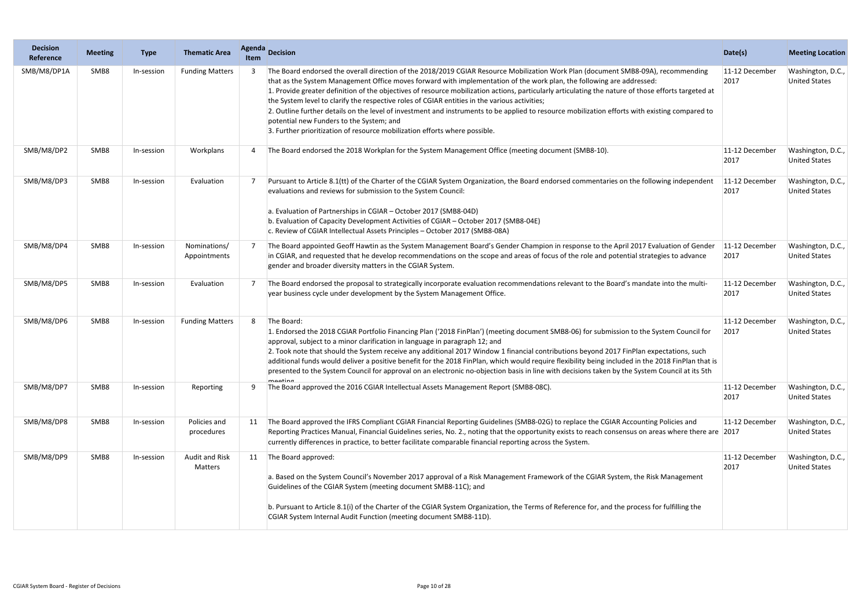| <b>Decision</b><br>Reference | <b>Meeting</b> | <b>Type</b> | <b>Thematic Area</b>             | Agenda<br><b>Item</b> | <b>Decision</b>                                                                                                                                                                                                                                                                                                                                                                                                                                                                                                                                                                                                                                                                                                                                                                                | Date(s)                | <b>Meeting Location</b>                   |
|------------------------------|----------------|-------------|----------------------------------|-----------------------|------------------------------------------------------------------------------------------------------------------------------------------------------------------------------------------------------------------------------------------------------------------------------------------------------------------------------------------------------------------------------------------------------------------------------------------------------------------------------------------------------------------------------------------------------------------------------------------------------------------------------------------------------------------------------------------------------------------------------------------------------------------------------------------------|------------------------|-------------------------------------------|
| SMB/M8/DP1A                  | SMB8           | In-session  | <b>Funding Matters</b>           |                       | The Board endorsed the overall direction of the 2018/2019 CGIAR Resource Mobilization Work Plan (document SMB8-09A), recommending<br>that as the System Management Office moves forward with implementation of the work plan, the following are addressed:<br>1. Provide greater definition of the objectives of resource mobilization actions, particularly articulating the nature of those efforts targeted at<br>the System level to clarify the respective roles of CGIAR entities in the various activities;<br>2. Outline further details on the level of investment and instruments to be applied to resource mobilization efforts with existing compared to<br>potential new Funders to the System; and<br>3. Further prioritization of resource mobilization efforts where possible. | 11-12 December<br>2017 | Washington, D.C.,<br><b>United States</b> |
| SMB/M8/DP2                   | SMB8           | In-session  | Workplans                        |                       | The Board endorsed the 2018 Workplan for the System Management Office (meeting document (SMB8-10).                                                                                                                                                                                                                                                                                                                                                                                                                                                                                                                                                                                                                                                                                             | 11-12 December<br>2017 | Washington, D.C.,<br><b>United States</b> |
| SMB/M8/DP3                   | SMB8           | In-session  | Evaluation                       |                       | Pursuant to Article 8.1(tt) of the Charter of the CGIAR System Organization, the Board endorsed commentaries on the following independent<br>evaluations and reviews for submission to the System Council:<br>a. Evaluation of Partnerships in CGIAR - October 2017 (SMB8-04D)<br>b. Evaluation of Capacity Development Activities of CGIAR - October 2017 (SMB8-04E)<br>c. Review of CGIAR Intellectual Assets Principles - October 2017 (SMB8-08A)                                                                                                                                                                                                                                                                                                                                           | 11-12 December<br>2017 | Washington, D.C.,<br><b>United States</b> |
| SMB/M8/DP4                   | SMB8           | In-session  | Nominations/<br>Appointments     |                       | The Board appointed Geoff Hawtin as the System Management Board's Gender Champion in response to the April 2017 Evaluation of Gender<br>in CGIAR, and requested that he develop recommendations on the scope and areas of focus of the role and potential strategies to advance<br>gender and broader diversity matters in the CGIAR System.                                                                                                                                                                                                                                                                                                                                                                                                                                                   | 11-12 December<br>2017 | Washington, D.C.,<br><b>United States</b> |
| SMB/M8/DP5                   | SMB8           | In-session  | Evaluation                       |                       | The Board endorsed the proposal to strategically incorporate evaluation recommendations relevant to the Board's mandate into the multi-<br>year business cycle under development by the System Management Office.                                                                                                                                                                                                                                                                                                                                                                                                                                                                                                                                                                              | 11-12 December<br>2017 | Washington, D.C.,<br><b>United States</b> |
| SMB/M8/DP6                   | SMB8           | In-session  | <b>Funding Matters</b>           | 8                     | The Board:<br>1. Endorsed the 2018 CGIAR Portfolio Financing Plan ('2018 FinPlan') (meeting document SMB8-06) for submission to the System Council for<br>approval, subject to a minor clarification in language in paragraph 12; and<br>2. Took note that should the System receive any additional 2017 Window 1 financial contributions beyond 2017 FinPlan expectations, such<br>additional funds would deliver a positive benefit for the 2018 FinPlan, which would require flexibility being included in the 2018 FinPlan that is<br>presented to the System Council for approval on an electronic no-objection basis in line with decisions taken by the System Council at its 5th<br>mooting                                                                                            | 11-12 December<br>2017 | Washington, D.C.,<br><b>United States</b> |
| SMB/M8/DP7                   | SMB8           | In-session  | Reporting                        | -9                    | The Board approved the 2016 CGIAR Intellectual Assets Management Report (SMB8-08C).                                                                                                                                                                                                                                                                                                                                                                                                                                                                                                                                                                                                                                                                                                            | 11-12 December<br>2017 | Washington, D.C.,<br><b>United States</b> |
| SMB/M8/DP8                   | SMB8           | In-session  | Policies and<br>procedures       | 11                    | The Board approved the IFRS Compliant CGIAR Financial Reporting Guidelines (SMB8-02G) to replace the CGIAR Accounting Policies and<br>Reporting Practices Manual, Financial Guidelines series, No. 2., noting that the opportunity exists to reach consensus on areas where there are 2017<br>currently differences in practice, to better facilitate comparable financial reporting across the System.                                                                                                                                                                                                                                                                                                                                                                                        | 11-12 December         | Washington, D.C.,<br><b>United States</b> |
| SMB/M8/DP9                   | SMB8           | In-session  | <b>Audit and Risk</b><br>Matters | 11                    | The Board approved:<br>a. Based on the System Council's November 2017 approval of a Risk Management Framework of the CGIAR System, the Risk Management<br>Guidelines of the CGIAR System (meeting document SMB8-11C); and<br>b. Pursuant to Article 8.1(i) of the Charter of the CGIAR System Organization, the Terms of Reference for, and the process for fulfilling the<br>CGIAR System Internal Audit Function (meeting document SMB8-11D).                                                                                                                                                                                                                                                                                                                                                | 11-12 December<br>2017 | Washington, D.C.,<br><b>United States</b> |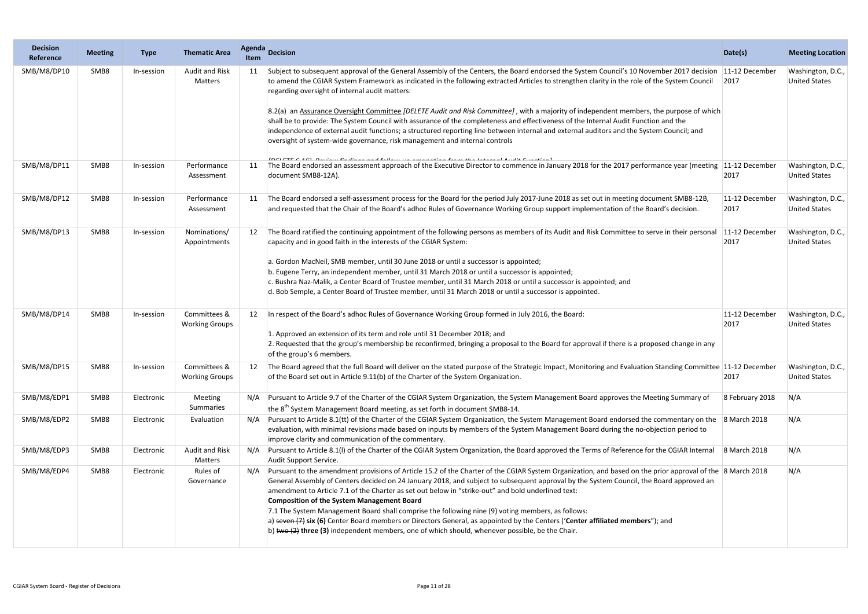| <b>Decision</b><br>Reference | <b>Meeting</b> | <b>Type</b> | <b>Thematic Area</b>                  | <b>Agenda</b><br>Item | <b>Decision</b>                                                                                                                                                                                                                                                                                                                                                                                                                                                                                                                                                                                                                                                                                                                                                                                                                                        | Date(s)                | <b>Meeting Location</b>                   |
|------------------------------|----------------|-------------|---------------------------------------|-----------------------|--------------------------------------------------------------------------------------------------------------------------------------------------------------------------------------------------------------------------------------------------------------------------------------------------------------------------------------------------------------------------------------------------------------------------------------------------------------------------------------------------------------------------------------------------------------------------------------------------------------------------------------------------------------------------------------------------------------------------------------------------------------------------------------------------------------------------------------------------------|------------------------|-------------------------------------------|
| SMB/M8/DP10                  | SMB8           | In-session  | <b>Audit and Risk</b><br>Matters      | 11                    | Subject to subsequent approval of the General Assembly of the Centers, the Board endorsed the System Council's 10 November 2017 decision<br>to amend the CGIAR System Framework as indicated in the following extracted Articles to strengthen clarity in the role of the System Council<br>regarding oversight of internal audit matters:<br>8.2(a) an Assurance Oversight Committee [DELETE Audit and Risk Committee], with a majority of independent members, the purpose of which<br>shall be to provide: The System Council with assurance of the completeness and effectiveness of the Internal Audit Function and the<br>independence of external audit functions; a structured reporting line between internal and external auditors and the System Council; and<br>oversight of system-wide governance, risk management and internal controls | 11-12 December<br>2017 | Washington, D.C.,<br><b>United States</b> |
| SMB/M8/DP11                  | SMB8           | In-session  | Performance<br>Assessment             |                       | [DELETE C.4/1]. Davisur finalinan and fallace con accommation forms the Internal Acolis Fernation]<br>The Board endorsed an assessment approach of the Executive Director to commence in January 2018 for the 2017 performance year (meeting 11-12 December<br>document SMB8-12A).                                                                                                                                                                                                                                                                                                                                                                                                                                                                                                                                                                     | 2017                   | Washington, D.C.,<br><b>United States</b> |
| SMB/M8/DP12                  | SMB8           | In-session  | Performance<br>Assessment             |                       | The Board endorsed a self-assessment process for the Board for the period July 2017-June 2018 as set out in meeting document SMB8-12B,<br>and requested that the Chair of the Board's adhoc Rules of Governance Working Group support implementation of the Board's decision.                                                                                                                                                                                                                                                                                                                                                                                                                                                                                                                                                                          | 11-12 December<br>2017 | Washington, D.C.,<br><b>United States</b> |
| SMB/M8/DP13                  | SMB8           | In-session  | Nominations/<br>Appointments          |                       | The Board ratified the continuing appointment of the following persons as members of its Audit and Risk Committee to serve in their personal<br>capacity and in good faith in the interests of the CGIAR System:<br>a. Gordon MacNeil, SMB member, until 30 June 2018 or until a successor is appointed;<br>b. Eugene Terry, an independent member, until 31 March 2018 or until a successor is appointed;<br>c. Bushra Naz-Malik, a Center Board of Trustee member, until 31 March 2018 or until a successor is appointed; and<br>d. Bob Semple, a Center Board of Trustee member, until 31 March 2018 or until a successor is appointed.                                                                                                                                                                                                             | 11-12 December<br>2017 | Washington, D.C.,<br><b>United States</b> |
| SMB/M8/DP14                  | SMB8           | In-session  | Committees &<br><b>Working Groups</b> |                       | In respect of the Board's adhoc Rules of Governance Working Group formed in July 2016, the Board:<br>1. Approved an extension of its term and role until 31 December 2018; and<br>2. Requested that the group's membership be reconfirmed, bringing a proposal to the Board for approval if there is a proposed change in any<br>of the group's 6 members.                                                                                                                                                                                                                                                                                                                                                                                                                                                                                             | 11-12 December<br>2017 | Washington, D.C.,<br><b>United States</b> |
| SMB/M8/DP15                  | SMB8           | In-session  | Committees &<br><b>Working Groups</b> |                       | The Board agreed that the full Board will deliver on the stated purpose of the Strategic Impact, Monitoring and Evaluation Standing Committee 11-12 December<br>of the Board set out in Article 9.11(b) of the Charter of the System Organization.                                                                                                                                                                                                                                                                                                                                                                                                                                                                                                                                                                                                     | 2017                   | Washington, D.C.,<br><b>United States</b> |
| SMB/M8/EDP1                  | SMB8           | Electronic  | Meeting<br>Summaries                  |                       | N/A Pursuant to Article 9.7 of the Charter of the CGIAR System Organization, the System Management Board approves the Meeting Summary of<br>the $8th$ System Management Board meeting, as set forth in document SMB8-14.                                                                                                                                                                                                                                                                                                                                                                                                                                                                                                                                                                                                                               | 8 February 2018        | N/A                                       |
| SMB/M8/EDP2                  | SMB8           | Electronic  | Evaluation                            |                       | Pursuant to Article 8.1(tt) of the Charter of the CGIAR System Organization, the System Management Board endorsed the commentary on the 8 March 2018<br>evaluation, with minimal revisions made based on inputs by members of the System Management Board during the no-objection period to<br>improve clarity and communication of the commentary.                                                                                                                                                                                                                                                                                                                                                                                                                                                                                                    |                        | N/A                                       |
| SMB/M8/EDP3                  | SMB8           | Electronic  | <b>Audit and Risk</b><br>Matters      | N/A                   | Pursuant to Article 8.1(I) of the Charter of the CGIAR System Organization, the Board approved the Terms of Reference for the CGIAR Internal<br>Audit Support Service.                                                                                                                                                                                                                                                                                                                                                                                                                                                                                                                                                                                                                                                                                 | 8 March 2018           | N/A                                       |
| SMB/M8/EDP4                  | SMB8           | Electronic  | Rules of<br>Governance                | N/A                   | Pursuant to the amendment provisions of Article 15.2 of the Charter of the CGIAR System Organization, and based on the prior approval of the 8 March 2018<br>General Assembly of Centers decided on 24 January 2018, and subject to subsequent approval by the System Council, the Board approved an<br>amendment to Article 7.1 of the Charter as set out below in "strike-out" and bold underlined text:<br><b>Composition of the System Management Board</b><br>7.1 The System Management Board shall comprise the following nine (9) voting members, as follows:<br>a) seven $(7)$ six (6) Center Board members or Directors General, as appointed by the Centers ('Center affiliated members"); and<br>b) two $(2)$ three (3) independent members, one of which should, whenever possible, be the Chair.                                          |                        | N/A                                       |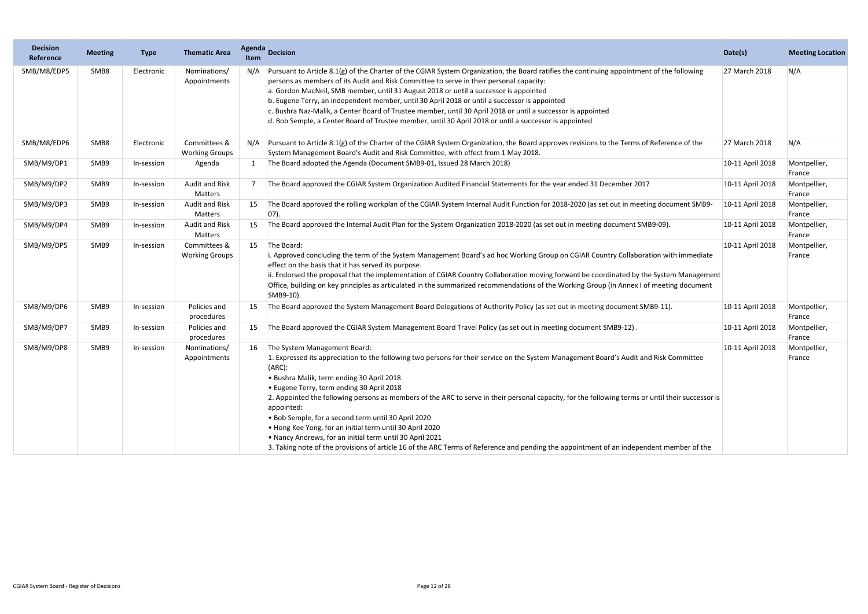| <b>Decision</b><br>Reference | <b>Meeting</b> | <b>Type</b> | <b>Thematic Area</b>                  | <b>Agenda</b><br><b>Item</b> | <b>Decision</b>                                                                                                                                                                                                                                                                                                                                                                                                                                                                                                                                                                                                                                                                                                                                                             | Date(s)          | <b>Meeting Location</b> |
|------------------------------|----------------|-------------|---------------------------------------|------------------------------|-----------------------------------------------------------------------------------------------------------------------------------------------------------------------------------------------------------------------------------------------------------------------------------------------------------------------------------------------------------------------------------------------------------------------------------------------------------------------------------------------------------------------------------------------------------------------------------------------------------------------------------------------------------------------------------------------------------------------------------------------------------------------------|------------------|-------------------------|
| SMB/M8/EDP5                  | SMB8           | Electronic  | Nominations/<br>Appointments          | N/A                          | Pursuant to Article 8.1(g) of the Charter of the CGIAR System Organization, the Board ratifies the continuing appointment of the following<br>persons as members of its Audit and Risk Committee to serve in their personal capacity:<br>a. Gordon MacNeil, SMB member, until 31 August 2018 or until a successor is appointed<br>b. Eugene Terry, an independent member, until 30 April 2018 or until a successor is appointed<br>c. Bushra Naz-Malik, a Center Board of Trustee member, until 30 April 2018 or until a successor is appointed<br>d. Bob Semple, a Center Board of Trustee member, until 30 April 2018 or until a successor is appointed                                                                                                                   | 27 March 2018    | N/A                     |
| SMB/M8/EDP6                  | SMB8           | Electronic  | Committees &<br><b>Working Groups</b> |                              | Pursuant to Article 8.1(g) of the Charter of the CGIAR System Organization, the Board approves revisions to the Terms of Reference of the<br>System Management Board's Audit and Risk Committee, with effect from 1 May 2018.                                                                                                                                                                                                                                                                                                                                                                                                                                                                                                                                               | 27 March 2018    | N/A                     |
| SMB/M9/DP1                   | SMB9           | In-session  | Agenda                                | 1                            | The Board adopted the Agenda (Document SMB9-01, Issued 28 March 2018)                                                                                                                                                                                                                                                                                                                                                                                                                                                                                                                                                                                                                                                                                                       | 10-11 April 2018 | Montpellier,<br>France  |
| SMB/M9/DP2                   | SMB9           | In-session  | <b>Audit and Risk</b><br>Matters      | 7                            | The Board approved the CGIAR System Organization Audited Financial Statements for the year ended 31 December 2017                                                                                                                                                                                                                                                                                                                                                                                                                                                                                                                                                                                                                                                           | 10-11 April 2018 | Montpellier,<br>France  |
| SMB/M9/DP3                   | SMB9           | In-session  | <b>Audit and Risk</b><br>Matters      |                              | The Board approved the rolling workplan of the CGIAR System Internal Audit Function for 2018-2020 (as set out in meeting document SMB9-<br>$ 07$ ).                                                                                                                                                                                                                                                                                                                                                                                                                                                                                                                                                                                                                         | 10-11 April 2018 | Montpellier,<br>France  |
| SMB/M9/DP4                   | SMB9           | In-session  | <b>Audit and Risk</b><br>Matters      | 15                           | The Board approved the Internal Audit Plan for the System Organization 2018-2020 (as set out in meeting document SMB9-09).                                                                                                                                                                                                                                                                                                                                                                                                                                                                                                                                                                                                                                                  | 10-11 April 2018 | Montpellier,<br>France  |
| SMB/M9/DP5                   | SMB9           | In-session  | Committees &<br><b>Working Groups</b> | 15                           | The Board:<br>i. Approved concluding the term of the System Management Board's ad hoc Working Group on CGIAR Country Collaboration with immediate<br>effect on the basis that it has served its purpose.<br>ii. Endorsed the proposal that the implementation of CGIAR Country Collaboration moving forward be coordinated by the System Management<br>Office, building on key principles as articulated in the summarized recommendations of the Working Group (in Annex I of meeting document<br>SMB9-10).                                                                                                                                                                                                                                                                | 10-11 April 2018 | Montpellier,<br>France  |
| SMB/M9/DP6                   | SMB9           | In-session  | Policies and<br>procedures            | 15                           | The Board approved the System Management Board Delegations of Authority Policy (as set out in meeting document SMB9-11).                                                                                                                                                                                                                                                                                                                                                                                                                                                                                                                                                                                                                                                    | 10-11 April 2018 | Montpellier,<br>France  |
| SMB/M9/DP7                   | SMB9           | In-session  | Policies and<br>procedures            |                              | The Board approved the CGIAR System Management Board Travel Policy (as set out in meeting document SMB9-12).                                                                                                                                                                                                                                                                                                                                                                                                                                                                                                                                                                                                                                                                | 10-11 April 2018 | Montpellier,<br>France  |
| SMB/M9/DP8                   | SMB9           | In-session  | Nominations/<br>Appointments          | 16                           | The System Management Board:<br>1. Expressed its appreciation to the following two persons for their service on the System Management Board's Audit and Risk Committee<br>$(ARC)$ :<br>. Bushra Malik, term ending 30 April 2018<br>• Eugene Terry, term ending 30 April 2018<br>2. Appointed the following persons as members of the ARC to serve in their personal capacity, for the following terms or until their successor is<br>appointed:<br>. Bob Semple, for a second term until 30 April 2020<br>• Hong Kee Yong, for an initial term until 30 April 2020<br>. Nancy Andrews, for an initial term until 30 April 2021<br>3. Taking note of the provisions of article 16 of the ARC Terms of Reference and pending the appointment of an independent member of the | 10-11 April 2018 | Montpellier,<br>France  |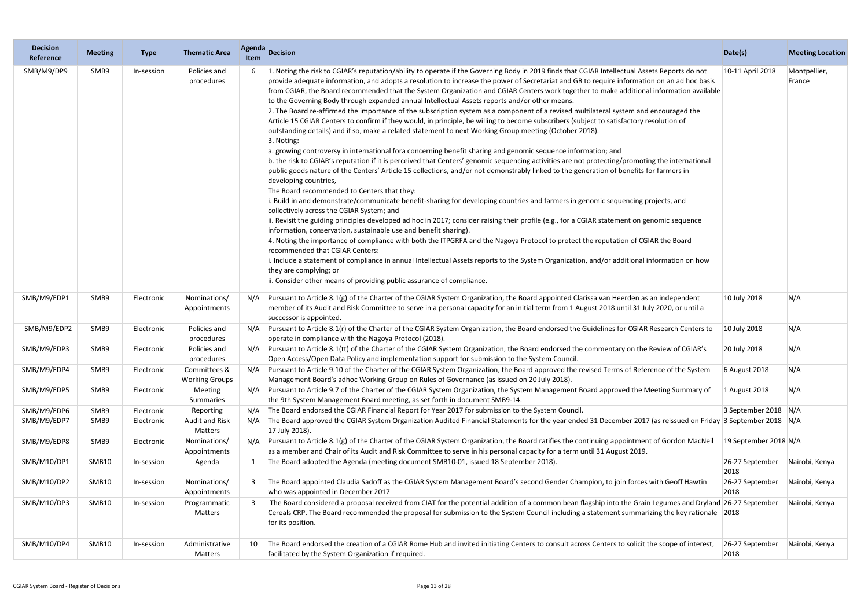| <b>Decision</b><br>Reference | <b>Meeting</b> | <b>Type</b> | <b>Thematic Area</b>                  | <b>Agenda</b><br><b>Item</b> | Decision                                                                                                                                                                                                                                                                                                                                                                                                                                                                                                                                                                                                                                                                                                                                                                                                                                                                                                                                                                                                                                                                                                                                                                                                                                                                                                                                                                                                                                                                                                                                                                                                                                                                                                                                                                                                                                                                                                                                                                                                                                                                                                                                                                                                                                                                    | Date(s)                 | <b>Meeting Location</b> |
|------------------------------|----------------|-------------|---------------------------------------|------------------------------|-----------------------------------------------------------------------------------------------------------------------------------------------------------------------------------------------------------------------------------------------------------------------------------------------------------------------------------------------------------------------------------------------------------------------------------------------------------------------------------------------------------------------------------------------------------------------------------------------------------------------------------------------------------------------------------------------------------------------------------------------------------------------------------------------------------------------------------------------------------------------------------------------------------------------------------------------------------------------------------------------------------------------------------------------------------------------------------------------------------------------------------------------------------------------------------------------------------------------------------------------------------------------------------------------------------------------------------------------------------------------------------------------------------------------------------------------------------------------------------------------------------------------------------------------------------------------------------------------------------------------------------------------------------------------------------------------------------------------------------------------------------------------------------------------------------------------------------------------------------------------------------------------------------------------------------------------------------------------------------------------------------------------------------------------------------------------------------------------------------------------------------------------------------------------------------------------------------------------------------------------------------------------------|-------------------------|-------------------------|
| SMB/M9/DP9                   | SMB9           | In-session  | Policies and<br>procedures            |                              | 1. Noting the risk to CGIAR's reputation/ability to operate if the Governing Body in 2019 finds that CGIAR Intellectual Assets Reports do not<br>provide adequate information, and adopts a resolution to increase the power of Secretariat and GB to require information on an ad hoc basis<br>from CGIAR, the Board recommended that the System Organization and CGIAR Centers work together to make additional information available<br>to the Governing Body through expanded annual Intellectual Assets reports and/or other means.<br>2. The Board re-affirmed the importance of the subscription system as a component of a revised multilateral system and encouraged the<br>Article 15 CGIAR Centers to confirm if they would, in principle, be willing to become subscribers (subject to satisfactory resolution of<br>outstanding details) and if so, make a related statement to next Working Group meeting (October 2018).<br>3. Noting:<br>a. growing controversy in international fora concerning benefit sharing and genomic sequence information; and<br>b. the risk to CGIAR's reputation if it is perceived that Centers' genomic sequencing activities are not protecting/promoting the international<br>public goods nature of the Centers' Article 15 collections, and/or not demonstrably linked to the generation of benefits for farmers in<br>developing countries,<br>The Board recommended to Centers that they:<br>i. Build in and demonstrate/communicate benefit-sharing for developing countries and farmers in genomic sequencing projects, and<br>collectively across the CGIAR System; and<br>ii. Revisit the guiding principles developed ad hoc in 2017; consider raising their profile (e.g., for a CGIAR statement on genomic sequence<br>information, conservation, sustainable use and benefit sharing).<br>4. Noting the importance of compliance with both the ITPGRFA and the Nagoya Protocol to protect the reputation of CGIAR the Board<br>recommended that CGIAR Centers:<br>i. Include a statement of compliance in annual Intellectual Assets reports to the System Organization, and/or additional information on how<br>they are complying; or<br>ii. Consider other means of providing public assurance of compliance. | 10-11 April 2018        | Montpellier,<br>France  |
| SMB/M9/EDP1                  | SMB9           | Electronic  | Nominations/<br>Appointments          | N/A                          | Pursuant to Article 8.1(g) of the Charter of the CGIAR System Organization, the Board appointed Clarissa van Heerden as an independent<br>member of its Audit and Risk Committee to serve in a personal capacity for an initial term from 1 August 2018 until 31 July 2020, or until a<br>successor is appointed.                                                                                                                                                                                                                                                                                                                                                                                                                                                                                                                                                                                                                                                                                                                                                                                                                                                                                                                                                                                                                                                                                                                                                                                                                                                                                                                                                                                                                                                                                                                                                                                                                                                                                                                                                                                                                                                                                                                                                           | 10 July 2018            | N/A                     |
| SMB/M9/EDP2                  | SMB9           | Electronic  | Policies and<br>procedures            | N/A                          | Pursuant to Article 8.1(r) of the Charter of the CGIAR System Organization, the Board endorsed the Guidelines for CGIAR Research Centers to<br>operate in compliance with the Nagoya Protocol (2018).                                                                                                                                                                                                                                                                                                                                                                                                                                                                                                                                                                                                                                                                                                                                                                                                                                                                                                                                                                                                                                                                                                                                                                                                                                                                                                                                                                                                                                                                                                                                                                                                                                                                                                                                                                                                                                                                                                                                                                                                                                                                       | 10 July 2018            | N/A                     |
| SMB/M9/EDP3                  | SMB9           | Electronic  | Policies and<br>procedures            | N/A                          | Pursuant to Article 8.1(tt) of the Charter of the CGIAR System Organization, the Board endorsed the commentary on the Review of CGIAR's<br>Open Access/Open Data Policy and implementation support for submission to the System Council.                                                                                                                                                                                                                                                                                                                                                                                                                                                                                                                                                                                                                                                                                                                                                                                                                                                                                                                                                                                                                                                                                                                                                                                                                                                                                                                                                                                                                                                                                                                                                                                                                                                                                                                                                                                                                                                                                                                                                                                                                                    | 20 July 2018            | N/A                     |
| SMB/M9/EDP4                  | SMB9           | Electronic  | Committees &<br><b>Working Groups</b> |                              | Pursuant to Article 9.10 of the Charter of the CGIAR System Organization, the Board approved the revised Terms of Reference of the System<br>Management Board's adhoc Working Group on Rules of Governance (as issued on 20 July 2018).                                                                                                                                                                                                                                                                                                                                                                                                                                                                                                                                                                                                                                                                                                                                                                                                                                                                                                                                                                                                                                                                                                                                                                                                                                                                                                                                                                                                                                                                                                                                                                                                                                                                                                                                                                                                                                                                                                                                                                                                                                     | 6 August 2018           | N/A                     |
| SMB/M9/EDP5                  | SMB9           | Electronic  | <b>Meeting</b><br>Summaries           | N/A                          | Pursuant to Article 9.7 of the Charter of the CGIAR System Organization, the System Management Board approved the Meeting Summary of<br>the 9th System Management Board meeting, as set forth in document SMB9-14.                                                                                                                                                                                                                                                                                                                                                                                                                                                                                                                                                                                                                                                                                                                                                                                                                                                                                                                                                                                                                                                                                                                                                                                                                                                                                                                                                                                                                                                                                                                                                                                                                                                                                                                                                                                                                                                                                                                                                                                                                                                          | 1 August 2018           | N/A                     |
| SMB/M9/EDP6                  | SMB9           | Electronic  | Reporting                             | N/A                          | The Board endorsed the CGIAR Financial Report for Year 2017 for submission to the System Council.                                                                                                                                                                                                                                                                                                                                                                                                                                                                                                                                                                                                                                                                                                                                                                                                                                                                                                                                                                                                                                                                                                                                                                                                                                                                                                                                                                                                                                                                                                                                                                                                                                                                                                                                                                                                                                                                                                                                                                                                                                                                                                                                                                           | 3 September 2018 N/A    |                         |
| SMB/M9/EDP7                  | SMB9           | Electronic  | <b>Audit and Risk</b><br>Matters      | N/A                          | The Board approved the CGIAR System Organization Audited Financial Statements for the year ended 31 December 2017 (as reissued on Friday 3 September 2018 N/A<br>17 July 2018).                                                                                                                                                                                                                                                                                                                                                                                                                                                                                                                                                                                                                                                                                                                                                                                                                                                                                                                                                                                                                                                                                                                                                                                                                                                                                                                                                                                                                                                                                                                                                                                                                                                                                                                                                                                                                                                                                                                                                                                                                                                                                             |                         |                         |
| SMB/M9/EDP8                  | SMB9           | Electronic  | Nominations/<br>Appointments          | N/A                          | Pursuant to Article 8.1(g) of the Charter of the CGIAR System Organization, the Board ratifies the continuing appointment of Gordon MacNeil<br>as a member and Chair of its Audit and Risk Committee to serve in his personal capacity for a term until 31 August 2019.                                                                                                                                                                                                                                                                                                                                                                                                                                                                                                                                                                                                                                                                                                                                                                                                                                                                                                                                                                                                                                                                                                                                                                                                                                                                                                                                                                                                                                                                                                                                                                                                                                                                                                                                                                                                                                                                                                                                                                                                     | 19 September 2018 N/A   |                         |
| SMB/M10/DP1                  | SMB10          | In-session  | Agenda                                |                              | The Board adopted the Agenda (meeting document SMB10-01, issued 18 September 2018).                                                                                                                                                                                                                                                                                                                                                                                                                                                                                                                                                                                                                                                                                                                                                                                                                                                                                                                                                                                                                                                                                                                                                                                                                                                                                                                                                                                                                                                                                                                                                                                                                                                                                                                                                                                                                                                                                                                                                                                                                                                                                                                                                                                         | 26-27 September<br>2018 | Nairobi, Kenya          |
| SMB/M10/DP2                  | SMB10          | In-session  | Nominations/<br>Appointments          |                              | The Board appointed Claudia Sadoff as the CGIAR System Management Board's second Gender Champion, to join forces with Geoff Hawtin<br>who was appointed in December 2017                                                                                                                                                                                                                                                                                                                                                                                                                                                                                                                                                                                                                                                                                                                                                                                                                                                                                                                                                                                                                                                                                                                                                                                                                                                                                                                                                                                                                                                                                                                                                                                                                                                                                                                                                                                                                                                                                                                                                                                                                                                                                                    | 26-27 September<br>2018 | Nairobi, Kenya          |
| SMB/M10/DP3                  | SMB10          | In-session  | Programmatic<br>Matters               |                              | The Board considered a proposal received from CIAT for the potential addition of a common bean flagship into the Grain Legumes and Dryland 26-27 September<br>Cereals CRP. The Board recommended the proposal for submission to the System Council including a statement summarizing the key rationale 2018<br>for its position.                                                                                                                                                                                                                                                                                                                                                                                                                                                                                                                                                                                                                                                                                                                                                                                                                                                                                                                                                                                                                                                                                                                                                                                                                                                                                                                                                                                                                                                                                                                                                                                                                                                                                                                                                                                                                                                                                                                                            |                         | Nairobi, Kenya          |
| SMB/M10/DP4                  | SMB10          | In-session  | Administrative<br>Matters             | 10                           | The Board endorsed the creation of a CGIAR Rome Hub and invited initiating Centers to consult across Centers to solicit the scope of interest,<br>facilitated by the System Organization if required.                                                                                                                                                                                                                                                                                                                                                                                                                                                                                                                                                                                                                                                                                                                                                                                                                                                                                                                                                                                                                                                                                                                                                                                                                                                                                                                                                                                                                                                                                                                                                                                                                                                                                                                                                                                                                                                                                                                                                                                                                                                                       | 26-27 September<br>2018 | Nairobi, Kenya          |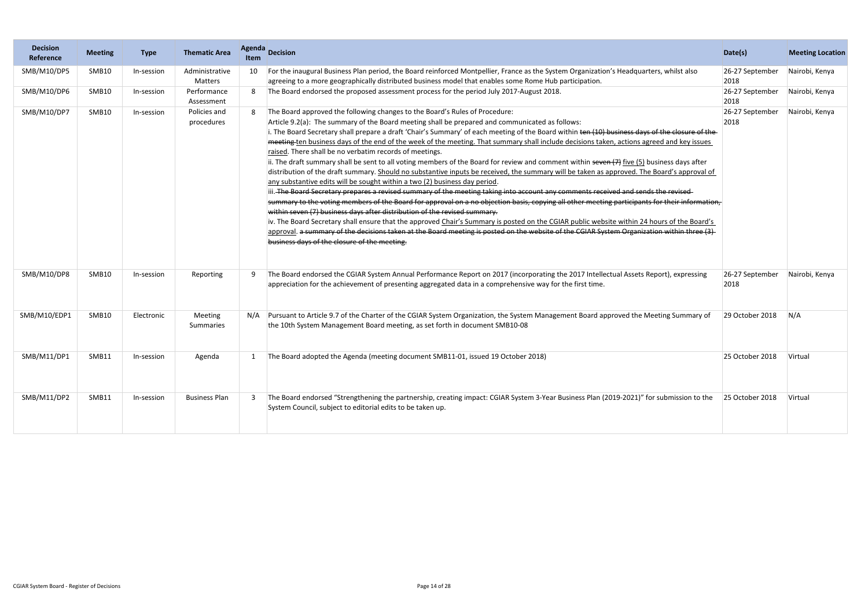| <b>Decision</b><br>Reference | <b>Meeting</b> | <b>Type</b> | <b>Thematic Area</b>       | <b>Agenda</b><br><b>Item</b> | <b>Decision</b>                                                                                                                                                                                                                                                                                                                                                                                                                                                                                                                                                                                                                                                                                                                                                                                                                                                                                                                                                                                                                                                                                                                                                                                                                                                                                                                                                                                                                                                                                                                                                                                                                            | Date(s)                 | <b>Meeting Location</b> |
|------------------------------|----------------|-------------|----------------------------|------------------------------|--------------------------------------------------------------------------------------------------------------------------------------------------------------------------------------------------------------------------------------------------------------------------------------------------------------------------------------------------------------------------------------------------------------------------------------------------------------------------------------------------------------------------------------------------------------------------------------------------------------------------------------------------------------------------------------------------------------------------------------------------------------------------------------------------------------------------------------------------------------------------------------------------------------------------------------------------------------------------------------------------------------------------------------------------------------------------------------------------------------------------------------------------------------------------------------------------------------------------------------------------------------------------------------------------------------------------------------------------------------------------------------------------------------------------------------------------------------------------------------------------------------------------------------------------------------------------------------------------------------------------------------------|-------------------------|-------------------------|
| SMB/M10/DP5                  | SMB10          | In-session  | Administrative<br>Matters  |                              | For the inaugural Business Plan period, the Board reinforced Montpellier, France as the System Organization's Headquarters, whilst also<br>agreeing to a more geographically distributed business model that enables some Rome Hub participation.                                                                                                                                                                                                                                                                                                                                                                                                                                                                                                                                                                                                                                                                                                                                                                                                                                                                                                                                                                                                                                                                                                                                                                                                                                                                                                                                                                                          | 26-27 September<br>2018 | Nairobi, Kenya          |
| SMB/M10/DP6                  | SMB10          | In-session  | Performance<br>Assessment  |                              | The Board endorsed the proposed assessment process for the period July 2017-August 2018.                                                                                                                                                                                                                                                                                                                                                                                                                                                                                                                                                                                                                                                                                                                                                                                                                                                                                                                                                                                                                                                                                                                                                                                                                                                                                                                                                                                                                                                                                                                                                   | 26-27 September<br>2018 | Nairobi, Kenya          |
| SMB/M10/DP7                  | SMB10          | In-session  | Policies and<br>procedures |                              | The Board approved the following changes to the Board's Rules of Procedure:<br>Article 9.2(a): The summary of the Board meeting shall be prepared and communicated as follows:<br>i. The Board Secretary shall prepare a draft 'Chair's Summary' of each meeting of the Board within ten (10) business days of the closure of the-<br>meeting ten business days of the end of the week of the meeting. That summary shall include decisions taken, actions agreed and key issues<br>raised. There shall be no verbatim records of meetings.<br>ii. The draft summary shall be sent to all voting members of the Board for review and comment within seven (7) five (5) business days after<br>distribution of the draft summary. Should no substantive inputs be received, the summary will be taken as approved. The Board's approval of<br>any substantive edits will be sought within a two (2) business day period.<br>iii. The Board Secretary prepares a revised summary of the meeting taking into account any comments received and sends the revised-<br>summary to the voting members of the Board for approval on a no objection basis, copying all other meeting participants for their information,<br>within seven (7) business days after distribution of the revised summary.<br>iv. The Board Secretary shall ensure that the approved Chair's Summary is posted on the CGIAR public website within 24 hours of the Board's<br>approval. a summary of the decisions taken at the Board meeting is posted on the website of the CGIAR System Organization within three (3)<br>business days of the closure of the meeting. | 26-27 September<br>2018 | Nairobi, Kenya          |
| SMB/M10/DP8                  | SMB10          | In-session  | Reporting                  | 9                            | The Board endorsed the CGIAR System Annual Performance Report on 2017 (incorporating the 2017 Intellectual Assets Report), expressing<br>appreciation for the achievement of presenting aggregated data in a comprehensive way for the first time.                                                                                                                                                                                                                                                                                                                                                                                                                                                                                                                                                                                                                                                                                                                                                                                                                                                                                                                                                                                                                                                                                                                                                                                                                                                                                                                                                                                         | 26-27 September<br>2018 | Nairobi, Kenya          |
| SMB/M10/EDP1                 | SMB10          | Electronic  | Meeting<br>Summaries       |                              | Pursuant to Article 9.7 of the Charter of the CGIAR System Organization, the System Management Board approved the Meeting Summary of<br>the 10th System Management Board meeting, as set forth in document SMB10-08                                                                                                                                                                                                                                                                                                                                                                                                                                                                                                                                                                                                                                                                                                                                                                                                                                                                                                                                                                                                                                                                                                                                                                                                                                                                                                                                                                                                                        | 29 October 2018         | N/A                     |
| SMB/M11/DP1                  | SMB11          | In-session  | Agenda                     |                              | The Board adopted the Agenda (meeting document SMB11-01, issued 19 October 2018)                                                                                                                                                                                                                                                                                                                                                                                                                                                                                                                                                                                                                                                                                                                                                                                                                                                                                                                                                                                                                                                                                                                                                                                                                                                                                                                                                                                                                                                                                                                                                           | 25 October 2018         | Virtual                 |
| SMB/M11/DP2                  | SMB11          | In-session  | <b>Business Plan</b>       | 3                            | The Board endorsed "Strengthening the partnership, creating impact: CGIAR System 3-Year Business Plan (2019-2021)" for submission to the<br>System Council, subject to editorial edits to be taken up.                                                                                                                                                                                                                                                                                                                                                                                                                                                                                                                                                                                                                                                                                                                                                                                                                                                                                                                                                                                                                                                                                                                                                                                                                                                                                                                                                                                                                                     | 25 October 2018         | Virtual                 |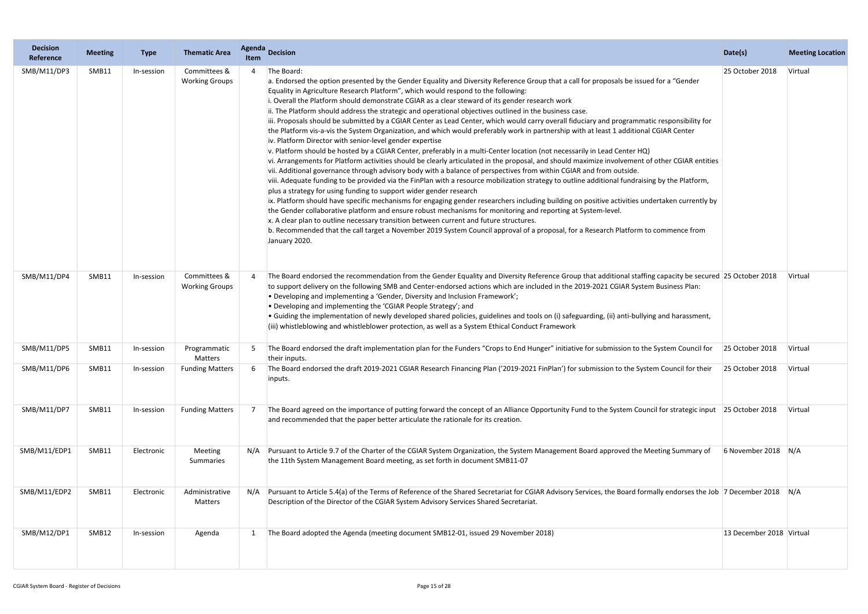| <b>Decision</b><br>Reference | <b>Meeting</b> | <b>Type</b> | <b>Thematic Area</b>                  | Agenda<br><b>Item</b> | <b>Decision</b>                                                                                                                                                                                                                                                                                                                                                                                                                                                                                                                                                                                                                                                                                                                                                                                                                                                                                                                                                                                                                                                                                                                                                                                                                                                                                                                                                                                                                                                                                                                                                                                                                                                                                                                                                                                                                                                                                                                                                   | Date(s)                  | <b>Meeting Location</b> |
|------------------------------|----------------|-------------|---------------------------------------|-----------------------|-------------------------------------------------------------------------------------------------------------------------------------------------------------------------------------------------------------------------------------------------------------------------------------------------------------------------------------------------------------------------------------------------------------------------------------------------------------------------------------------------------------------------------------------------------------------------------------------------------------------------------------------------------------------------------------------------------------------------------------------------------------------------------------------------------------------------------------------------------------------------------------------------------------------------------------------------------------------------------------------------------------------------------------------------------------------------------------------------------------------------------------------------------------------------------------------------------------------------------------------------------------------------------------------------------------------------------------------------------------------------------------------------------------------------------------------------------------------------------------------------------------------------------------------------------------------------------------------------------------------------------------------------------------------------------------------------------------------------------------------------------------------------------------------------------------------------------------------------------------------------------------------------------------------------------------------------------------------|--------------------------|-------------------------|
| SMB/M11/DP3                  | SMB11          | In-session  | Committees &<br><b>Working Groups</b> |                       | The Board:<br>a. Endorsed the option presented by the Gender Equality and Diversity Reference Group that a call for proposals be issued for a "Gender<br>Equality in Agriculture Research Platform", which would respond to the following:<br>i. Overall the Platform should demonstrate CGIAR as a clear steward of its gender research work<br>ii. The Platform should address the strategic and operational objectives outlined in the business case.<br>iii. Proposals should be submitted by a CGIAR Center as Lead Center, which would carry overall fiduciary and programmatic responsibility for<br>the Platform vis-a-vis the System Organization, and which would preferably work in partnership with at least 1 additional CGIAR Center<br>iv. Platform Director with senior-level gender expertise<br>v. Platform should be hosted by a CGIAR Center, preferably in a multi-Center location (not necessarily in Lead Center HQ)<br>vi. Arrangements for Platform activities should be clearly articulated in the proposal, and should maximize involvement of other CGIAR entities<br>vii. Additional governance through advisory body with a balance of perspectives from within CGIAR and from outside.<br>viii. Adequate funding to be provided via the FinPlan with a resource mobilization strategy to outline additional fundraising by the Platform,<br>plus a strategy for using funding to support wider gender research<br>ix. Platform should have specific mechanisms for engaging gender researchers including building on positive activities undertaken currently by<br>the Gender collaborative platform and ensure robust mechanisms for monitoring and reporting at System-level.<br>x. A clear plan to outline necessary transition between current and future structures.<br>b. Recommended that the call target a November 2019 System Council approval of a proposal, for a Research Platform to commence from<br>January 2020. | 25 October 2018          | Virtual                 |
| SMB/M11/DP4                  | SMB11          | In-session  | Committees &<br><b>Working Groups</b> |                       | The Board endorsed the recommendation from the Gender Equality and Diversity Reference Group that additional staffing capacity be secured 25 October 2018<br>to support delivery on the following SMB and Center-endorsed actions which are included in the 2019-2021 CGIAR System Business Plan:<br>• Developing and implementing a 'Gender, Diversity and Inclusion Framework';<br>• Developing and implementing the 'CGIAR People Strategy'; and<br>• Guiding the implementation of newly developed shared policies, guidelines and tools on (i) safeguarding, (ii) anti-bullying and harassment,<br>iii) whistleblowing and whistleblower protection, as well as a System Ethical Conduct Framework                                                                                                                                                                                                                                                                                                                                                                                                                                                                                                                                                                                                                                                                                                                                                                                                                                                                                                                                                                                                                                                                                                                                                                                                                                                           |                          | Virtual                 |
| SMB/M11/DP5                  | SMB11          | In-session  | Programmatic<br>Matters               |                       | The Board endorsed the draft implementation plan for the Funders "Crops to End Hunger" initiative for submission to the System Council for<br>their inputs.                                                                                                                                                                                                                                                                                                                                                                                                                                                                                                                                                                                                                                                                                                                                                                                                                                                                                                                                                                                                                                                                                                                                                                                                                                                                                                                                                                                                                                                                                                                                                                                                                                                                                                                                                                                                       | 25 October 2018          | Virtual                 |
| SMB/M11/DP6                  | SMB11          | In-session  | <b>Funding Matters</b>                |                       | The Board endorsed the draft 2019-2021 CGIAR Research Financing Plan ('2019-2021 FinPlan') for submission to the System Council for their<br>inputs.                                                                                                                                                                                                                                                                                                                                                                                                                                                                                                                                                                                                                                                                                                                                                                                                                                                                                                                                                                                                                                                                                                                                                                                                                                                                                                                                                                                                                                                                                                                                                                                                                                                                                                                                                                                                              | 25 October 2018          | Virtual                 |
| SMB/M11/DP7                  | SMB11          | In-session  | <b>Funding Matters</b>                |                       | The Board agreed on the importance of putting forward the concept of an Alliance Opportunity Fund to the System Council for strategic input 25 October 2018<br>and recommended that the paper better articulate the rationale for its creation.                                                                                                                                                                                                                                                                                                                                                                                                                                                                                                                                                                                                                                                                                                                                                                                                                                                                                                                                                                                                                                                                                                                                                                                                                                                                                                                                                                                                                                                                                                                                                                                                                                                                                                                   |                          | Virtual                 |
| SMB/M11/EDP1                 | SMB11          | Electronic  | Meeting<br>Summaries                  | N/A                   | Pursuant to Article 9.7 of the Charter of the CGIAR System Organization, the System Management Board approved the Meeting Summary of<br>the 11th System Management Board meeting, as set forth in document SMB11-07                                                                                                                                                                                                                                                                                                                                                                                                                                                                                                                                                                                                                                                                                                                                                                                                                                                                                                                                                                                                                                                                                                                                                                                                                                                                                                                                                                                                                                                                                                                                                                                                                                                                                                                                               | 6 November 2018 $ N/A $  |                         |
| SMB/M11/EDP2                 | SMB11          | Electronic  | Administrative<br>Matters             | N/A                   | Pursuant to Article 5.4(a) of the Terms of Reference of the Shared Secretariat for CGIAR Advisory Services, the Board formally endorses the Job  7 December 2018   N/A<br>Description of the Director of the CGIAR System Advisory Services Shared Secretariat.                                                                                                                                                                                                                                                                                                                                                                                                                                                                                                                                                                                                                                                                                                                                                                                                                                                                                                                                                                                                                                                                                                                                                                                                                                                                                                                                                                                                                                                                                                                                                                                                                                                                                                   |                          |                         |
| SMB/M12/DP1                  | SMB12          | In-session  | Agenda                                |                       | The Board adopted the Agenda (meeting document SMB12-01, issued 29 November 2018)                                                                                                                                                                                                                                                                                                                                                                                                                                                                                                                                                                                                                                                                                                                                                                                                                                                                                                                                                                                                                                                                                                                                                                                                                                                                                                                                                                                                                                                                                                                                                                                                                                                                                                                                                                                                                                                                                 | 13 December 2018 Virtual |                         |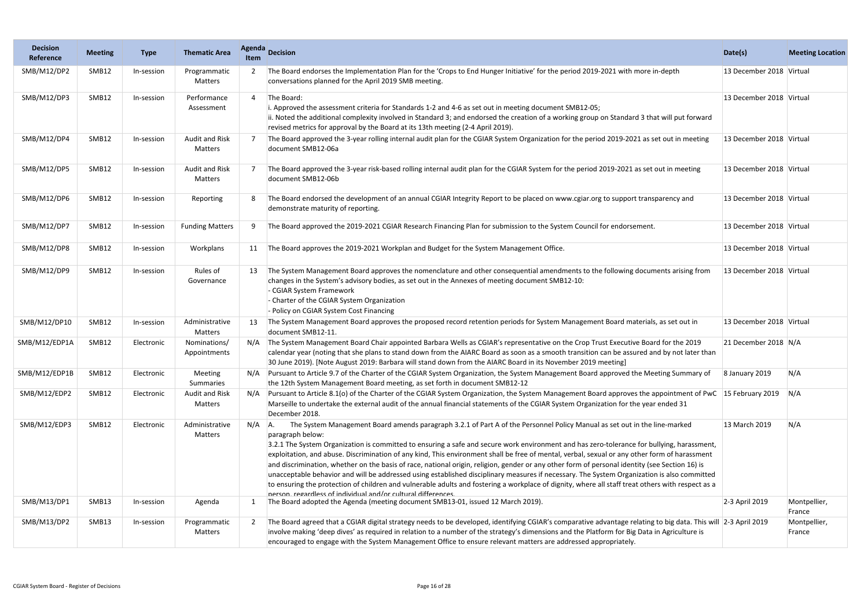| <b>Decision</b><br>Reference | <b>Meeting</b> | <b>Type</b> | <b>Thematic Area</b>             | <b>Agenda</b><br><b>Item</b> | <b>Decision</b>                                                                                                                                                                                                                                                                                                                                                                                                                                                                                                                                                                                                                                                                                                                                                                                                                                                                                                                                                   | Date(s)                  | <b>Meeting Location</b> |
|------------------------------|----------------|-------------|----------------------------------|------------------------------|-------------------------------------------------------------------------------------------------------------------------------------------------------------------------------------------------------------------------------------------------------------------------------------------------------------------------------------------------------------------------------------------------------------------------------------------------------------------------------------------------------------------------------------------------------------------------------------------------------------------------------------------------------------------------------------------------------------------------------------------------------------------------------------------------------------------------------------------------------------------------------------------------------------------------------------------------------------------|--------------------------|-------------------------|
| SMB/M12/DP2                  | SMB12          | In-session  | Programmatic<br>Matters          |                              | The Board endorses the Implementation Plan for the 'Crops to End Hunger Initiative' for the period 2019-2021 with more in-depth<br>conversations planned for the April 2019 SMB meeting.                                                                                                                                                                                                                                                                                                                                                                                                                                                                                                                                                                                                                                                                                                                                                                          | 13 December 2018 Virtual |                         |
| SMB/M12/DP3                  | SMB12          | In-session  | Performance<br>Assessment        | $\Delta$                     | The Board:<br>i. Approved the assessment criteria for Standards 1-2 and 4-6 as set out in meeting document SMB12-05;<br>ii. Noted the additional complexity involved in Standard 3; and endorsed the creation of a working group on Standard 3 that will put forward<br>revised metrics for approval by the Board at its 13th meeting (2-4 April 2019).                                                                                                                                                                                                                                                                                                                                                                                                                                                                                                                                                                                                           | 13 December 2018 Virtual |                         |
| SMB/M12/DP4                  | SMB12          | In-session  | <b>Audit and Risk</b><br>Matters |                              | The Board approved the 3-year rolling internal audit plan for the CGIAR System Organization for the period 2019-2021 as set out in meeting<br>document SMB12-06a                                                                                                                                                                                                                                                                                                                                                                                                                                                                                                                                                                                                                                                                                                                                                                                                  | 13 December 2018 Virtual |                         |
| SMB/M12/DP5                  | SMB12          | In-session  | <b>Audit and Risk</b><br>Matters |                              | The Board approved the 3-year risk-based rolling internal audit plan for the CGIAR System for the period 2019-2021 as set out in meeting<br>document SMB12-06b                                                                                                                                                                                                                                                                                                                                                                                                                                                                                                                                                                                                                                                                                                                                                                                                    | 13 December 2018 Virtual |                         |
| SMB/M12/DP6                  | SMB12          | In-session  | Reporting                        |                              | The Board endorsed the development of an annual CGIAR Integrity Report to be placed on www.cgiar.org to support transparency and<br>demonstrate maturity of reporting.                                                                                                                                                                                                                                                                                                                                                                                                                                                                                                                                                                                                                                                                                                                                                                                            | 13 December 2018 Virtual |                         |
| SMB/M12/DP7                  | SMB12          | In-session  | <b>Funding Matters</b>           | 9                            | The Board approved the 2019-2021 CGIAR Research Financing Plan for submission to the System Council for endorsement.                                                                                                                                                                                                                                                                                                                                                                                                                                                                                                                                                                                                                                                                                                                                                                                                                                              | 13 December 2018 Virtual |                         |
| SMB/M12/DP8                  | SMB12          | In-session  | Workplans                        |                              | The Board approves the 2019-2021 Workplan and Budget for the System Management Office.                                                                                                                                                                                                                                                                                                                                                                                                                                                                                                                                                                                                                                                                                                                                                                                                                                                                            | 13 December 2018 Virtual |                         |
| SMB/M12/DP9                  | SMB12          | In-session  | Rules of<br>Governance           |                              | The System Management Board approves the nomenclature and other consequential amendments to the following documents arising from<br>changes in the System's advisory bodies, as set out in the Annexes of meeting document SMB12-10:<br>- CGIAR System Framework<br>- Charter of the CGIAR System Organization<br>- Policy on CGIAR System Cost Financing                                                                                                                                                                                                                                                                                                                                                                                                                                                                                                                                                                                                         | 13 December 2018 Virtual |                         |
| SMB/M12/DP10                 | SMB12          | In-session  | Administrative<br>Matters        | 13                           | The System Management Board approves the proposed record retention periods for System Management Board materials, as set out in<br>document SMB12-11.                                                                                                                                                                                                                                                                                                                                                                                                                                                                                                                                                                                                                                                                                                                                                                                                             | 13 December 2018 Virtual |                         |
| SMB/M12/EDP1A                | SMB12          | Electronic  | Nominations/<br>Appointments     | N/A                          | The System Management Board Chair appointed Barbara Wells as CGIAR's representative on the Crop Trust Executive Board for the 2019<br>calendar year (noting that she plans to stand down from the AIARC Board as soon as a smooth transition can be assured and by not later than<br>30 June 2019). [Note August 2019: Barbara will stand down from the AIARC Board in its November 2019 meeting]                                                                                                                                                                                                                                                                                                                                                                                                                                                                                                                                                                 | 21 December 2018 N/A     |                         |
| SMB/M12/EDP1B                | SMB12          | Electronic  | <b>Meeting</b><br>Summaries      |                              | Pursuant to Article 9.7 of the Charter of the CGIAR System Organization, the System Management Board approved the Meeting Summary of<br>the 12th System Management Board meeting, as set forth in document SMB12-12                                                                                                                                                                                                                                                                                                                                                                                                                                                                                                                                                                                                                                                                                                                                               | 8 January 2019           | N/A                     |
| SMB/M12/EDP2                 | SMB12          | Electronic  | Audit and Risk<br>Matters        | N/A                          | Pursuant to Article 8.1(o) of the Charter of the CGIAR System Organization, the System Management Board approves the appointment of PwC 15 February 2019<br>Marseille to undertake the external audit of the annual financial statements of the CGIAR System Organization for the year ended 31<br>December 2018.                                                                                                                                                                                                                                                                                                                                                                                                                                                                                                                                                                                                                                                 |                          | N/A                     |
| SMB/M12/EDP3                 | SMB12          | Electronic  | Administrative<br>Matters        | $N/A$ $A$ .                  | The System Management Board amends paragraph 3.2.1 of Part A of the Personnel Policy Manual as set out in the line-marked<br>paragraph below:<br>3.2.1 The System Organization is committed to ensuring a safe and secure work environment and has zero-tolerance for bullying, harassment,<br>exploitation, and abuse. Discrimination of any kind, This environment shall be free of mental, verbal, sexual or any other form of harassment<br>and discrimination, whether on the basis of race, national origin, religion, gender or any other form of personal identity (see Section 16) is<br>unacceptable behavior and will be addressed using established disciplinary measures if necessary. The System Organization is also committed<br>to ensuring the protection of children and vulnerable adults and fostering a workplace of dignity, where all staff treat others with respect as a<br>nerson regardless of individual and/or cultural differences | 13 March 2019            | N/A                     |
| SMB/M13/DP1                  | SMB13          | In-session  | Agenda                           |                              | The Board adopted the Agenda (meeting document SMB13-01, issued 12 March 2019).                                                                                                                                                                                                                                                                                                                                                                                                                                                                                                                                                                                                                                                                                                                                                                                                                                                                                   | 2-3 April 2019           | Montpellier,<br>France  |
| SMB/M13/DP2                  | SMB13          | In-session  | Programmatic<br>Matters          | 2                            | The Board agreed that a CGIAR digital strategy needs to be developed, identifying CGIAR's comparative advantage relating to big data. This will 2-3 April 2019<br>involve making 'deep dives' as required in relation to a number of the strategy's dimensions and the Platform for Big Data in Agriculture is<br>encouraged to engage with the System Management Office to ensure relevant matters are addressed appropriately.                                                                                                                                                                                                                                                                                                                                                                                                                                                                                                                                  |                          | Montpellier,<br>France  |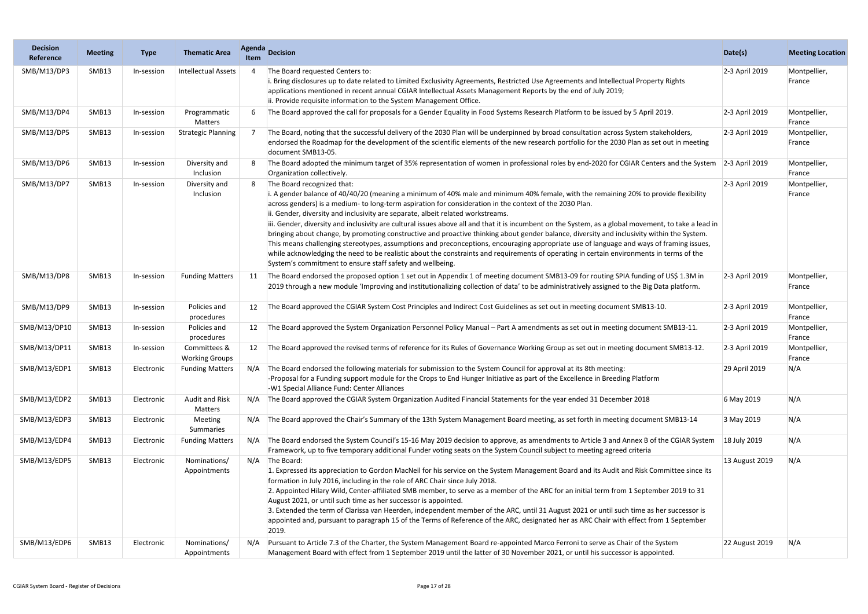| <b>Decision</b><br>Reference | <b>Meeting</b> | <b>Type</b> | <b>Thematic Area</b>                  | Agenda<br><b>Item</b> | <b>Decision</b>                                                                                                                                                                                                                                                                                                                                                                                                                                                                                                                                                                                                                                                                                                                                                                                                                                                                                                                                                                                                            | Date(s)        | <b>Meeting Location</b> |
|------------------------------|----------------|-------------|---------------------------------------|-----------------------|----------------------------------------------------------------------------------------------------------------------------------------------------------------------------------------------------------------------------------------------------------------------------------------------------------------------------------------------------------------------------------------------------------------------------------------------------------------------------------------------------------------------------------------------------------------------------------------------------------------------------------------------------------------------------------------------------------------------------------------------------------------------------------------------------------------------------------------------------------------------------------------------------------------------------------------------------------------------------------------------------------------------------|----------------|-------------------------|
| SMB/M13/DP3                  | SMB13          | In-session  | <b>Intellectual Assets</b>            |                       | The Board requested Centers to:<br>i. Bring disclosures up to date related to Limited Exclusivity Agreements, Restricted Use Agreements and Intellectual Property Rights<br>applications mentioned in recent annual CGIAR Intellectual Assets Management Reports by the end of July 2019;<br>ii. Provide requisite information to the System Management Office.                                                                                                                                                                                                                                                                                                                                                                                                                                                                                                                                                                                                                                                            | 2-3 April 2019 | Montpellier,<br>France  |
| SMB/M13/DP4                  | SMB13          | In-session  | Programmatic<br>Matters               |                       | The Board approved the call for proposals for a Gender Equality in Food Systems Research Platform to be issued by 5 April 2019.                                                                                                                                                                                                                                                                                                                                                                                                                                                                                                                                                                                                                                                                                                                                                                                                                                                                                            | 2-3 April 2019 | Montpellier,<br>France  |
| SMB/M13/DP5                  | SMB13          | In-session  | <b>Strategic Planning</b>             |                       | The Board, noting that the successful delivery of the 2030 Plan will be underpinned by broad consultation across System stakeholders,<br>endorsed the Roadmap for the development of the scientific elements of the new research portfolio for the 2030 Plan as set out in meeting<br>document SMB13-05.                                                                                                                                                                                                                                                                                                                                                                                                                                                                                                                                                                                                                                                                                                                   | 2-3 April 2019 | Montpellier,<br>France  |
| SMB/M13/DP6                  | SMB13          | In-session  | Diversity and<br>Inclusion            |                       | The Board adopted the minimum target of 35% representation of women in professional roles by end-2020 for CGIAR Centers and the System<br>Organization collectively.                                                                                                                                                                                                                                                                                                                                                                                                                                                                                                                                                                                                                                                                                                                                                                                                                                                       | 2-3 April 2019 | Montpellier,<br>France  |
| SMB/M13/DP7                  | SMB13          | In-session  | Diversity and<br>Inclusion            |                       | The Board recognized that:<br>i. A gender balance of 40/40/20 (meaning a minimum of 40% male and minimum 40% female, with the remaining 20% to provide flexibility<br>across genders) is a medium- to long-term aspiration for consideration in the context of the 2030 Plan.<br>ii. Gender, diversity and inclusivity are separate, albeit related workstreams.<br>iii. Gender, diversity and inclusivity are cultural issues above all and that it is incumbent on the System, as a global movement, to take a lead in<br>bringing about change, by promoting constructive and proactive thinking about gender balance, diversity and inclusivity within the System.<br>This means challenging stereotypes, assumptions and preconceptions, encouraging appropriate use of language and ways of framing issues,<br>while acknowledging the need to be realistic about the constraints and requirements of operating in certain environments in terms of the<br>System's commitment to ensure staff safety and wellbeing. | 2-3 April 2019 | Montpellier,<br>France  |
| SMB/M13/DP8                  | SMB13          | In-session  | <b>Funding Matters</b>                | 11                    | The Board endorsed the proposed option 1 set out in Appendix 1 of meeting document SMB13-09 for routing SPIA funding of US\$ 1.3M in<br>2019 through a new module 'Improving and institutionalizing collection of data' to be administratively assigned to the Big Data platform.                                                                                                                                                                                                                                                                                                                                                                                                                                                                                                                                                                                                                                                                                                                                          | 2-3 April 2019 | Montpellier,<br>France  |
| SMB/M13/DP9                  | SMB13          | In-session  | Policies and<br>procedures            | 12                    | The Board approved the CGIAR System Cost Principles and Indirect Cost Guidelines as set out in meeting document SMB13-10.                                                                                                                                                                                                                                                                                                                                                                                                                                                                                                                                                                                                                                                                                                                                                                                                                                                                                                  | 2-3 April 2019 | Montpellier,<br>France  |
| SMB/M13/DP10                 | SMB13          | In-session  | Policies and<br>procedures            |                       | The Board approved the System Organization Personnel Policy Manual - Part A amendments as set out in meeting document SMB13-11.                                                                                                                                                                                                                                                                                                                                                                                                                                                                                                                                                                                                                                                                                                                                                                                                                                                                                            | 2-3 April 2019 | Montpellier,<br>France  |
| SMB/M13/DP11                 | SMB13          | In-session  | Committees &<br><b>Working Groups</b> | 12                    | The Board approved the revised terms of reference for its Rules of Governance Working Group as set out in meeting document SMB13-12.                                                                                                                                                                                                                                                                                                                                                                                                                                                                                                                                                                                                                                                                                                                                                                                                                                                                                       | 2-3 April 2019 | Montpellier,<br>France  |
| SMB/M13/EDP1                 | SMB13          | Electronic  | <b>Funding Matters</b>                |                       | N/A The Board endorsed the following materials for submission to the System Council for approval at its 8th meeting:<br>-Proposal for a Funding support module for the Crops to End Hunger Initiative as part of the Excellence in Breeding Platform<br>-W1 Special Alliance Fund: Center Alliances                                                                                                                                                                                                                                                                                                                                                                                                                                                                                                                                                                                                                                                                                                                        | 29 April 2019  | N/A                     |
| SMB/M13/EDP2                 | SMB13          | Electronic  | <b>Audit and Risk</b><br>Matters      | N/A                   | The Board approved the CGIAR System Organization Audited Financial Statements for the year ended 31 December 2018                                                                                                                                                                                                                                                                                                                                                                                                                                                                                                                                                                                                                                                                                                                                                                                                                                                                                                          | 6 May 2019     | N/A                     |
| SMB/M13/EDP3                 | SMB13          | Electronic  | Meeting<br>Summaries                  | N/A                   | The Board approved the Chair's Summary of the 13th System Management Board meeting, as set forth in meeting document SMB13-14                                                                                                                                                                                                                                                                                                                                                                                                                                                                                                                                                                                                                                                                                                                                                                                                                                                                                              | 3 May 2019     | N/A                     |
| SMB/M13/EDP4                 | SMB13          | Electronic  | <b>Funding Matters</b>                | N/A                   | The Board endorsed the System Council's 15-16 May 2019 decision to approve, as amendments to Article 3 and Annex B of the CGIAR System<br>Framework, up to five temporary additional Funder voting seats on the System Council subject to meeting agreed criteria                                                                                                                                                                                                                                                                                                                                                                                                                                                                                                                                                                                                                                                                                                                                                          | 18 July 2019   | N/A                     |
| SMB/M13/EDP5                 | SMB13          | Electronic  | Nominations/<br>Appointments          | N/A                   | The Board:<br>1. Expressed its appreciation to Gordon MacNeil for his service on the System Management Board and its Audit and Risk Committee since its<br>formation in July 2016, including in the role of ARC Chair since July 2018.<br>2. Appointed Hilary Wild, Center-affiliated SMB member, to serve as a member of the ARC for an initial term from 1 September 2019 to 31<br>August 2021, or until such time as her successor is appointed.<br>3. Extended the term of Clarissa van Heerden, independent member of the ARC, until 31 August 2021 or until such time as her successor is<br>appointed and, pursuant to paragraph 15 of the Terms of Reference of the ARC, designated her as ARC Chair with effect from 1 September<br>2019.                                                                                                                                                                                                                                                                         | 13 August 2019 | N/A                     |
| SMB/M13/EDP6                 | SMB13          | Electronic  | Nominations/<br>Appointments          | N/A                   | Pursuant to Article 7.3 of the Charter, the System Management Board re-appointed Marco Ferroni to serve as Chair of the System<br>Management Board with effect from 1 September 2019 until the latter of 30 November 2021, or until his successor is appointed.                                                                                                                                                                                                                                                                                                                                                                                                                                                                                                                                                                                                                                                                                                                                                            | 22 August 2019 | N/A                     |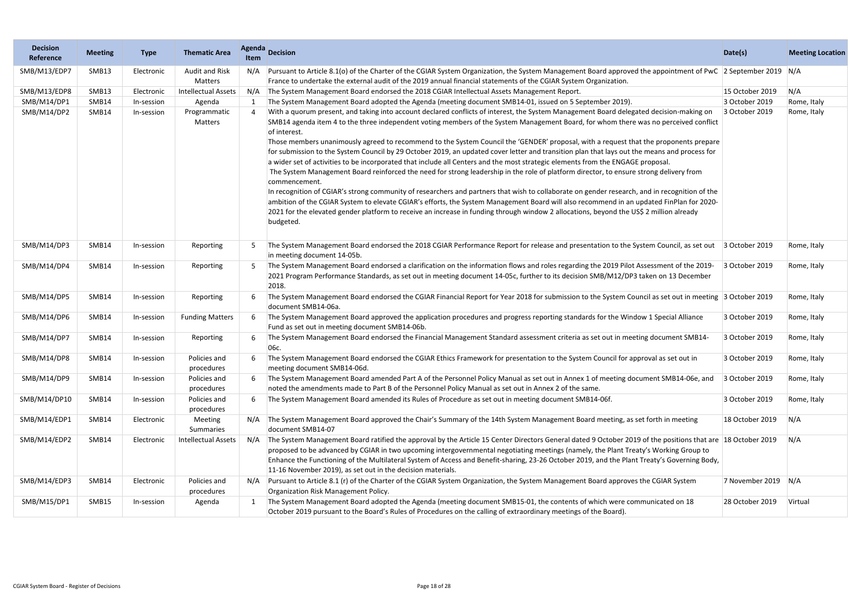| <b>Decision</b><br>Reference | <b>Meeting</b> | <b>Type</b> | <b>Thematic Area</b>             | Agenda<br><b>Item</b> | <b>Decision</b>                                                                                                                                                                                                                                                                                                                                                                                                                                                                                                                                                                                                                                                                                                                                                                                                                                                                                                                                                                                                                                                                                                                                                                                                                                                                                                                             | Date(s)         | <b>Meeting Location</b> |
|------------------------------|----------------|-------------|----------------------------------|-----------------------|---------------------------------------------------------------------------------------------------------------------------------------------------------------------------------------------------------------------------------------------------------------------------------------------------------------------------------------------------------------------------------------------------------------------------------------------------------------------------------------------------------------------------------------------------------------------------------------------------------------------------------------------------------------------------------------------------------------------------------------------------------------------------------------------------------------------------------------------------------------------------------------------------------------------------------------------------------------------------------------------------------------------------------------------------------------------------------------------------------------------------------------------------------------------------------------------------------------------------------------------------------------------------------------------------------------------------------------------|-----------------|-------------------------|
| SMB/M13/EDP7                 | SMB13          | Electronic  | <b>Audit and Risk</b><br>Matters | N/A                   | Pursuant to Article 8.1(o) of the Charter of the CGIAR System Organization, the System Management Board approved the appointment of PwC 2 September 2019 N/A<br>France to undertake the external audit of the 2019 annual financial statements of the CGIAR System Organization.                                                                                                                                                                                                                                                                                                                                                                                                                                                                                                                                                                                                                                                                                                                                                                                                                                                                                                                                                                                                                                                            |                 |                         |
| SMB/M13/EDP8                 | SMB13          | Electronic  | <b>Intellectual Assets</b>       | N/A                   | The System Management Board endorsed the 2018 CGIAR Intellectual Assets Management Report.                                                                                                                                                                                                                                                                                                                                                                                                                                                                                                                                                                                                                                                                                                                                                                                                                                                                                                                                                                                                                                                                                                                                                                                                                                                  | 15 October 2019 | N/A                     |
| SMB/M14/DP1                  | SMB14          | In-session  | Agenda                           |                       | The System Management Board adopted the Agenda (meeting document SMB14-01, issued on 5 September 2019).                                                                                                                                                                                                                                                                                                                                                                                                                                                                                                                                                                                                                                                                                                                                                                                                                                                                                                                                                                                                                                                                                                                                                                                                                                     | 3 October 2019  | Rome, Italy             |
| SMB/M14/DP2                  | SMB14          | In-session  | Programmatic<br>Matters          | 4                     | With a quorum present, and taking into account declared conflicts of interest, the System Management Board delegated decision-making on<br>SMB14 agenda item 4 to the three independent voting members of the System Management Board, for whom there was no perceived conflict<br>of interest.<br>Those members unanimously agreed to recommend to the System Council the 'GENDER' proposal, with a request that the proponents prepare<br>for submission to the System Council by 29 October 2019, an updated cover letter and transition plan that lays out the means and process for<br>a wider set of activities to be incorporated that include all Centers and the most strategic elements from the ENGAGE proposal.<br>The System Management Board reinforced the need for strong leadership in the role of platform director, to ensure strong delivery from<br>commencement.<br>In recognition of CGIAR's strong community of researchers and partners that wish to collaborate on gender research, and in recognition of the<br>ambition of the CGIAR System to elevate CGIAR's efforts, the System Management Board will also recommend in an updated FinPlan for 2020-<br>2021 for the elevated gender platform to receive an increase in funding through window 2 allocations, beyond the US\$ 2 million already<br>budgeted. | 3 October 2019  | Rome, Italy             |
| SMB/M14/DP3                  | SMB14          | In-session  | Reporting                        |                       | The System Management Board endorsed the 2018 CGIAR Performance Report for release and presentation to the System Council, as set out<br>in meeting document 14-05b.                                                                                                                                                                                                                                                                                                                                                                                                                                                                                                                                                                                                                                                                                                                                                                                                                                                                                                                                                                                                                                                                                                                                                                        | 3 October 2019  | Rome, Italy             |
| SMB/M14/DP4                  | SMB14          | In-session  | Reporting                        |                       | The System Management Board endorsed a clarification on the information flows and roles regarding the 2019 Pilot Assessment of the 2019-<br>2021 Program Performance Standards, as set out in meeting document 14-05c, further to its decision SMB/M12/DP3 taken on 13 December<br>2018.                                                                                                                                                                                                                                                                                                                                                                                                                                                                                                                                                                                                                                                                                                                                                                                                                                                                                                                                                                                                                                                    | 3 October 2019  | Rome, Italy             |
| SMB/M14/DP5                  | SMB14          | In-session  | Reporting                        |                       | The System Management Board endorsed the CGIAR Financial Report for Year 2018 for submission to the System Council as set out in meeting 3 October 2019<br>document SMB14-06a.                                                                                                                                                                                                                                                                                                                                                                                                                                                                                                                                                                                                                                                                                                                                                                                                                                                                                                                                                                                                                                                                                                                                                              |                 | Rome, Italy             |
| SMB/M14/DP6                  | SMB14          | In-session  | <b>Funding Matters</b>           |                       | The System Management Board approved the application procedures and progress reporting standards for the Window 1 Special Alliance<br>Fund as set out in meeting document SMB14-06b.                                                                                                                                                                                                                                                                                                                                                                                                                                                                                                                                                                                                                                                                                                                                                                                                                                                                                                                                                                                                                                                                                                                                                        | 3 October 2019  | Rome, Italy             |
| SMB/M14/DP7                  | SMB14          | In-session  | Reporting                        |                       | The System Management Board endorsed the Financial Management Standard assessment criteria as set out in meeting document SMB14-<br>06с.                                                                                                                                                                                                                                                                                                                                                                                                                                                                                                                                                                                                                                                                                                                                                                                                                                                                                                                                                                                                                                                                                                                                                                                                    | 3 October 2019  | Rome, Italy             |
| SMB/M14/DP8                  | SMB14          | In-session  | Policies and<br>procedures       | 6                     | The System Management Board endorsed the CGIAR Ethics Framework for presentation to the System Council for approval as set out in<br>meeting document SMB14-06d.                                                                                                                                                                                                                                                                                                                                                                                                                                                                                                                                                                                                                                                                                                                                                                                                                                                                                                                                                                                                                                                                                                                                                                            | 3 October 2019  | Rome, Italy             |
| SMB/M14/DP9                  | SMB14          | In-session  | Policies and<br>procedures       |                       | The System Management Board amended Part A of the Personnel Policy Manual as set out in Annex 1 of meeting document SMB14-06e, and<br>noted the amendments made to Part B of the Personnel Policy Manual as set out in Annex 2 of the same.                                                                                                                                                                                                                                                                                                                                                                                                                                                                                                                                                                                                                                                                                                                                                                                                                                                                                                                                                                                                                                                                                                 | 3 October 2019  | Rome, Italy             |
| SMB/M14/DP10                 | SMB14          | In-session  | Policies and<br>procedures       | 6                     | The System Management Board amended its Rules of Procedure as set out in meeting document SMB14-06f.                                                                                                                                                                                                                                                                                                                                                                                                                                                                                                                                                                                                                                                                                                                                                                                                                                                                                                                                                                                                                                                                                                                                                                                                                                        | 3 October 2019  | Rome, Italy             |
| SMB/M14/EDP1                 | SMB14          | Electronic  | Meeting<br>Summaries             | N/A                   | The System Management Board approved the Chair's Summary of the 14th System Management Board meeting, as set forth in meeting<br>document SMB14-07                                                                                                                                                                                                                                                                                                                                                                                                                                                                                                                                                                                                                                                                                                                                                                                                                                                                                                                                                                                                                                                                                                                                                                                          | 18 October 2019 | N/A                     |
| SMB/M14/EDP2                 | SMB14          | Electronic  | <b>Intellectual Assets</b>       | N/A                   | The System Management Board ratified the approval by the Article 15 Center Directors General dated 9 October 2019 of the positions that are 18 October 2019<br>proposed to be advanced by CGIAR in two upcoming intergovernmental negotiating meetings (namely, the Plant Treaty's Working Group to<br>Enhance the Functioning of the Multilateral System of Access and Benefit-sharing, 23-26 October 2019, and the Plant Treaty's Governing Body,<br>11-16 November 2019), as set out in the decision materials.                                                                                                                                                                                                                                                                                                                                                                                                                                                                                                                                                                                                                                                                                                                                                                                                                          |                 | N/A                     |
| SMB/M14/EDP3                 | SMB14          | Electronic  | Policies and<br>procedures       | N/A                   | Pursuant to Article 8.1 (r) of the Charter of the CGIAR System Organization, the System Management Board approves the CGIAR System<br>Organization Risk Management Policy.                                                                                                                                                                                                                                                                                                                                                                                                                                                                                                                                                                                                                                                                                                                                                                                                                                                                                                                                                                                                                                                                                                                                                                  | 7 November 2019 | N/A                     |
| SMB/M15/DP1                  | SMB15          | In-session  | Agenda                           |                       | The System Management Board adopted the Agenda (meeting document SMB15-01, the contents of which were communicated on 18<br>October 2019 pursuant to the Board's Rules of Procedures on the calling of extraordinary meetings of the Board).                                                                                                                                                                                                                                                                                                                                                                                                                                                                                                                                                                                                                                                                                                                                                                                                                                                                                                                                                                                                                                                                                                | 28 October 2019 | Virtual                 |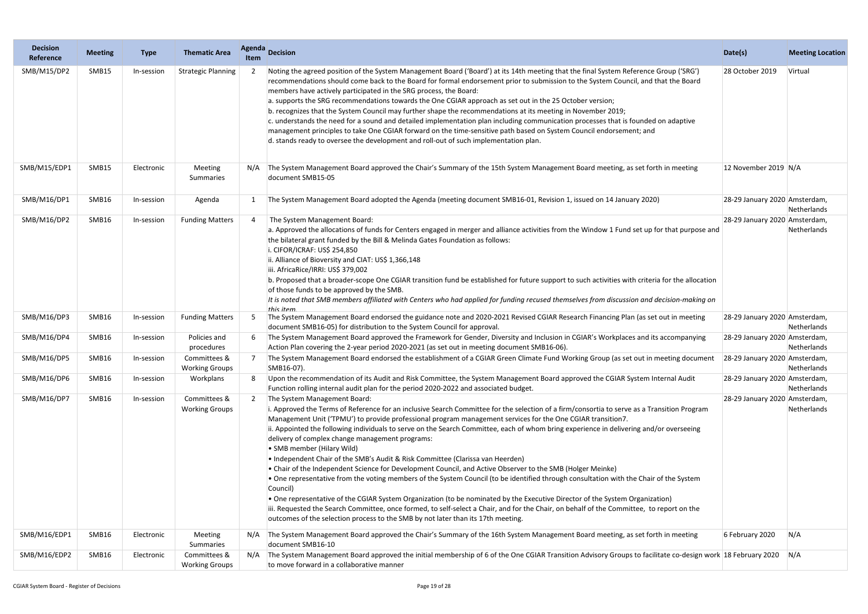| <b>Decision</b><br>Reference | <b>Meeting</b> | <b>Type</b> | <b>Thematic Area</b>                  | <b>Agenda</b><br>Item | <b>Decision</b>                                                                                                                                                                                                                                                                                                                                                                                                                                                                                                                                                                                                                                                                                                                                                                                                                                                                                                                                                                                                                                                                                                                                                                                                                               | Date(s)                       | <b>Meeting Location</b> |
|------------------------------|----------------|-------------|---------------------------------------|-----------------------|-----------------------------------------------------------------------------------------------------------------------------------------------------------------------------------------------------------------------------------------------------------------------------------------------------------------------------------------------------------------------------------------------------------------------------------------------------------------------------------------------------------------------------------------------------------------------------------------------------------------------------------------------------------------------------------------------------------------------------------------------------------------------------------------------------------------------------------------------------------------------------------------------------------------------------------------------------------------------------------------------------------------------------------------------------------------------------------------------------------------------------------------------------------------------------------------------------------------------------------------------|-------------------------------|-------------------------|
| SMB/M15/DP2                  | SMB15          | In-session  | <b>Strategic Planning</b>             |                       | Noting the agreed position of the System Management Board ('Board') at its 14th meeting that the final System Reference Group ('SRG')<br>recommendations should come back to the Board for formal endorsement prior to submission to the System Council, and that the Board<br>members have actively participated in the SRG process, the Board:<br>a. supports the SRG recommendations towards the One CGIAR approach as set out in the 25 October version;<br>b. recognizes that the System Council may further shape the recommendations at its meeting in November 2019;<br>c. understands the need for a sound and detailed implementation plan including communication processes that is founded on adaptive<br>management principles to take One CGIAR forward on the time-sensitive path based on System Council endorsement; and<br>d. stands ready to oversee the development and roll-out of such implementation plan.                                                                                                                                                                                                                                                                                                             | 28 October 2019               | Virtual                 |
| SMB/M15/EDP1                 | SMB15          | Electronic  | Meeting<br>Summaries                  |                       | The System Management Board approved the Chair's Summary of the 15th System Management Board meeting, as set forth in meeting<br>document SMB15-05                                                                                                                                                                                                                                                                                                                                                                                                                                                                                                                                                                                                                                                                                                                                                                                                                                                                                                                                                                                                                                                                                            | 12 November 2019 N/A          |                         |
| SMB/M16/DP1                  | SMB16          | In-session  | Agenda                                |                       | The System Management Board adopted the Agenda (meeting document SMB16-01, Revision 1, issued on 14 January 2020)                                                                                                                                                                                                                                                                                                                                                                                                                                                                                                                                                                                                                                                                                                                                                                                                                                                                                                                                                                                                                                                                                                                             | 28-29 January 2020 Amsterdam, | Netherlands             |
| SMB/M16/DP2                  | SMB16          | In-session  | <b>Funding Matters</b>                |                       | The System Management Board:<br>a. Approved the allocations of funds for Centers engaged in merger and alliance activities from the Window 1 Fund set up for that purpose and<br>the bilateral grant funded by the Bill & Melinda Gates Foundation as follows:<br>i. CIFOR/ICRAF: US\$ 254,850<br>ii. Alliance of Bioversity and CIAT: US\$ 1,366,148<br>iii. AfricaRice/IRRI: US\$ 379,002<br>b. Proposed that a broader-scope One CGIAR transition fund be established for future support to such activities with criteria for the allocation<br>of those funds to be approved by the SMB.<br>It is noted that SMB members affiliated with Centers who had applied for funding recused themselves from discussion and decision-making on<br>this item.                                                                                                                                                                                                                                                                                                                                                                                                                                                                                      | 28-29 January 2020 Amsterdam, | Netherlands             |
| SMB/M16/DP3                  | SMB16          | In-session  | <b>Funding Matters</b>                | .5                    | The System Management Board endorsed the guidance note and 2020-2021 Revised CGIAR Research Financing Plan (as set out in meeting<br>document SMB16-05) for distribution to the System Council for approval.                                                                                                                                                                                                                                                                                                                                                                                                                                                                                                                                                                                                                                                                                                                                                                                                                                                                                                                                                                                                                                  | 28-29 January 2020 Amsterdam, | Netherlands             |
| SMB/M16/DP4                  | SMB16          | In-session  | Policies and<br>procedures            |                       | The System Management Board approved the Framework for Gender, Diversity and Inclusion in CGIAR's Workplaces and its accompanying<br>Action Plan covering the 2-year period 2020-2021 (as set out in meeting document SMB16-06).                                                                                                                                                                                                                                                                                                                                                                                                                                                                                                                                                                                                                                                                                                                                                                                                                                                                                                                                                                                                              | 28-29 January 2020 Amsterdam, | Netherlands             |
| SMB/M16/DP5                  | SMB16          | In-session  | Committees &<br><b>Working Groups</b> |                       | The System Management Board endorsed the establishment of a CGIAR Green Climate Fund Working Group (as set out in meeting document<br> SMB16-07).                                                                                                                                                                                                                                                                                                                                                                                                                                                                                                                                                                                                                                                                                                                                                                                                                                                                                                                                                                                                                                                                                             | 28-29 January 2020 Amsterdam, | Netherlands             |
| SMB/M16/DP6                  | SMB16          | In-session  | Workplans                             | 8                     | Upon the recommendation of its Audit and Risk Committee, the System Management Board approved the CGIAR System Internal Audit<br>Function rolling internal audit plan for the period 2020-2022 and associated budget.                                                                                                                                                                                                                                                                                                                                                                                                                                                                                                                                                                                                                                                                                                                                                                                                                                                                                                                                                                                                                         | 28-29 January 2020 Amsterdam, | Netherlands             |
| SMB/M16/DP7                  | SMB16          | In-session  | Committees &<br><b>Working Groups</b> |                       | The System Management Board:<br>i. Approved the Terms of Reference for an inclusive Search Committee for the selection of a firm/consortia to serve as a Transition Program<br>Management Unit ('TPMU') to provide professional program management services for the One CGIAR transition7.<br>ii. Appointed the following individuals to serve on the Search Committee, each of whom bring experience in delivering and/or overseeing<br>delivery of complex change management programs:<br>• SMB member (Hilary Wild)<br>• Independent Chair of the SMB's Audit & Risk Committee (Clarissa van Heerden)<br>• Chair of the Independent Science for Development Council, and Active Observer to the SMB (Holger Meinke)<br>. One representative from the voting members of the System Council (to be identified through consultation with the Chair of the System<br>Council)<br>. One representative of the CGIAR System Organization (to be nominated by the Executive Director of the System Organization)<br>iii. Requested the Search Committee, once formed, to self-select a Chair, and for the Chair, on behalf of the Committee, to report on the<br>outcomes of the selection process to the SMB by not later than its 17th meeting. | 28-29 January 2020 Amsterdam, | Netherlands             |
| SMB/M16/EDP1                 | SMB16          | Electronic  | Meeting<br>Summaries                  | N/A                   | The System Management Board approved the Chair's Summary of the 16th System Management Board meeting, as set forth in meeting<br>document SMB16-10                                                                                                                                                                                                                                                                                                                                                                                                                                                                                                                                                                                                                                                                                                                                                                                                                                                                                                                                                                                                                                                                                            | 6 February 2020               | N/A                     |
| SMB/M16/EDP2                 | SMB16          | Electronic  | Committees &<br><b>Working Groups</b> | N/A                   | The System Management Board approved the initial membership of 6 of the One CGIAR Transition Advisory Groups to facilitate co-design work 18 February 2020 N/A<br>to move forward in a collaborative manner                                                                                                                                                                                                                                                                                                                                                                                                                                                                                                                                                                                                                                                                                                                                                                                                                                                                                                                                                                                                                                   |                               |                         |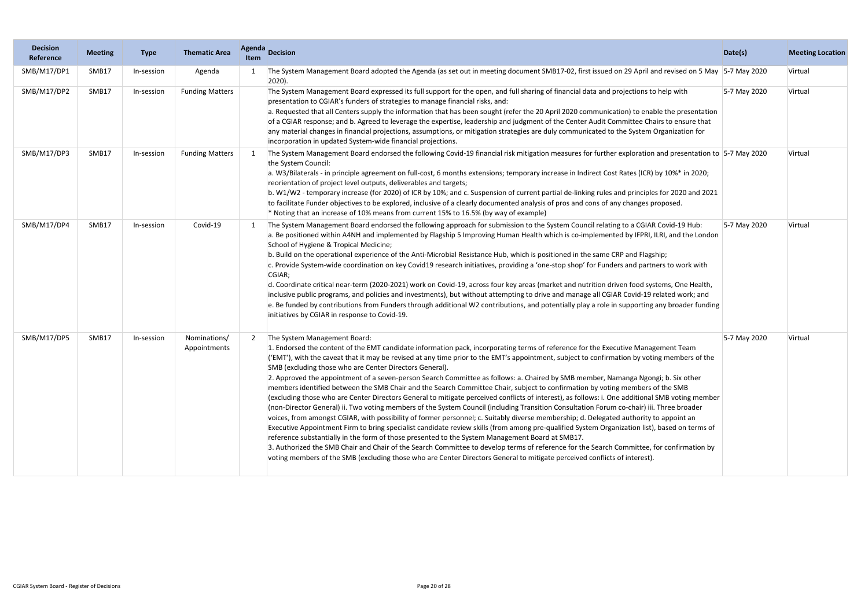| <b>Decision</b><br>Reference | <b>Meeting</b> | <b>Type</b> | <b>Thematic Area</b>         | <b>Agenda</b><br>Item | <b>Decision</b>                                                                                                                                                                                                                                                                                                                                                                                                                                                                                                                                                                                                                                                                                                                                                                                                                                                                                                                                                                                                                                                                                                                                                                                                                                                                                                                                                                                                                                                                                                                                                                                                            | Date(s)      | <b>Meeting Location</b> |
|------------------------------|----------------|-------------|------------------------------|-----------------------|----------------------------------------------------------------------------------------------------------------------------------------------------------------------------------------------------------------------------------------------------------------------------------------------------------------------------------------------------------------------------------------------------------------------------------------------------------------------------------------------------------------------------------------------------------------------------------------------------------------------------------------------------------------------------------------------------------------------------------------------------------------------------------------------------------------------------------------------------------------------------------------------------------------------------------------------------------------------------------------------------------------------------------------------------------------------------------------------------------------------------------------------------------------------------------------------------------------------------------------------------------------------------------------------------------------------------------------------------------------------------------------------------------------------------------------------------------------------------------------------------------------------------------------------------------------------------------------------------------------------------|--------------|-------------------------|
| SMB/M17/DP1                  | SMB17          | In-session  | Agenda                       |                       | The System Management Board adopted the Agenda (as set out in meeting document SMB17-02, first issued on 29 April and revised on 5 May 5-7 May 2020<br>$ 2020$ ).                                                                                                                                                                                                                                                                                                                                                                                                                                                                                                                                                                                                                                                                                                                                                                                                                                                                                                                                                                                                                                                                                                                                                                                                                                                                                                                                                                                                                                                          |              | Virtual                 |
| SMB/M17/DP2                  | SMB17          | In-session  | <b>Funding Matters</b>       |                       | The System Management Board expressed its full support for the open, and full sharing of financial data and projections to help with<br>presentation to CGIAR's funders of strategies to manage financial risks, and:<br>a. Requested that all Centers supply the information that has been sought (refer the 20 April 2020 communication) to enable the presentation<br>of a CGIAR response; and b. Agreed to leverage the expertise, leadership and judgment of the Center Audit Committee Chairs to ensure that<br>any material changes in financial projections, assumptions, or mitigation strategies are duly communicated to the System Organization for<br>incorporation in updated System-wide financial projections.                                                                                                                                                                                                                                                                                                                                                                                                                                                                                                                                                                                                                                                                                                                                                                                                                                                                                             | 5-7 May 2020 | Virtual                 |
| SMB/M17/DP3                  | SMB17          | In-session  | <b>Funding Matters</b>       |                       | The System Management Board endorsed the following Covid-19 financial risk mitigation measures for further exploration and presentation to 5-7 May 2020<br>the System Council:<br>a. W3/Bilaterals - in principle agreement on full-cost, 6 months extensions; temporary increase in Indirect Cost Rates (ICR) by 10%* in 2020;<br>reorientation of project level outputs, deliverables and targets;<br>b. W1/W2 - temporary increase (for 2020) of ICR by 10%; and c. Suspension of current partial de-linking rules and principles for 2020 and 2021<br>to facilitate Funder objectives to be explored, inclusive of a clearly documented analysis of pros and cons of any changes proposed.<br>* Noting that an increase of 10% means from current 15% to 16.5% (by way of example)                                                                                                                                                                                                                                                                                                                                                                                                                                                                                                                                                                                                                                                                                                                                                                                                                                     |              | Virtual                 |
| SMB/M17/DP4                  | SMB17          | In-session  | Covid-19                     |                       | The System Management Board endorsed the following approach for submission to the System Council relating to a CGIAR Covid-19 Hub:<br>a. Be positioned within A4NH and implemented by Flagship 5 Improving Human Health which is co-implemented by IFPRI, ILRI, and the London<br>School of Hygiene & Tropical Medicine;<br>b. Build on the operational experience of the Anti-Microbial Resistance Hub, which is positioned in the same CRP and Flagship;<br>c. Provide System-wide coordination on key Covid19 research initiatives, providing a 'one-stop shop' for Funders and partners to work with<br>CGIAR;<br>d. Coordinate critical near-term (2020-2021) work on Covid-19, across four key areas (market and nutrition driven food systems, One Health,<br>inclusive public programs, and policies and investments), but without attempting to drive and manage all CGIAR Covid-19 related work; and<br>e. Be funded by contributions from Funders through additional W2 contributions, and potentially play a role in supporting any broader funding<br>initiatives by CGIAR in response to Covid-19.                                                                                                                                                                                                                                                                                                                                                                                                                                                                                                           | 5-7 May 2020 | Virtual                 |
| SMB/M17/DP5                  | SMB17          | In-session  | Nominations/<br>Appointments |                       | The System Management Board:<br>1. Endorsed the content of the EMT candidate information pack, incorporating terms of reference for the Executive Management Team<br>('EMT'), with the caveat that it may be revised at any time prior to the EMT's appointment, subject to confirmation by voting members of the<br>SMB (excluding those who are Center Directors General).<br>2. Approved the appointment of a seven-person Search Committee as follows: a. Chaired by SMB member, Namanga Ngongi; b. Six other<br>members identified between the SMB Chair and the Search Committee Chair, subject to confirmation by voting members of the SMB<br>(excluding those who are Center Directors General to mitigate perceived conflicts of interest), as follows: i. One additional SMB voting member<br>(non-Director General) ii. Two voting members of the System Council (including Transition Consultation Forum co-chair) iii. Three broader<br>voices, from amongst CGIAR, with possibility of former personnel; c. Suitably diverse membership; d. Delegated authority to appoint an<br>Executive Appointment Firm to bring specialist candidate review skills (from among pre-qualified System Organization list), based on terms of<br>reference substantially in the form of those presented to the System Management Board at SMB17.<br>3. Authorized the SMB Chair and Chair of the Search Committee to develop terms of reference for the Search Committee, for confirmation by<br>voting members of the SMB (excluding those who are Center Directors General to mitigate perceived conflicts of interest). | 5-7 May 2020 | Virtual                 |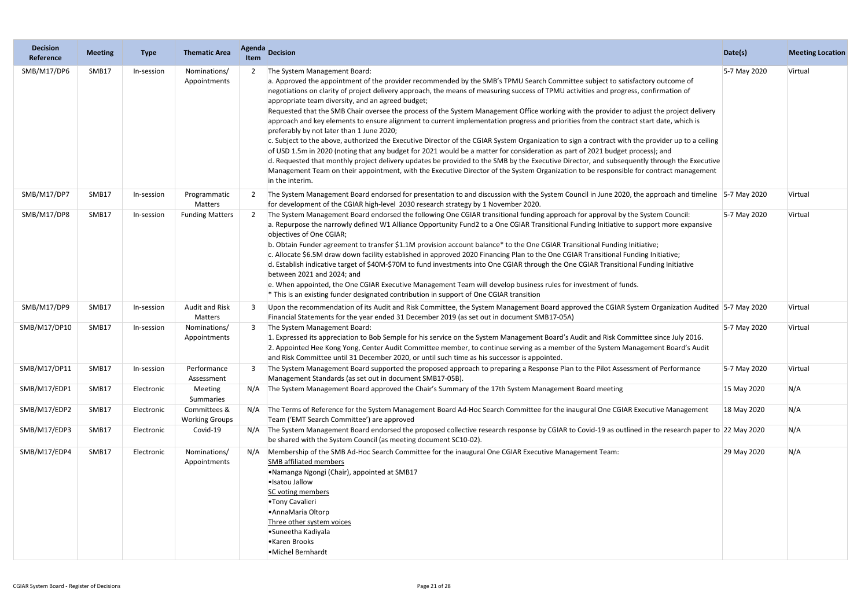| <b>Decision</b><br>Reference | <b>Meeting</b> | <b>Type</b> | <b>Thematic Area</b>                  | Agenda<br><b>Item</b> | <b>Decision</b>                                                                                                                                                                                                                                                                                                                                                                                                                                                                                                                                                                                                                                                                                                                                                                                                                                                                                                                                                                                                                                                                                                                                                                                                                                                                                  | Date(s)      | <b>Meeting Location</b> |
|------------------------------|----------------|-------------|---------------------------------------|-----------------------|--------------------------------------------------------------------------------------------------------------------------------------------------------------------------------------------------------------------------------------------------------------------------------------------------------------------------------------------------------------------------------------------------------------------------------------------------------------------------------------------------------------------------------------------------------------------------------------------------------------------------------------------------------------------------------------------------------------------------------------------------------------------------------------------------------------------------------------------------------------------------------------------------------------------------------------------------------------------------------------------------------------------------------------------------------------------------------------------------------------------------------------------------------------------------------------------------------------------------------------------------------------------------------------------------|--------------|-------------------------|
| SMB/M17/DP6                  | SMB17          | In-session  | Nominations/<br>Appointments          |                       | The System Management Board:<br>a. Approved the appointment of the provider recommended by the SMB's TPMU Search Committee subject to satisfactory outcome of<br>negotiations on clarity of project delivery approach, the means of measuring success of TPMU activities and progress, confirmation of<br>appropriate team diversity, and an agreed budget;<br>Requested that the SMB Chair oversee the process of the System Management Office working with the provider to adjust the project delivery<br>approach and key elements to ensure alignment to current implementation progress and priorities from the contract start date, which is<br>preferably by not later than 1 June 2020;<br>c. Subject to the above, authorized the Executive Director of the CGIAR System Organization to sign a contract with the provider up to a ceiling<br>of USD 1.5m in 2020 (noting that any budget for 2021 would be a matter for consideration as part of 2021 budget process); and<br>d. Requested that monthly project delivery updates be provided to the SMB by the Executive Director, and subsequently through the Executive<br>Management Team on their appointment, with the Executive Director of the System Organization to be responsible for contract management<br>in the interim. | 5-7 May 2020 | Virtual                 |
| SMB/M17/DP7                  | SMB17          | In-session  | Programmatic<br>Matters               |                       | The System Management Board endorsed for presentation to and discussion with the System Council in June 2020, the approach and timeline 5-7 May 2020<br>for development of the CGIAR high-level 2030 research strategy by 1 November 2020.                                                                                                                                                                                                                                                                                                                                                                                                                                                                                                                                                                                                                                                                                                                                                                                                                                                                                                                                                                                                                                                       |              | Virtual                 |
| SMB/M17/DP8                  | SMB17          | In-session  | <b>Funding Matters</b>                |                       | The System Management Board endorsed the following One CGIAR transitional funding approach for approval by the System Council:<br>a. Repurpose the narrowly defined W1 Alliance Opportunity Fund2 to a One CGIAR Transitional Funding Initiative to support more expansive<br>objectives of One CGIAR;<br>b. Obtain Funder agreement to transfer \$1.1M provision account balance* to the One CGIAR Transitional Funding Initiative;<br>c. Allocate \$6.5M draw down facility established in approved 2020 Financing Plan to the One CGIAR Transitional Funding Initiative;<br>d. Establish indicative target of \$40M-\$70M to fund investments into One CGIAR through the One CGIAR Transitional Funding Initiative<br>between 2021 and 2024; and<br>e. When appointed, the One CGIAR Executive Management Team will develop business rules for investment of funds.<br>* This is an existing funder designated contribution in support of One CGIAR transition                                                                                                                                                                                                                                                                                                                                | 5-7 May 2020 | Virtual                 |
| SMB/M17/DP9                  | SMB17          | In-session  | Audit and Risk<br>Matters             |                       | Upon the recommendation of its Audit and Risk Committee, the System Management Board approved the CGIAR System Organization Audited 5-7 May 2020<br>Financial Statements for the year ended 31 December 2019 (as set out in document SMB17-05A)                                                                                                                                                                                                                                                                                                                                                                                                                                                                                                                                                                                                                                                                                                                                                                                                                                                                                                                                                                                                                                                  |              | Virtual                 |
| SMB/M17/DP10                 | SMB17          | In-session  | Nominations/<br>Appointments          |                       | The System Management Board:<br>1. Expressed its appreciation to Bob Semple for his service on the System Management Board's Audit and Risk Committee since July 2016.<br>2. Appointed Hee Kong Yong, Center Audit Committee member, to continue serving as a member of the System Management Board's Audit<br>and Risk Committee until 31 December 2020, or until such time as his successor is appointed.                                                                                                                                                                                                                                                                                                                                                                                                                                                                                                                                                                                                                                                                                                                                                                                                                                                                                      | 5-7 May 2020 | Virtual                 |
| SMB/M17/DP11                 | SMB17          | In-session  | Performance<br>Assessment             |                       | The System Management Board supported the proposed approach to preparing a Response Plan to the Pilot Assessment of Performance<br>Management Standards (as set out in document SMB17-05B).                                                                                                                                                                                                                                                                                                                                                                                                                                                                                                                                                                                                                                                                                                                                                                                                                                                                                                                                                                                                                                                                                                      | 5-7 May 2020 | Virtual                 |
| SMB/M17/EDP1                 | SMB17          | Electronic  | Meeting<br>Summaries                  | N/A                   | The System Management Board approved the Chair's Summary of the 17th System Management Board meeting                                                                                                                                                                                                                                                                                                                                                                                                                                                                                                                                                                                                                                                                                                                                                                                                                                                                                                                                                                                                                                                                                                                                                                                             | 15 May 2020  | N/A                     |
| SMB/M17/EDP2                 | SMB17          | Electronic  | Committees &<br><b>Working Groups</b> | N/A                   | The Terms of Reference for the System Management Board Ad-Hoc Search Committee for the inaugural One CGIAR Executive Management<br>Team ('EMT Search Committee') are approved                                                                                                                                                                                                                                                                                                                                                                                                                                                                                                                                                                                                                                                                                                                                                                                                                                                                                                                                                                                                                                                                                                                    | 18 May 2020  | N/A                     |
| SMB/M17/EDP3                 | SMB17          | Electronic  | Covid-19                              |                       | N/A The System Management Board endorsed the proposed collective research response by CGIAR to Covid-19 as outlined in the research paper to 22 May 2020<br>be shared with the System Council (as meeting document SC10-02).                                                                                                                                                                                                                                                                                                                                                                                                                                                                                                                                                                                                                                                                                                                                                                                                                                                                                                                                                                                                                                                                     |              | N/A                     |
| SMB/M17/EDP4                 | SMB17          | Electronic  | Nominations/<br>Appointments          | N/A                   | Membership of the SMB Ad-Hoc Search Committee for the inaugural One CGIAR Executive Management Team:<br><b>SMB</b> affiliated members<br>•Namanga Ngongi (Chair), appointed at SMB17<br>·Isatou Jallow<br>SC voting members<br>•Tony Cavalieri<br>• Anna Maria Oltorp<br>Three other system voices<br>● Suneetha Kadiyala<br>•Karen Brooks<br>• Michel Bernhardt                                                                                                                                                                                                                                                                                                                                                                                                                                                                                                                                                                                                                                                                                                                                                                                                                                                                                                                                 | 29 May 2020  | N/A                     |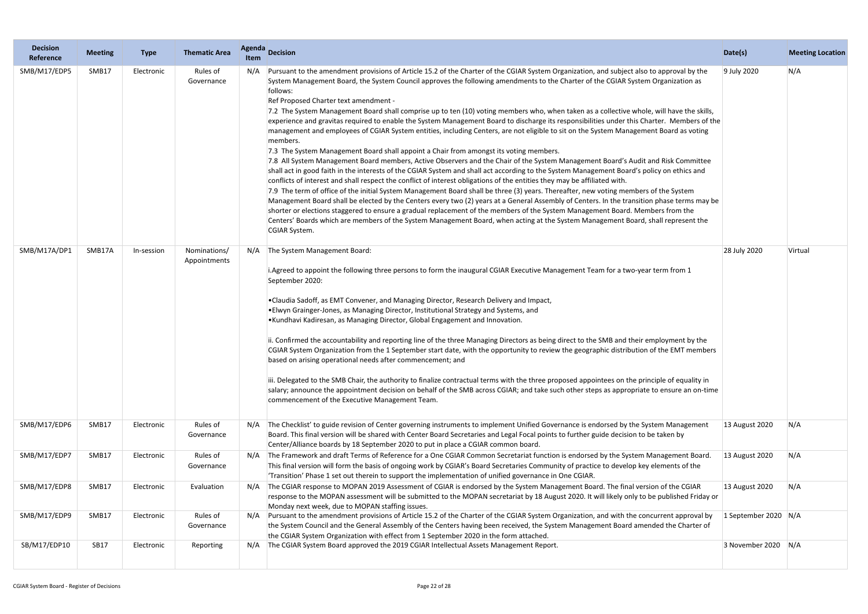| <b>Decision</b><br>Reference | <b>Meeting</b> | <b>Type</b> | <b>Thematic Area</b>         | Agenda<br>Item | <b>Decision</b>                                                                                                                                                                                                                                                                                                                                                                                                                                                                                                                                                                                                                                                                                                                                                                                                                                                                                                                                                                                                                                                                                                                                                                                                                                                                                                                                                                                                                                                                                                                                                                                                                                                                                                                                                                                                                                                               | Date(s)                  | <b>Meeting Location</b> |
|------------------------------|----------------|-------------|------------------------------|----------------|-------------------------------------------------------------------------------------------------------------------------------------------------------------------------------------------------------------------------------------------------------------------------------------------------------------------------------------------------------------------------------------------------------------------------------------------------------------------------------------------------------------------------------------------------------------------------------------------------------------------------------------------------------------------------------------------------------------------------------------------------------------------------------------------------------------------------------------------------------------------------------------------------------------------------------------------------------------------------------------------------------------------------------------------------------------------------------------------------------------------------------------------------------------------------------------------------------------------------------------------------------------------------------------------------------------------------------------------------------------------------------------------------------------------------------------------------------------------------------------------------------------------------------------------------------------------------------------------------------------------------------------------------------------------------------------------------------------------------------------------------------------------------------------------------------------------------------------------------------------------------------|--------------------------|-------------------------|
| SMB/M17/EDP5                 | SMB17          | Electronic  | Rules of<br>Governance       | N/A            | Pursuant to the amendment provisions of Article 15.2 of the Charter of the CGIAR System Organization, and subject also to approval by the<br>System Management Board, the System Council approves the following amendments to the Charter of the CGIAR System Organization as<br>follows:<br>Ref Proposed Charter text amendment -<br>7.2 The System Management Board shall comprise up to ten (10) voting members who, when taken as a collective whole, will have the skills,<br>experience and gravitas required to enable the System Management Board to discharge its responsibilities under this Charter. Members of the<br>management and employees of CGIAR System entities, including Centers, are not eligible to sit on the System Management Board as voting<br>members.<br>7.3 The System Management Board shall appoint a Chair from amongst its voting members.<br>7.8 All System Management Board members, Active Observers and the Chair of the System Management Board's Audit and Risk Committee<br>shall act in good faith in the interests of the CGIAR System and shall act according to the System Management Board's policy on ethics and<br>conflicts of interest and shall respect the conflict of interest obligations of the entities they may be affiliated with.<br>7.9 The term of office of the initial System Management Board shall be three (3) years. Thereafter, new voting members of the System<br>Management Board shall be elected by the Centers every two (2) years at a General Assembly of Centers. In the transition phase terms may be<br>shorter or elections staggered to ensure a gradual replacement of the members of the System Management Board. Members from the<br>Centers' Boards which are members of the System Management Board, when acting at the System Management Board, shall represent the<br>CGIAR System. | 9 July 2020              | N/A                     |
| SMB/M17A/DP1                 | SMB17A         | In-session  | Nominations/<br>Appointments | N/A            | The System Management Board:<br>i. Agreed to appoint the following three persons to form the inaugural CGIAR Executive Management Team for a two-year term from 1<br>September 2020:<br>. Claudia Sadoff, as EMT Convener, and Managing Director, Research Delivery and Impact,<br>. Elwyn Grainger-Jones, as Managing Director, Institutional Strategy and Systems, and<br>•Kundhavi Kadiresan, as Managing Director, Global Engagement and Innovation.<br>ii. Confirmed the accountability and reporting line of the three Managing Directors as being direct to the SMB and their employment by the<br>CGIAR System Organization from the 1 September start date, with the opportunity to review the geographic distribution of the EMT members<br>based on arising operational needs after commencement; and<br>iii. Delegated to the SMB Chair, the authority to finalize contractual terms with the three proposed appointees on the principle of equality in<br>salary; announce the appointment decision on behalf of the SMB across CGIAR; and take such other steps as appropriate to ensure an on-time<br>commencement of the Executive Management Team.                                                                                                                                                                                                                                                                                                                                                                                                                                                                                                                                                                                                                                                                                                           | 28 July 2020             | Virtual                 |
| SMB/M17/EDP6                 | SMB17          | Electronic  | Rules of<br>Governance       |                | The Checklist' to guide revision of Center governing instruments to implement Unified Governance is endorsed by the System Management<br>Board. This final version will be shared with Center Board Secretaries and Legal Focal points to further guide decision to be taken by<br>Center/Alliance boards by 18 September 2020 to put in place a CGIAR common board.                                                                                                                                                                                                                                                                                                                                                                                                                                                                                                                                                                                                                                                                                                                                                                                                                                                                                                                                                                                                                                                                                                                                                                                                                                                                                                                                                                                                                                                                                                          | 13 August 2020           | N/A                     |
| SMB/M17/EDP7                 | SMB17          | Electronic  | Rules of<br>Governance       |                | The Framework and draft Terms of Reference for a One CGIAR Common Secretariat function is endorsed by the System Management Board.<br>This final version will form the basis of ongoing work by CGIAR's Board Secretaries Community of practice to develop key elements of the<br>'Transition' Phase 1 set out therein to support the implementation of unified governance in One CGIAR.                                                                                                                                                                                                                                                                                                                                                                                                                                                                                                                                                                                                                                                                                                                                                                                                                                                                                                                                                                                                                                                                                                                                                                                                                                                                                                                                                                                                                                                                                      | 13 August 2020           | N/A                     |
| SMB/M17/EDP8                 | SMB17          | Electronic  | Evaluation                   |                | The CGIAR response to MOPAN 2019 Assessment of CGIAR is endorsed by the System Management Board. The final version of the CGIAR<br>response to the MOPAN assessment will be submitted to the MOPAN secretariat by 18 August 2020. It will likely only to be published Friday or<br>Monday next week, due to MOPAN staffing issues.                                                                                                                                                                                                                                                                                                                                                                                                                                                                                                                                                                                                                                                                                                                                                                                                                                                                                                                                                                                                                                                                                                                                                                                                                                                                                                                                                                                                                                                                                                                                            | 13 August 2020           | N/A                     |
| SMB/M17/EDP9                 | SMB17          | Electronic  | Rules of<br>Governance       |                | Pursuant to the amendment provisions of Article 15.2 of the Charter of the CGIAR System Organization, and with the concurrent approval by<br>the System Council and the General Assembly of the Centers having been received, the System Management Board amended the Charter of<br>the CGIAR System Organization with effect from 1 September 2020 in the form attached.                                                                                                                                                                                                                                                                                                                                                                                                                                                                                                                                                                                                                                                                                                                                                                                                                                                                                                                                                                                                                                                                                                                                                                                                                                                                                                                                                                                                                                                                                                     | 1 September 2020 $ N/A $ |                         |
| SB/M17/EDP10                 | <b>SB17</b>    | Electronic  | Reporting                    |                | The CGIAR System Board approved the 2019 CGIAR Intellectual Assets Management Report.                                                                                                                                                                                                                                                                                                                                                                                                                                                                                                                                                                                                                                                                                                                                                                                                                                                                                                                                                                                                                                                                                                                                                                                                                                                                                                                                                                                                                                                                                                                                                                                                                                                                                                                                                                                         | 3 November 2020 $ N/A $  |                         |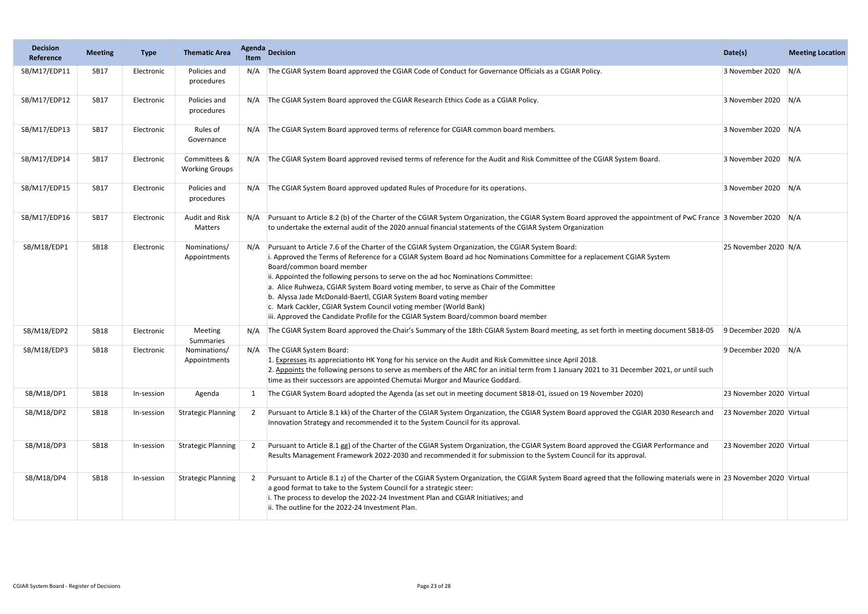| <b>Decision</b><br>Reference | <b>Meeting</b> | <b>Type</b> | <b>Thematic Area</b>                  | <b>Agenda</b><br><b>Item</b> | <b>Decision</b>                                                                                                                                                                                                                                                                                                                                                                                                                                                                                                                                                                                                                                                       | Date(s)                  | <b>Meeting Location</b> |
|------------------------------|----------------|-------------|---------------------------------------|------------------------------|-----------------------------------------------------------------------------------------------------------------------------------------------------------------------------------------------------------------------------------------------------------------------------------------------------------------------------------------------------------------------------------------------------------------------------------------------------------------------------------------------------------------------------------------------------------------------------------------------------------------------------------------------------------------------|--------------------------|-------------------------|
| SB/M17/EDP11                 | <b>SB17</b>    | Electronic  | Policies and<br>procedures            | N/A                          | The CGIAR System Board approved the CGIAR Code of Conduct for Governance Officials as a CGIAR Policy.                                                                                                                                                                                                                                                                                                                                                                                                                                                                                                                                                                 | 3 November 2020          | N/A                     |
| SB/M17/EDP12                 | <b>SB17</b>    | Electronic  | Policies and<br>procedures            | N/A                          | The CGIAR System Board approved the CGIAR Research Ethics Code as a CGIAR Policy.                                                                                                                                                                                                                                                                                                                                                                                                                                                                                                                                                                                     | 3 November 2020 N/A      |                         |
| SB/M17/EDP13                 | <b>SB17</b>    | Electronic  | Rules of<br>Governance                |                              | The CGIAR System Board approved terms of reference for CGIAR common board members.                                                                                                                                                                                                                                                                                                                                                                                                                                                                                                                                                                                    | 3 November 2020          | N/A                     |
| SB/M17/EDP14                 | <b>SB17</b>    | Electronic  | Committees &<br><b>Working Groups</b> | N/A                          | The CGIAR System Board approved revised terms of reference for the Audit and Risk Committee of the CGIAR System Board.                                                                                                                                                                                                                                                                                                                                                                                                                                                                                                                                                | 3 November 2020 N/A      |                         |
| SB/M17/EDP15                 | <b>SB17</b>    | Electronic  | Policies and<br>procedures            | N/A                          | The CGIAR System Board approved updated Rules of Procedure for its operations.                                                                                                                                                                                                                                                                                                                                                                                                                                                                                                                                                                                        | 3 November 2020 N/A      |                         |
| SB/M17/EDP16                 | <b>SB17</b>    | Electronic  | <b>Audit and Risk</b><br>Matters      |                              | Pursuant to Article 8.2 (b) of the Charter of the CGIAR System Organization, the CGIAR System Board approved the appointment of PwC France 3 November 2020 N/A<br>to undertake the external audit of the 2020 annual financial statements of the CGIAR System Organization                                                                                                                                                                                                                                                                                                                                                                                            |                          |                         |
| SB/M18/EDP1                  | <b>SB18</b>    | Electronic  | Nominations/<br>Appointments          |                              | Pursuant to Article 7.6 of the Charter of the CGIAR System Organization, the CGIAR System Board:<br>i. Approved the Terms of Reference for a CGIAR System Board ad hoc Nominations Committee for a replacement CGIAR System<br>Board/common board member<br>ii. Appointed the following persons to serve on the ad hoc Nominations Committee:<br>a. Alice Ruhweza, CGIAR System Board voting member, to serve as Chair of the Committee<br>b. Alyssa Jade McDonald-Baertl, CGIAR System Board voting member<br>c. Mark Cackler, CGIAR System Council voting member (World Bank)<br>iii. Approved the Candidate Profile for the CGIAR System Board/common board member | 25 November 2020 N/A     |                         |
| SB/M18/EDP2                  | <b>SB18</b>    | Electronic  | Meeting<br>Summaries                  | N/A                          | The CGIAR System Board approved the Chair's Summary of the 18th CGIAR System Board meeting, as set forth in meeting document SB18-05                                                                                                                                                                                                                                                                                                                                                                                                                                                                                                                                  | 9 December 2020          | N/A                     |
| SB/M18/EDP3                  | <b>SB18</b>    | Electronic  | Nominations/<br>Appointments          | N/A                          | The CGIAR System Board:<br>1. Expresses its appreciationto HK Yong for his service on the Audit and Risk Committee since April 2018.<br>2. Appoints the following persons to serve as members of the ARC for an initial term from 1 January 2021 to 31 December 2021, or until such<br>time as their successors are appointed Chemutai Murgor and Maurice Goddard.                                                                                                                                                                                                                                                                                                    | 9 December 2020          | N/A                     |
| SB/M18/DP1                   | <b>SB18</b>    | In-session  | Agenda                                |                              | The CGIAR System Board adopted the Agenda (as set out in meeting document SB18-01, issued on 19 November 2020)                                                                                                                                                                                                                                                                                                                                                                                                                                                                                                                                                        | 23 November 2020 Virtual |                         |
| SB/M18/DP2                   | <b>SB18</b>    | In-session  | <b>Strategic Planning</b>             |                              | Pursuant to Article 8.1 kk) of the Charter of the CGIAR System Organization, the CGIAR System Board approved the CGIAR 2030 Research and<br>Innovation Strategy and recommended it to the System Council for its approval.                                                                                                                                                                                                                                                                                                                                                                                                                                            | 23 November 2020 Virtual |                         |
| SB/M18/DP3                   | <b>SB18</b>    | In-session  | <b>Strategic Planning</b>             |                              | Pursuant to Article 8.1 gg) of the Charter of the CGIAR System Organization, the CGIAR System Board approved the CGIAR Performance and<br>Results Management Framework 2022-2030 and recommended it for submission to the System Council for its approval.                                                                                                                                                                                                                                                                                                                                                                                                            | 23 November 2020 Virtual |                         |
| SB/M18/DP4                   | <b>SB18</b>    | In-session  | <b>Strategic Planning</b>             | 2                            | Pursuant to Article 8.1 z) of the Charter of the CGIAR System Organization, the CGIAR System Board agreed that the following materials were in 23 November 2020 Virtual<br>a good format to take to the System Council for a strategic steer:<br>i. The process to develop the 2022-24 Investment Plan and CGIAR Initiatives; and<br>ii. The outline for the 2022-24 Investment Plan.                                                                                                                                                                                                                                                                                 |                          |                         |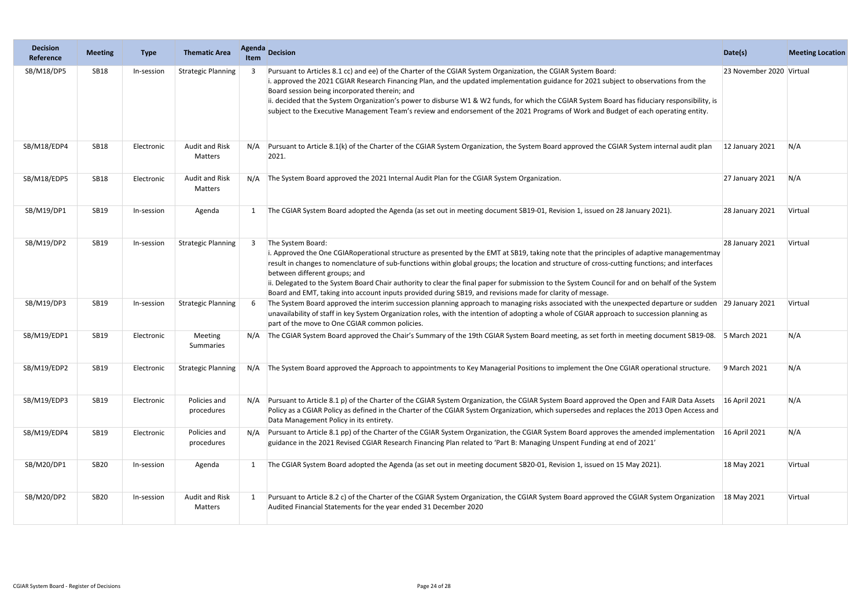| <b>Decision</b><br>Reference | <b>Meeting</b> | <b>Type</b> | <b>Thematic Area</b>       | <b>Agenda</b><br><b>Item</b> | Decision                                                                                                                                                                                                                                                                                                                                                                                                                                                                                                                                                                                                           | Date(s)                  | <b>Meeting Location</b> |
|------------------------------|----------------|-------------|----------------------------|------------------------------|--------------------------------------------------------------------------------------------------------------------------------------------------------------------------------------------------------------------------------------------------------------------------------------------------------------------------------------------------------------------------------------------------------------------------------------------------------------------------------------------------------------------------------------------------------------------------------------------------------------------|--------------------------|-------------------------|
| SB/M18/DP5                   | <b>SB18</b>    | In-session  | <b>Strategic Planning</b>  |                              | Pursuant to Articles 8.1 cc) and ee) of the Charter of the CGIAR System Organization, the CGIAR System Board:<br>i. approved the 2021 CGIAR Research Financing Plan, and the updated implementation guidance for 2021 subject to observations from the<br>Board session being incorporated therein; and<br>ii. decided that the System Organization's power to disburse W1 & W2 funds, for which the CGIAR System Board has fiduciary responsibility, is<br>subject to the Executive Management Team's review and endorsement of the 2021 Programs of Work and Budget of each operating entity.                    | 23 November 2020 Virtual |                         |
| SB/M18/EDP4                  | <b>SB18</b>    | Electronic  | Audit and Risk<br>Matters  | N/A                          | Pursuant to Article 8.1(k) of the Charter of the CGIAR System Organization, the System Board approved the CGIAR System internal audit plan<br>2021.                                                                                                                                                                                                                                                                                                                                                                                                                                                                | 12 January 2021          | N/A                     |
| SB/M18/EDP5                  | <b>SB18</b>    | Electronic  | Audit and Risk<br>Matters  |                              | N/A The System Board approved the 2021 Internal Audit Plan for the CGIAR System Organization.                                                                                                                                                                                                                                                                                                                                                                                                                                                                                                                      | 27 January 2021          | N/A                     |
| SB/M19/DP1                   | SB19           | In-session  | Agenda                     |                              | The CGIAR System Board adopted the Agenda (as set out in meeting document SB19-01, Revision 1, issued on 28 January 2021).                                                                                                                                                                                                                                                                                                                                                                                                                                                                                         | 28 January 2021          | Virtual                 |
| SB/M19/DP2                   | <b>SB19</b>    | In-session  | <b>Strategic Planning</b>  | 3                            | The System Board:<br>i. Approved the One CGIARoperational structure as presented by the EMT at SB19, taking note that the principles of adaptive managementmay<br>result in changes to nomenclature of sub-functions within global groups; the location and structure of cross-cutting functions; and interfaces<br>between different groups; and<br>ii. Delegated to the System Board Chair authority to clear the final paper for submission to the System Council for and on behalf of the System<br>Board and EMT, taking into account inputs provided during SB19, and revisions made for clarity of message. | 28 January 2021          | Virtual                 |
| SB/M19/DP3                   | SB19           | In-session  | <b>Strategic Planning</b>  |                              | The System Board approved the interim succession planning approach to managing risks associated with the unexpected departure or sudden 29 January 2021<br>unavailability of staff in key System Organization roles, with the intention of adopting a whole of CGIAR approach to succession planning as<br>part of the move to One CGIAR common policies.                                                                                                                                                                                                                                                          |                          | Virtual                 |
| SB/M19/EDP1                  | <b>SB19</b>    | Electronic  | Meeting<br>Summaries       | N/A                          | The CGIAR System Board approved the Chair's Summary of the 19th CGIAR System Board meeting, as set forth in meeting document SB19-08. 5 March 2021                                                                                                                                                                                                                                                                                                                                                                                                                                                                 |                          | N/A                     |
| SB/M19/EDP2                  | SB19           | Electronic  |                            |                              | Strategic Planning N/A The System Board approved the Approach to appointments to Key Managerial Positions to implement the One CGIAR operational structure. 9 March 2021                                                                                                                                                                                                                                                                                                                                                                                                                                           |                          | N/A                     |
| SB/M19/EDP3                  | <b>SB19</b>    | Electronic  | Policies and<br>procedures |                              | Pursuant to Article 8.1 p) of the Charter of the CGIAR System Organization, the CGIAR System Board approved the Open and FAIR Data Assets<br>Policy as a CGIAR Policy as defined in the Charter of the CGIAR System Organization, which supersedes and replaces the 2013 Open Access and<br>Data Management Policy in its entirety.                                                                                                                                                                                                                                                                                | 16 April 2021            | N/A                     |
| SB/M19/EDP4                  | SB19           | Electronic  | Policies and<br>procedures |                              | Pursuant to Article 8.1 pp) of the Charter of the CGIAR System Organization, the CGIAR System Board approves the amended implementation<br>guidance in the 2021 Revised CGIAR Research Financing Plan related to 'Part B: Managing Unspent Funding at end of 2021'                                                                                                                                                                                                                                                                                                                                                 | 16 April 2021            | N/A                     |
| SB/M20/DP1                   | <b>SB20</b>    | In-session  | Agenda                     | $\mathbf{1}$                 | The CGIAR System Board adopted the Agenda (as set out in meeting document SB20-01, Revision 1, issued on 15 May 2021).                                                                                                                                                                                                                                                                                                                                                                                                                                                                                             | 18 May 2021              | Virtual                 |
| SB/M20/DP2                   | <b>SB20</b>    | In-session  | Audit and Risk<br>Matters  |                              | Pursuant to Article 8.2 c) of the Charter of the CGIAR System Organization, the CGIAR System Board approved the CGIAR System Organization<br>Audited Financial Statements for the year ended 31 December 2020                                                                                                                                                                                                                                                                                                                                                                                                      | 18 May 2021              | Virtual                 |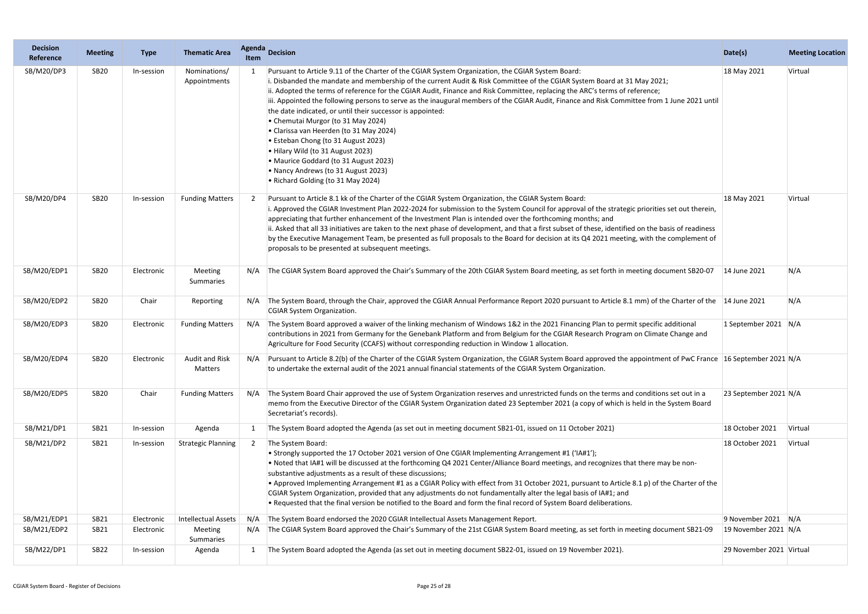| <b>Decision</b><br>Reference | <b>Meeting</b> | <b>Type</b> | <b>Thematic Area</b>             | <b>Agenda</b><br><b>Item</b> | <b>Decision</b>                                                                                                                                                                                                                                                                                                                                                                                                                                                                                                                                                                                                                                                                                                                                                                                                                                              | Date(s)                  | <b>Meeting Location</b> |
|------------------------------|----------------|-------------|----------------------------------|------------------------------|--------------------------------------------------------------------------------------------------------------------------------------------------------------------------------------------------------------------------------------------------------------------------------------------------------------------------------------------------------------------------------------------------------------------------------------------------------------------------------------------------------------------------------------------------------------------------------------------------------------------------------------------------------------------------------------------------------------------------------------------------------------------------------------------------------------------------------------------------------------|--------------------------|-------------------------|
| SB/M20/DP3                   | <b>SB20</b>    | In-session  | Nominations/<br>Appointments     |                              | Pursuant to Article 9.11 of the Charter of the CGIAR System Organization, the CGIAR System Board:<br>i. Disbanded the mandate and membership of the current Audit & Risk Committee of the CGIAR System Board at 31 May 2021;<br>ii. Adopted the terms of reference for the CGIAR Audit, Finance and Risk Committee, replacing the ARC's terms of reference;<br>iii. Appointed the following persons to serve as the inaugural members of the CGIAR Audit, Finance and Risk Committee from 1 June 2021 until<br>the date indicated, or until their successor is appointed:<br>• Chemutai Murgor (to 31 May 2024)<br>• Clarissa van Heerden (to 31 May 2024)<br>• Esteban Chong (to 31 August 2023)<br>• Hilary Wild (to 31 August 2023)<br>• Maurice Goddard (to 31 August 2023)<br>• Nancy Andrews (to 31 August 2023)<br>• Richard Golding (to 31 May 2024) | 18 May 2021              | Virtual                 |
| SB/M20/DP4                   | <b>SB20</b>    | In-session  | <b>Funding Matters</b>           |                              | Pursuant to Article 8.1 kk of the Charter of the CGIAR System Organization, the CGIAR System Board:<br>i. Approved the CGIAR Investment Plan 2022-2024 for submission to the System Council for approval of the strategic priorities set out therein,<br>appreciating that further enhancement of the Investment Plan is intended over the forthcoming months; and<br>ii. Asked that all 33 initiatives are taken to the next phase of development, and that a first subset of these, identified on the basis of readiness<br>by the Executive Management Team, be presented as full proposals to the Board for decision at its Q4 2021 meeting, with the complement of<br>proposals to be presented at subsequent meetings.                                                                                                                                 | 18 May 2021              | Virtual                 |
| SB/M20/EDP1                  | <b>SB20</b>    | Electronic  | Meeting<br>Summaries             | N/A                          | The CGIAR System Board approved the Chair's Summary of the 20th CGIAR System Board meeting, as set forth in meeting document SB20-07                                                                                                                                                                                                                                                                                                                                                                                                                                                                                                                                                                                                                                                                                                                         | 14 June 2021             | N/A                     |
| SB/M20/EDP2                  | <b>SB20</b>    | Chair       | Reporting                        | N/A                          | The System Board, through the Chair, approved the CGIAR Annual Performance Report 2020 pursuant to Article 8.1 mm) of the Charter of the  14 June 2021<br>CGIAR System Organization.                                                                                                                                                                                                                                                                                                                                                                                                                                                                                                                                                                                                                                                                         |                          | N/A                     |
| SB/M20/EDP3                  | <b>SB20</b>    | Electronic  | <b>Funding Matters</b>           | N/A                          | The System Board approved a waiver of the linking mechanism of Windows 1&2 in the 2021 Financing Plan to permit specific additional<br>contributions in 2021 from Germany for the Genebank Platform and from Belgium for the CGIAR Research Program on Climate Change and<br>Agriculture for Food Security (CCAFS) without corresponding reduction in Window 1 allocation.                                                                                                                                                                                                                                                                                                                                                                                                                                                                                   | 1 September 2021 $N/A$   |                         |
| SB/M20/EDP4                  | <b>SB20</b>    | Electronic  | <b>Audit and Risk</b><br>Matters | N/A                          | Pursuant to Article 8.2(b) of the Charter of the CGIAR System Organization, the CGIAR System Board approved the appointment of PwC France 16 September 2021 N/A<br>to undertake the external audit of the 2021 annual financial statements of the CGIAR System Organization.                                                                                                                                                                                                                                                                                                                                                                                                                                                                                                                                                                                 |                          |                         |
| SB/M20/EDP5                  | <b>SB20</b>    | Chair       | <b>Funding Matters</b>           | N/A                          | The System Board Chair approved the use of System Organization reserves and unrestricted funds on the terms and conditions set out in a<br>memo from the Executive Director of the CGIAR System Organization dated 23 September 2021 (a copy of which is held in the System Board<br>Secretariat's records).                                                                                                                                                                                                                                                                                                                                                                                                                                                                                                                                                 | 23 September 2021 N/A    |                         |
| SB/M21/DP1                   | SB21           | In-session  | Agenda                           |                              | The System Board adopted the Agenda (as set out in meeting document SB21-01, issued on 11 October 2021)                                                                                                                                                                                                                                                                                                                                                                                                                                                                                                                                                                                                                                                                                                                                                      | 18 October 2021          | Virtual                 |
| SB/M21/DP2                   | SB21           | In-session  | <b>Strategic Planning</b>        | 2                            | The System Board:<br>• Strongly supported the 17 October 2021 version of One CGIAR Implementing Arrangement #1 ('IA#1');<br>• Noted that IA#1 will be discussed at the forthcoming Q4 2021 Center/Alliance Board meetings, and recognizes that there may be non-<br>substantive adjustments as a result of these discussions;<br>• Approved Implementing Arrangement #1 as a CGIAR Policy with effect from 31 October 2021, pursuant to Article 8.1 p) of the Charter of the<br>CGIAR System Organization, provided that any adjustments do not fundamentally alter the legal basis of IA#1; and<br>. Requested that the final version be notified to the Board and form the final record of System Board deliberations.                                                                                                                                     | 18 October 2021          | Virtual                 |
| SB/M21/EDP1                  | SB21           | Electronic  | <b>Intellectual Assets</b>       | N/A                          | The System Board endorsed the 2020 CGIAR Intellectual Assets Management Report.                                                                                                                                                                                                                                                                                                                                                                                                                                                                                                                                                                                                                                                                                                                                                                              | 9 November 2021 $N/A$    |                         |
| SB/M21/EDP2                  | SB21           | Electronic  | Meeting<br>Summaries             | N/A                          | The CGIAR System Board approved the Chair's Summary of the 21st CGIAR System Board meeting, as set forth in meeting document SB21-09                                                                                                                                                                                                                                                                                                                                                                                                                                                                                                                                                                                                                                                                                                                         | 19 November 2021 N/A     |                         |
| SB/M22/DP1                   | <b>SB22</b>    | In-session  | Agenda                           | $\mathbf{1}$                 | The System Board adopted the Agenda (as set out in meeting document SB22-01, issued on 19 November 2021).                                                                                                                                                                                                                                                                                                                                                                                                                                                                                                                                                                                                                                                                                                                                                    | 29 November 2021 Virtual |                         |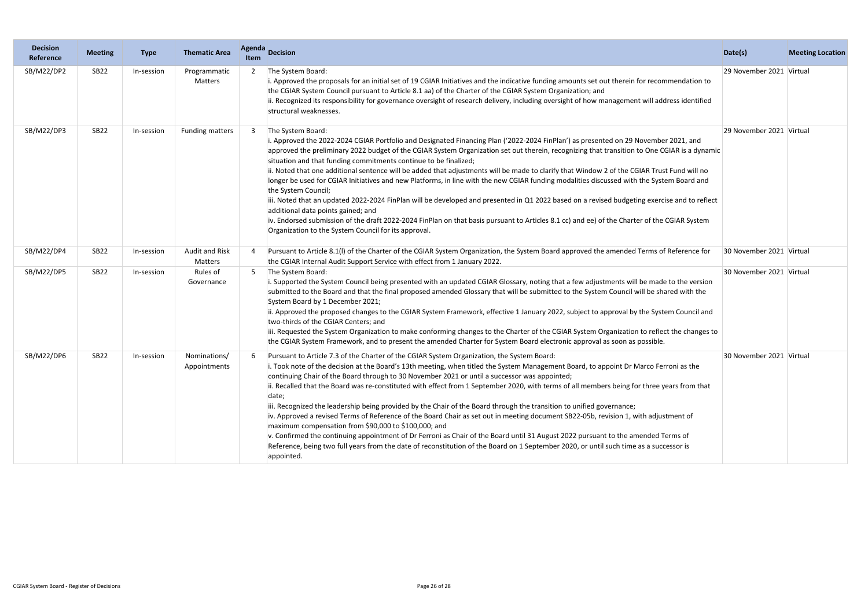| <b>Decision</b><br>Reference | <b>Meeting</b>   | <b>Type</b> | <b>Thematic Area</b>             | <b>Agenda</b><br>Item | <b>Decision</b>                                                                                                                                                                                                                                                                                                                                                                                                                                                                                                                                                                                                                                                                                                                                                                                                                                                                                                                                                                                                                                                                                                    | Date(s)                    | <b>Meeting Location</b> |
|------------------------------|------------------|-------------|----------------------------------|-----------------------|--------------------------------------------------------------------------------------------------------------------------------------------------------------------------------------------------------------------------------------------------------------------------------------------------------------------------------------------------------------------------------------------------------------------------------------------------------------------------------------------------------------------------------------------------------------------------------------------------------------------------------------------------------------------------------------------------------------------------------------------------------------------------------------------------------------------------------------------------------------------------------------------------------------------------------------------------------------------------------------------------------------------------------------------------------------------------------------------------------------------|----------------------------|-------------------------|
| SB/M22/DP2                   | SB <sub>22</sub> | In-session  | Programmatic<br>Matters          |                       | The System Board:<br>i. Approved the proposals for an initial set of 19 CGIAR Initiatives and the indicative funding amounts set out therein for recommendation to<br>the CGIAR System Council pursuant to Article 8.1 aa) of the Charter of the CGIAR System Organization; and<br>ii. Recognized its responsibility for governance oversight of research delivery, including oversight of how management will address identified<br>structural weaknesses.                                                                                                                                                                                                                                                                                                                                                                                                                                                                                                                                                                                                                                                        | 29 November 2021   Virtual |                         |
| SB/M22/DP3                   | <b>SB22</b>      | In-session  | <b>Funding matters</b>           | 3                     | The System Board:<br>i. Approved the 2022-2024 CGIAR Portfolio and Designated Financing Plan ('2022-2024 FinPlan') as presented on 29 November 2021, and<br>approved the preliminary 2022 budget of the CGIAR System Organization set out therein, recognizing that transition to One CGIAR is a dynamic<br>situation and that funding commitments continue to be finalized;<br>ii. Noted that one additional sentence will be added that adjustments will be made to clarify that Window 2 of the CGIAR Trust Fund will no<br>longer be used for CGIAR Initiatives and new Platforms, in line with the new CGIAR funding modalities discussed with the System Board and<br>the System Council;<br>iii. Noted that an updated 2022-2024 FinPlan will be developed and presented in Q1 2022 based on a revised budgeting exercise and to reflect<br>additional data points gained; and<br>iv. Endorsed submission of the draft 2022-2024 FinPlan on that basis pursuant to Articles 8.1 cc) and ee) of the Charter of the CGIAR System<br>Organization to the System Council for its approval.                      | 29 November 2021 Virtual   |                         |
| SB/M22/DP4                   | <b>SB22</b>      | In-session  | <b>Audit and Risk</b><br>Matters |                       | Pursuant to Article 8.1(I) of the Charter of the CGIAR System Organization, the System Board approved the amended Terms of Reference for<br>the CGIAR Internal Audit Support Service with effect from 1 January 2022.                                                                                                                                                                                                                                                                                                                                                                                                                                                                                                                                                                                                                                                                                                                                                                                                                                                                                              | 30 November 2021 Virtual   |                         |
| SB/M22/DP5                   | <b>SB22</b>      | In-session  | Rules of<br>Governance           |                       | The System Board:<br>i. Supported the System Council being presented with an updated CGIAR Glossary, noting that a few adjustments will be made to the version<br>submitted to the Board and that the final proposed amended Glossary that will be submitted to the System Council will be shared with the<br>System Board by 1 December 2021;<br>ii. Approved the proposed changes to the CGIAR System Framework, effective 1 January 2022, subject to approval by the System Council and<br>two-thirds of the CGIAR Centers; and<br>iii. Requested the System Organization to make conforming changes to the Charter of the CGIAR System Organization to reflect the changes to<br>the CGIAR System Framework, and to present the amended Charter for System Board electronic approval as soon as possible.                                                                                                                                                                                                                                                                                                      | 30 November 2021 Virtual   |                         |
| SB/M22/DP6                   | <b>SB22</b>      | In-session  | Nominations/<br>Appointments     |                       | Pursuant to Article 7.3 of the Charter of the CGIAR System Organization, the System Board:<br>i. Took note of the decision at the Board's 13th meeting, when titled the System Management Board, to appoint Dr Marco Ferroni as the<br>continuing Chair of the Board through to 30 November 2021 or until a successor was appointed;<br>ii. Recalled that the Board was re-constituted with effect from 1 September 2020, with terms of all members being for three years from that<br>date;<br>iii. Recognized the leadership being provided by the Chair of the Board through the transition to unified governance;<br>iv. Approved a revised Terms of Reference of the Board Chair as set out in meeting document SB22-05b, revision 1, with adjustment of<br>maximum compensation from \$90,000 to \$100,000; and<br>v. Confirmed the continuing appointment of Dr Ferroni as Chair of the Board until 31 August 2022 pursuant to the amended Terms of<br>Reference, being two full years from the date of reconstitution of the Board on 1 September 2020, or until such time as a successor is<br>appointed. | 30 November 2021 Virtual   |                         |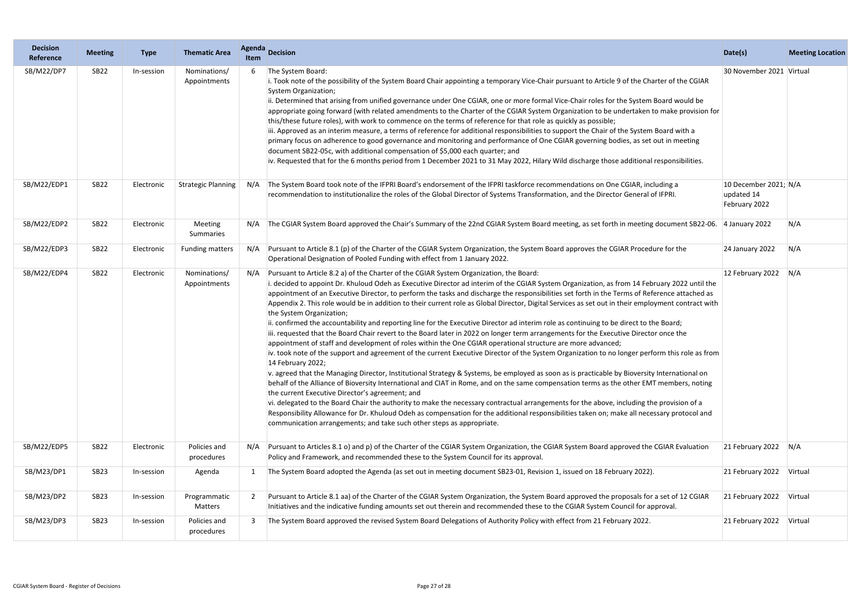| <b>Decision</b><br>Reference | <b>Meeting</b> | <b>Type</b> | <b>Thematic Area</b>         | <b>Agenda</b><br>Item | <b>Decision</b>                                                                                                                                                                                                                                                                                                                                                                                                                                                                                                                                                                                                                                                                                                                                                                                                                                                                                                                                                                                                                                                                                                                                                                                                                                                                                                                                                                                                                                                                                                                                                                                                                                                                                                                                                                                                                                                         | Date(s)                                              | <b>Meeting Location</b> |
|------------------------------|----------------|-------------|------------------------------|-----------------------|-------------------------------------------------------------------------------------------------------------------------------------------------------------------------------------------------------------------------------------------------------------------------------------------------------------------------------------------------------------------------------------------------------------------------------------------------------------------------------------------------------------------------------------------------------------------------------------------------------------------------------------------------------------------------------------------------------------------------------------------------------------------------------------------------------------------------------------------------------------------------------------------------------------------------------------------------------------------------------------------------------------------------------------------------------------------------------------------------------------------------------------------------------------------------------------------------------------------------------------------------------------------------------------------------------------------------------------------------------------------------------------------------------------------------------------------------------------------------------------------------------------------------------------------------------------------------------------------------------------------------------------------------------------------------------------------------------------------------------------------------------------------------------------------------------------------------------------------------------------------------|------------------------------------------------------|-------------------------|
| SB/M22/DP7                   | <b>SB22</b>    | In-session  | Nominations/<br>Appointments |                       | The System Board:<br>i. Took note of the possibility of the System Board Chair appointing a temporary Vice-Chair pursuant to Article 9 of the Charter of the CGIAR<br>System Organization;<br>ii. Determined that arising from unified governance under One CGIAR, one or more formal Vice-Chair roles for the System Board would be<br>appropriate going forward (with related amendments to the Charter of the CGIAR System Organization to be undertaken to make provision for<br>this/these future roles), with work to commence on the terms of reference for that role as quickly as possible;<br>iii. Approved as an interim measure, a terms of reference for additional responsibilities to support the Chair of the System Board with a<br>primary focus on adherence to good governance and monitoring and performance of One CGIAR governing bodies, as set out in meeting<br>document SB22-05c, with additional compensation of \$5,000 each quarter; and<br>iv. Requested that for the 6 months period from 1 December 2021 to 31 May 2022, Hilary Wild discharge those additional responsibilities.                                                                                                                                                                                                                                                                                                                                                                                                                                                                                                                                                                                                                                                                                                                                                      | 30 November 2021 Virtual                             |                         |
| SB/M22/EDP1                  | <b>SB22</b>    | Electronic  | <b>Strategic Planning</b>    | N/A                   | The System Board took note of the IFPRI Board's endorsement of the IFPRI taskforce recommendations on One CGIAR, including a<br>recommendation to institutionalize the roles of the Global Director of Systems Transformation, and the Director General of IFPRI.                                                                                                                                                                                                                                                                                                                                                                                                                                                                                                                                                                                                                                                                                                                                                                                                                                                                                                                                                                                                                                                                                                                                                                                                                                                                                                                                                                                                                                                                                                                                                                                                       | 10 December 2021; N/A<br>updated 14<br>February 2022 |                         |
| SB/M22/EDP2                  | <b>SB22</b>    | Electronic  | Meeting<br>Summaries         | N/A                   | The CGIAR System Board approved the Chair's Summary of the 22nd CGIAR System Board meeting, as set forth in meeting document SB22-06. 4 January 2022                                                                                                                                                                                                                                                                                                                                                                                                                                                                                                                                                                                                                                                                                                                                                                                                                                                                                                                                                                                                                                                                                                                                                                                                                                                                                                                                                                                                                                                                                                                                                                                                                                                                                                                    |                                                      | N/A                     |
| SB/M22/EDP3                  | <b>SB22</b>    | Electronic  | <b>Funding matters</b>       | N/A                   | Pursuant to Article 8.1 (p) of the Charter of the CGIAR System Organization, the System Board approves the CGIAR Procedure for the<br>Operational Designation of Pooled Funding with effect from 1 January 2022.                                                                                                                                                                                                                                                                                                                                                                                                                                                                                                                                                                                                                                                                                                                                                                                                                                                                                                                                                                                                                                                                                                                                                                                                                                                                                                                                                                                                                                                                                                                                                                                                                                                        | 24 January 2022                                      | N/A                     |
| SB/M22/EDP4                  | <b>SB22</b>    | Electronic  | Nominations/<br>Appointments | N/A                   | Pursuant to Article 8.2 a) of the Charter of the CGIAR System Organization, the Board:<br>i. decided to appoint Dr. Khuloud Odeh as Executive Director ad interim of the CGIAR System Organization, as from 14 February 2022 until the<br>appointment of an Executive Director, to perform the tasks and discharge the responsibilities set forth in the Terms of Reference attached as<br>Appendix 2. This role would be in addition to their current role as Global Director, Digital Services as set out in their employment contract with<br>the System Organization;<br>ii. confirmed the accountability and reporting line for the Executive Director ad interim role as continuing to be direct to the Board;<br>iii. requested that the Board Chair revert to the Board later in 2022 on longer term arrangements for the Executive Director once the<br>appointment of staff and development of roles within the One CGIAR operational structure are more advanced;<br>iv. took note of the support and agreement of the current Executive Director of the System Organization to no longer perform this role as from<br>14 February 2022;<br>v. agreed that the Managing Director, Institutional Strategy & Systems, be employed as soon as is practicable by Bioversity International on<br>behalf of the Alliance of Bioversity International and CIAT in Rome, and on the same compensation terms as the other EMT members, noting<br>the current Executive Director's agreement; and<br>vi. delegated to the Board Chair the authority to make the necessary contractual arrangements for the above, including the provision of a<br>Responsibility Allowance for Dr. Khuloud Odeh as compensation for the additional responsibilities taken on; make all necessary protocol and<br>communication arrangements; and take such other steps as appropriate. | 12 February 2022                                     | N/A                     |
| SB/M22/EDP5                  | <b>SB22</b>    | Electronic  | Policies and<br>procedures   | N/A                   | Pursuant to Articles 8.1 o) and p) of the Charter of the CGIAR System Organization, the CGIAR System Board approved the CGIAR Evaluation<br>Policy and Framework, and recommended these to the System Council for its approval.                                                                                                                                                                                                                                                                                                                                                                                                                                                                                                                                                                                                                                                                                                                                                                                                                                                                                                                                                                                                                                                                                                                                                                                                                                                                                                                                                                                                                                                                                                                                                                                                                                         | 21 February 2022 $N/A$                               |                         |
| SB/M23/DP1                   | <b>SB23</b>    | In-session  | Agenda                       |                       | The System Board adopted the Agenda (as set out in meeting document SB23-01, Revision 1, issued on 18 February 2022).                                                                                                                                                                                                                                                                                                                                                                                                                                                                                                                                                                                                                                                                                                                                                                                                                                                                                                                                                                                                                                                                                                                                                                                                                                                                                                                                                                                                                                                                                                                                                                                                                                                                                                                                                   | 21 February 2022 Virtual                             |                         |
| SB/M23/DP2                   | <b>SB23</b>    | In-session  | Programmatic<br>Matters      | 2                     | Pursuant to Article 8.1 aa) of the Charter of the CGIAR System Organization, the System Board approved the proposals for a set of 12 CGIAR<br>Initiatives and the indicative funding amounts set out therein and recommended these to the CGIAR System Council for approval.                                                                                                                                                                                                                                                                                                                                                                                                                                                                                                                                                                                                                                                                                                                                                                                                                                                                                                                                                                                                                                                                                                                                                                                                                                                                                                                                                                                                                                                                                                                                                                                            | 21 February 2022                                     | Virtual                 |
| SB/M23/DP3                   | <b>SB23</b>    | In-session  | Policies and<br>procedures   | 3                     | The System Board approved the revised System Board Delegations of Authority Policy with effect from 21 February 2022.                                                                                                                                                                                                                                                                                                                                                                                                                                                                                                                                                                                                                                                                                                                                                                                                                                                                                                                                                                                                                                                                                                                                                                                                                                                                                                                                                                                                                                                                                                                                                                                                                                                                                                                                                   | 21 February 2022                                     | Virtual                 |